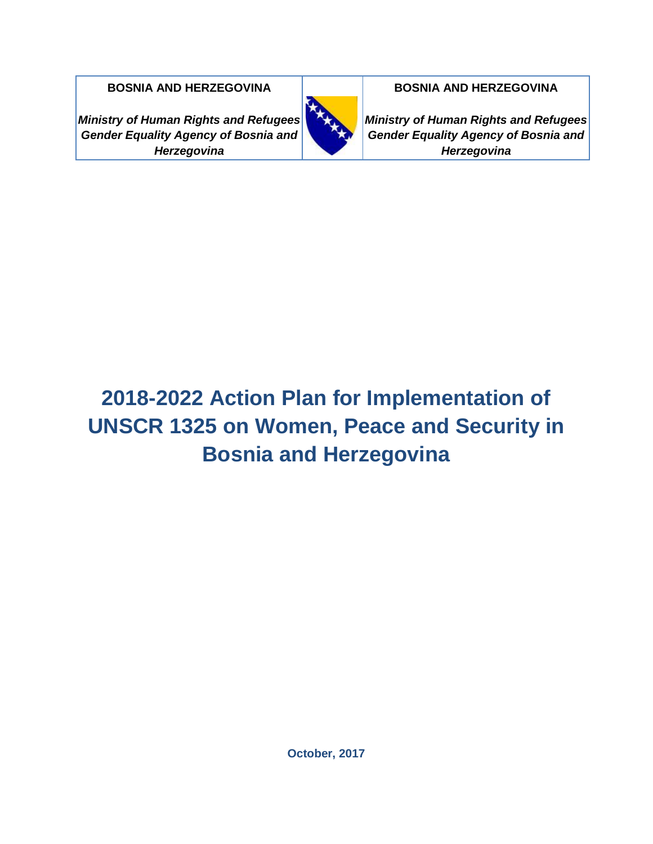*Ministry of Human Rights and Refugees Gender Equality Agency of Bosnia and Herzegovina*



**BOSNIA AND HERZEGOVINA BOSNIA AND HERZEGOVINA**<br> **BOSNIA AND HERZEGOVINA** 

*Ministry of Human Rights and Refugees Gender Equality Agency of Bosnia and Herzegovina*

# **2018-2022 Action Plan for Implementation of UNSCR 1325 on Women, Peace and Security in Bosnia and Herzegovina**

**October, 2017**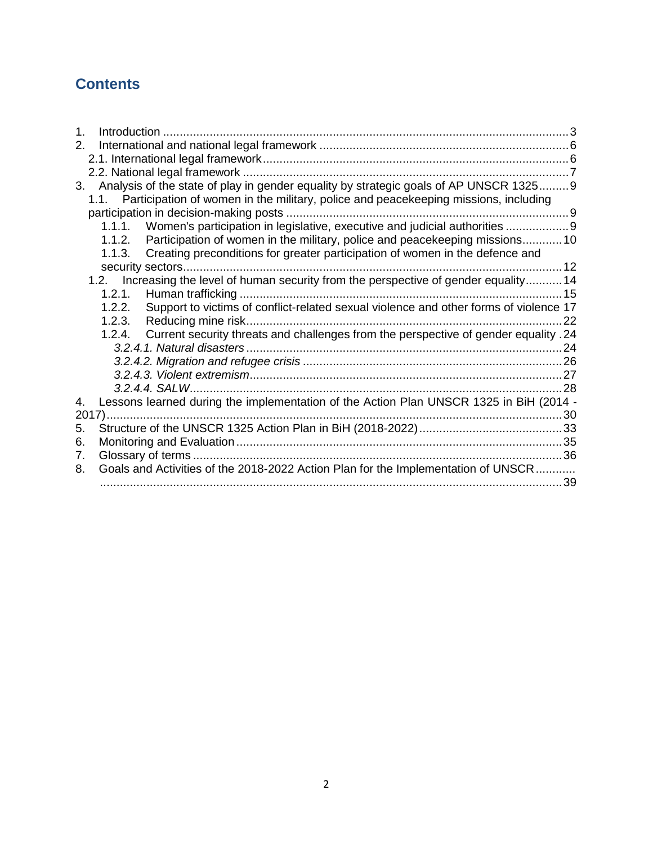# **Contents**

| 1. |        |                                                                                            |    |
|----|--------|--------------------------------------------------------------------------------------------|----|
| 2. |        |                                                                                            |    |
|    |        |                                                                                            |    |
|    |        |                                                                                            |    |
| 3. |        | Analysis of the state of play in gender equality by strategic goals of AP UNSCR 13259      |    |
|    |        | 1.1. Participation of women in the military, police and peacekeeping missions, including   |    |
|    |        |                                                                                            |    |
|    |        | 1.1.1. Women's participation in legislative, executive and judicial authorities            |    |
|    |        | 1.1.2. Participation of women in the military, police and peacekeeping missions10          |    |
|    | 1.1.3. | Creating preconditions for greater participation of women in the defence and               |    |
|    |        |                                                                                            |    |
|    |        | 1.2. Increasing the level of human security from the perspective of gender equality 14     |    |
|    | 1.2.1. |                                                                                            |    |
|    | 1.2.2. | Support to victims of conflict-related sexual violence and other forms of violence 17      |    |
|    |        |                                                                                            | 22 |
|    |        | 1.2.4. Current security threats and challenges from the perspective of gender equality .24 |    |
|    |        |                                                                                            |    |
|    |        |                                                                                            |    |
|    |        |                                                                                            |    |
|    |        |                                                                                            |    |
| 4. |        | Lessons learned during the implementation of the Action Plan UNSCR 1325 in BiH (2014 -     |    |
|    |        |                                                                                            |    |
| 5. |        |                                                                                            |    |
| 6. |        |                                                                                            |    |
| 7. |        |                                                                                            |    |
| 8. |        | Goals and Activities of the 2018-2022 Action Plan for the Implementation of UNSCR          |    |
|    |        |                                                                                            | 39 |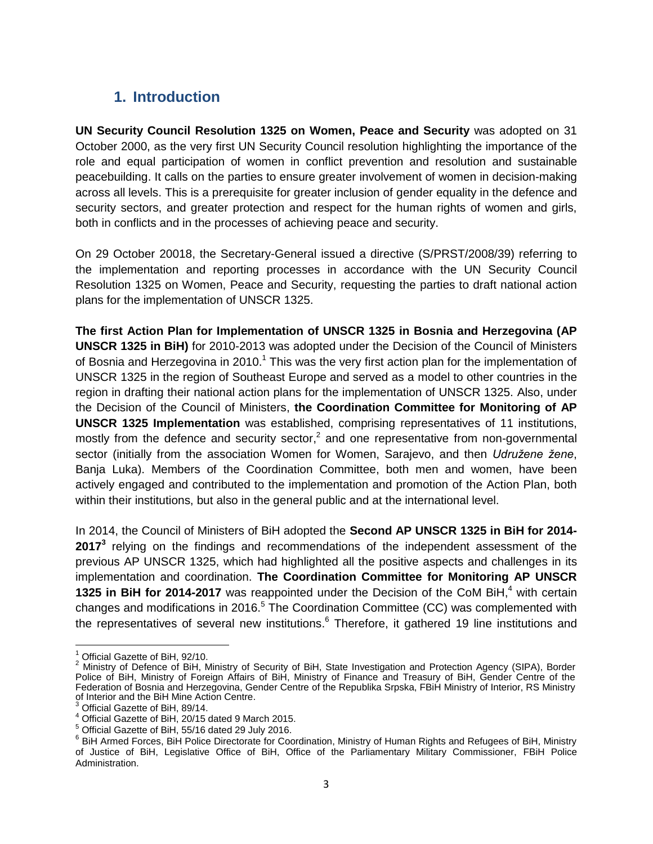# <span id="page-2-0"></span>**1. Introduction**

**UN Security Council Resolution 1325 on Women, Peace and Security** was adopted on 31 October 2000, as the very first UN Security Council resolution highlighting the importance of the role and equal participation of women in conflict prevention and resolution and sustainable peacebuilding. It calls on the parties to ensure greater involvement of women in decision-making across all levels. This is a prerequisite for greater inclusion of gender equality in the defence and security sectors, and greater protection and respect for the human rights of women and girls, both in conflicts and in the processes of achieving peace and security.

On 29 October 20018, the Secretary-General issued a directive (S/PRST/2008/39) referring to the implementation and reporting processes in accordance with the UN Security Council Resolution 1325 on Women, Peace and Security, requesting the parties to draft national action plans for the implementation of UNSCR 1325.

**The first Action Plan for Implementation of UNSCR 1325 in Bosnia and Herzegovina (AP UNSCR 1325 in BiH)** for 2010-2013 was adopted under the Decision of the Council of Ministers of Bosnia and Herzegovina in 2010.<sup>1</sup> This was the very first action plan for the implementation of UNSCR 1325 in the region of Southeast Europe and served as a model to other countries in the region in drafting their national action plans for the implementation of UNSCR 1325. Also, under the Decision of the Council of Ministers, **the Coordination Committee for Monitoring of AP UNSCR 1325 Implementation** was established, comprising representatives of 11 institutions, mostly from the defence and security sector,<sup>2</sup> and one representative from non-governmental sector (initially from the association Women for Women, Sarajevo, and then *Udružene žene*, Banja Luka). Members of the Coordination Committee, both men and women, have been actively engaged and contributed to the implementation and promotion of the Action Plan, both within their institutions, but also in the general public and at the international level.

In 2014, the Council of Ministers of BiH adopted the **Second AP UNSCR 1325 in BiH for 2014- 2017<sup>3</sup>** relying on the findings and recommendations of the independent assessment of the previous AP UNSCR 1325, which had highlighted all the positive aspects and challenges in its implementation and coordination. **The Coordination Committee for Monitoring AP UNSCR 1325 in BiH for 2014-2017** was reappointed under the Decision of the CoM BiH,<sup>4</sup> with certain changes and modifications in 2016.<sup>5</sup> The Coordination Committee (CC) was complemented with the representatives of several new institutions.<sup>6</sup> Therefore, it gathered 19 line institutions and

 $\overline{a}$ 

 $1$  Official Gazette of BiH, 92/10.

 $2$  Ministry of Defence of BiH, Ministry of Security of BiH, State Investigation and Protection Agency (SIPA), Border Police of BiH, Ministry of Foreign Affairs of BiH, Ministry of Finance and Treasury of BiH, Gender Centre of the Federation of Bosnia and Herzegovina, Gender Centre of the Republika Srpska, FBiH Ministry of Interior, RS Ministry of Interior and the BiH Mine Action Centre.

<sup>3</sup> Official Gazette of BiH, 89/14.

<sup>4</sup> Official Gazette of BiH, 20/15 dated 9 March 2015.

<sup>5</sup> Official Gazette of BiH, 55/16 dated 29 July 2016.

<sup>&</sup>lt;sup>6</sup> BiH Armed Forces, BiH Police Directorate for Coordination, Ministry of Human Rights and Refugees of BiH, Ministry of Justice of BiH, Legislative Office of BiH, Office of the Parliamentary Military Commissioner, FBiH Police Administration.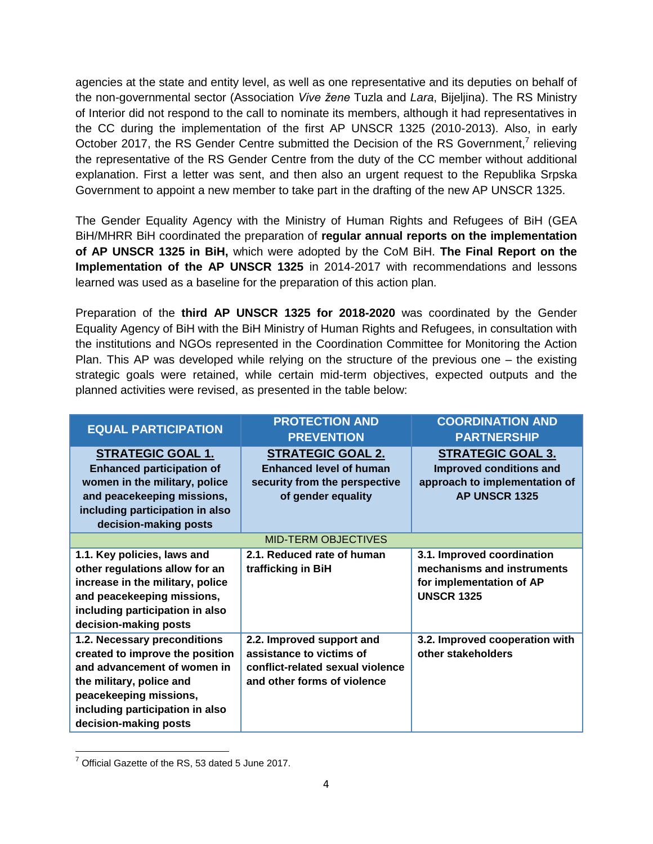agencies at the state and entity level, as well as one representative and its deputies on behalf of the non-governmental sector (Association *Vive žene* Tuzla and *Lara*, Bijeljina). The RS Ministry of Interior did not respond to the call to nominate its members, although it had representatives in the CC during the implementation of the first AP UNSCR 1325 (2010-2013). Also, in early October 2017, the RS Gender Centre submitted the Decision of the RS Government,<sup>7</sup> relieving the representative of the RS Gender Centre from the duty of the CC member without additional explanation. First a letter was sent, and then also an urgent request to the Republika Srpska Government to appoint a new member to take part in the drafting of the new AP UNSCR 1325.

The Gender Equality Agency with the Ministry of Human Rights and Refugees of BiH (GEA BiH/MHRR BiH coordinated the preparation of **regular annual reports on the implementation of AP UNSCR 1325 in BiH,** which were adopted by the CoM BiH. **The Final Report on the Implementation of the AP UNSCR 1325** in 2014-2017 with recommendations and lessons learned was used as a baseline for the preparation of this action plan.

Preparation of the **third AP UNSCR 1325 for 2018-2020** was coordinated by the Gender Equality Agency of BiH with the BiH Ministry of Human Rights and Refugees, in consultation with the institutions and NGOs represented in the Coordination Committee for Monitoring the Action Plan. This AP was developed while relying on the structure of the previous one – the existing strategic goals were retained, while certain mid-term objectives, expected outputs and the planned activities were revised, as presented in the table below:

| <b>EQUAL PARTICIPATION</b>                                                                                                                                                                                       | <b>PROTECTION AND</b><br><b>PREVENTION</b>                                                                               | <b>COORDINATION AND</b><br><b>PARTNERSHIP</b>                                                             |
|------------------------------------------------------------------------------------------------------------------------------------------------------------------------------------------------------------------|--------------------------------------------------------------------------------------------------------------------------|-----------------------------------------------------------------------------------------------------------|
| <b>STRATEGIC GOAL 1.</b><br><b>Enhanced participation of</b><br>women in the military, police                                                                                                                    | <b>STRATEGIC GOAL 2.</b><br><b>Enhanced level of human</b><br>security from the perspective                              | <b>STRATEGIC GOAL 3.</b><br>Improved conditions and<br>approach to implementation of                      |
| and peacekeeping missions,<br>including participation in also                                                                                                                                                    | of gender equality                                                                                                       | AP UNSCR 1325                                                                                             |
| decision-making posts                                                                                                                                                                                            | <b>MID-TERM OBJECTIVES</b>                                                                                               |                                                                                                           |
| 1.1. Key policies, laws and<br>other regulations allow for an<br>increase in the military, police<br>and peacekeeping missions,<br>including participation in also<br>decision-making posts                      | 2.1. Reduced rate of human<br>trafficking in BiH                                                                         | 3.1. Improved coordination<br>mechanisms and instruments<br>for implementation of AP<br><b>UNSCR 1325</b> |
| 1.2. Necessary preconditions<br>created to improve the position<br>and advancement of women in<br>the military, police and<br>peacekeeping missions,<br>including participation in also<br>decision-making posts | 2.2. Improved support and<br>assistance to victims of<br>conflict-related sexual violence<br>and other forms of violence | 3.2. Improved cooperation with<br>other stakeholders                                                      |

 $\overline{a}$  $7$  Official Gazette of the RS, 53 dated 5 June 2017.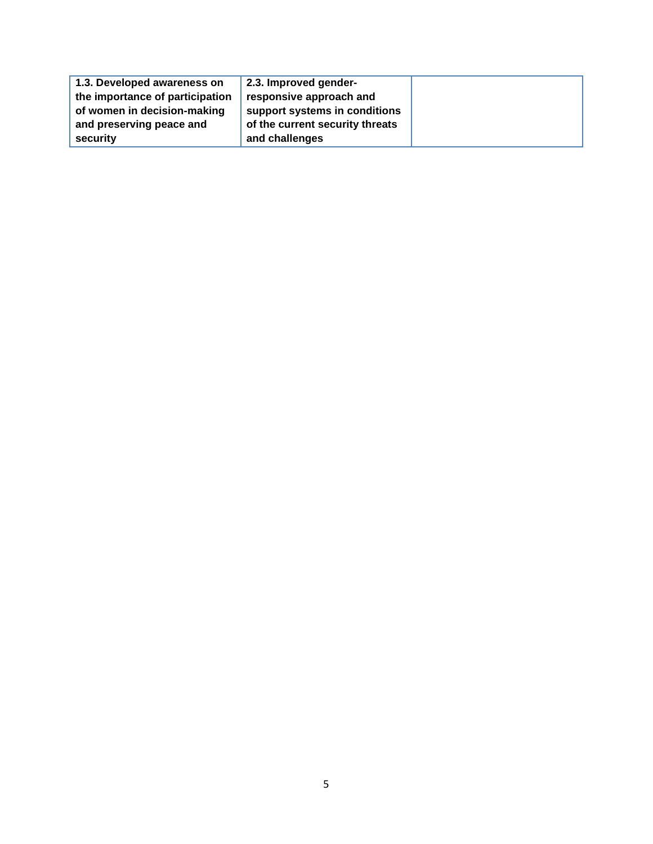| 1.3. Developed awareness on     | 2.3. Improved gender-           |  |
|---------------------------------|---------------------------------|--|
| the importance of participation | responsive approach and         |  |
| of women in decision-making     | support systems in conditions   |  |
| and preserving peace and        | of the current security threats |  |
| security                        | and challenges                  |  |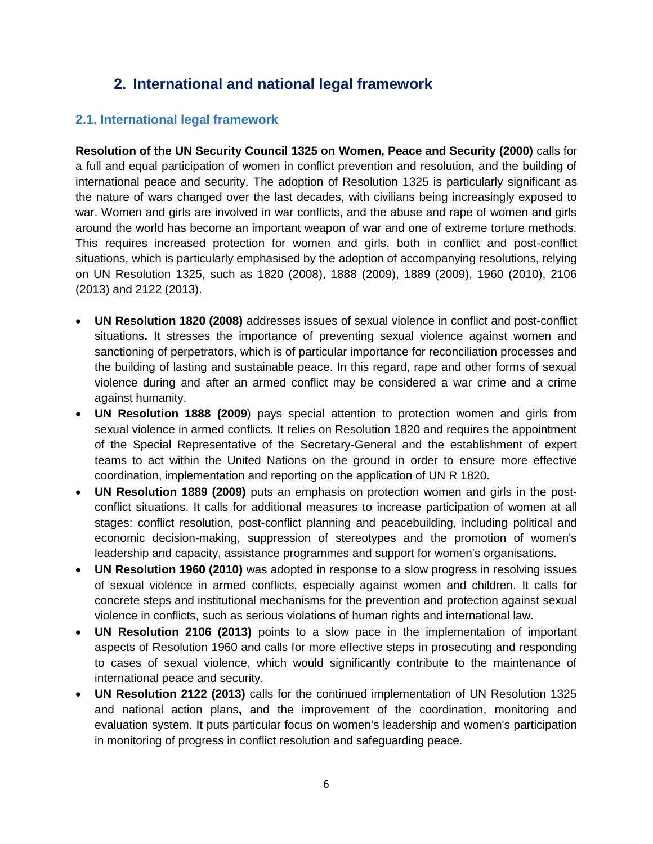# **2. International and national legal framework**

### <span id="page-5-1"></span><span id="page-5-0"></span>**2.1. International legal framework**

**Resolution of the UN Security Council 1325 on Women, Peace and Security (2000)** calls for a full and equal participation of women in conflict prevention and resolution, and the building of international peace and security. The adoption of Resolution 1325 is particularly significant as the nature of wars changed over the last decades, with civilians being increasingly exposed to war. Women and girls are involved in war conflicts, and the abuse and rape of women and girls around the world has become an important weapon of war and one of extreme torture methods. This requires increased protection for women and girls, both in conflict and post-conflict situations, which is particularly emphasised by the adoption of accompanying resolutions, relying on UN Resolution 1325, such as 1820 (2008), 1888 (2009), 1889 (2009), 1960 (2010), 2106 (2013) and 2122 (2013).

- **UN Resolution 1820 (2008)** addresses issues of sexual violence in conflict and post-conflict situations**.** It stresses the importance of preventing sexual violence against women and sanctioning of perpetrators, which is of particular importance for reconciliation processes and the building of lasting and sustainable peace. In this regard, rape and other forms of sexual violence during and after an armed conflict may be considered a war crime and a crime against humanity.
- **UN Resolution 1888 (2009**) pays special attention to protection women and girls from sexual violence in armed conflicts. It relies on Resolution 1820 and requires the appointment of the Special Representative of the Secretary-General and the establishment of expert teams to act within the United Nations on the ground in order to ensure more effective coordination, implementation and reporting on the application of UN R 1820.
- **UN Resolution 1889 (2009)** puts an emphasis on protection women and girls in the postconflict situations. It calls for additional measures to increase participation of women at all stages: conflict resolution, post-conflict planning and peacebuilding, including political and economic decision-making, suppression of stereotypes and the promotion of women's leadership and capacity, assistance programmes and support for women's organisations.
- **UN Resolution 1960 (2010)** was adopted in response to a slow progress in resolving issues of sexual violence in armed conflicts, especially against women and children. It calls for concrete steps and institutional mechanisms for the prevention and protection against sexual violence in conflicts, such as serious violations of human rights and international law.
- **UN Resolution 2106 (2013)** points to a slow pace in the implementation of important aspects of Resolution 1960 and calls for more effective steps in prosecuting and responding to cases of sexual violence, which would significantly contribute to the maintenance of international peace and security.
- **UN Resolution 2122 (2013)** calls for the continued implementation of UN Resolution 1325 and national action plans**,** and the improvement of the coordination, monitoring and evaluation system. It puts particular focus on women's leadership and women's participation in monitoring of progress in conflict resolution and safeguarding peace.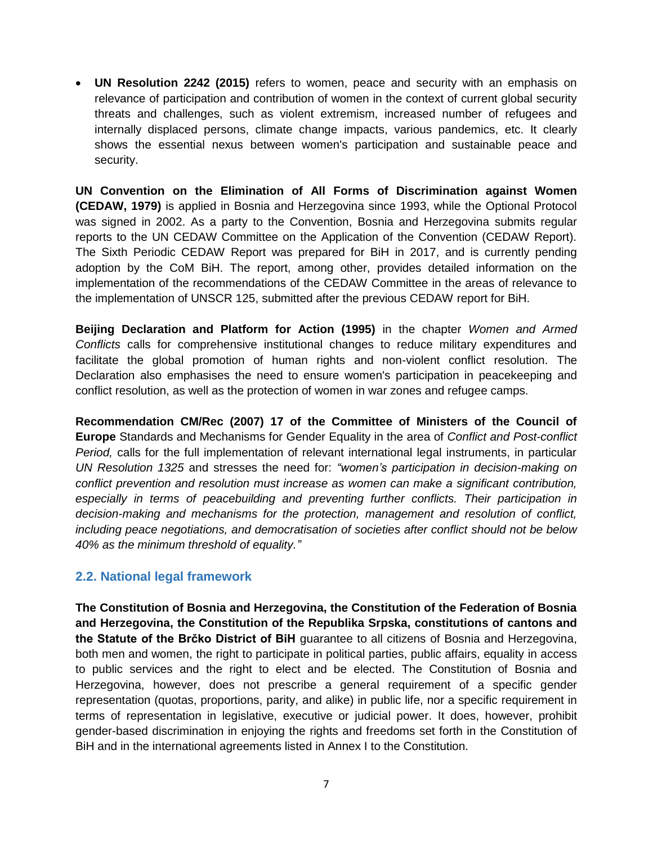**UN Resolution 2242 (2015)** refers to women, peace and security with an emphasis on relevance of participation and contribution of women in the context of current global security threats and challenges, such as violent extremism, increased number of refugees and internally displaced persons, climate change impacts, various pandemics, etc. It clearly shows the essential nexus between women's participation and sustainable peace and security.

**UN Convention on the Elimination of All Forms of Discrimination against Women (CEDAW, 1979)** is applied in Bosnia and Herzegovina since 1993, while the Optional Protocol was signed in 2002. As a party to the Convention, Bosnia and Herzegovina submits regular reports to the UN CEDAW Committee on the Application of the Convention (CEDAW Report). The Sixth Periodic CEDAW Report was prepared for BiH in 2017, and is currently pending adoption by the CoM BiH. The report, among other, provides detailed information on the implementation of the recommendations of the CEDAW Committee in the areas of relevance to the implementation of UNSCR 125, submitted after the previous CEDAW report for BiH.

**Beijing Declaration and Platform for Action (1995)** in the chapter *Women and Armed Conflicts* calls for comprehensive institutional changes to reduce military expenditures and facilitate the global promotion of human rights and non-violent conflict resolution. The Declaration also emphasises the need to ensure women's participation in peacekeeping and conflict resolution, as well as the protection of women in war zones and refugee camps.

**Recommendation CM/Rec (2007) 17 of the Committee of Ministers of the Council of Europe** Standards and Mechanisms for Gender Equality in the area of *Conflict and Post-conflict Period,* calls for the full implementation of relevant international legal instruments, in particular *UN Resolution 1325* and stresses the need for: *"women's participation in decision-making on conflict prevention and resolution must increase as women can make a significant contribution, especially in terms of peacebuilding and preventing further conflicts. Their participation in decision-making and mechanisms for the protection, management and resolution of conflict, including peace negotiations, and democratisation of societies after conflict should not be below 40% as the minimum threshold of equality."*

#### <span id="page-6-0"></span>**2.2. National legal framework**

**The Constitution of Bosnia and Herzegovina, the Constitution of the Federation of Bosnia and Herzegovina, the Constitution of the Republika Srpska, constitutions of cantons and the Statute of the Brčko District of BiH** guarantee to all citizens of Bosnia and Herzegovina, both men and women, the right to participate in political parties, public affairs, equality in access to public services and the right to elect and be elected. The Constitution of Bosnia and Herzegovina, however, does not prescribe a general requirement of a specific gender representation (quotas, proportions, parity, and alike) in public life, nor a specific requirement in terms of representation in legislative, executive or judicial power. It does, however, prohibit gender-based discrimination in enjoying the rights and freedoms set forth in the Constitution of BiH and in the international agreements listed in Annex I to the Constitution.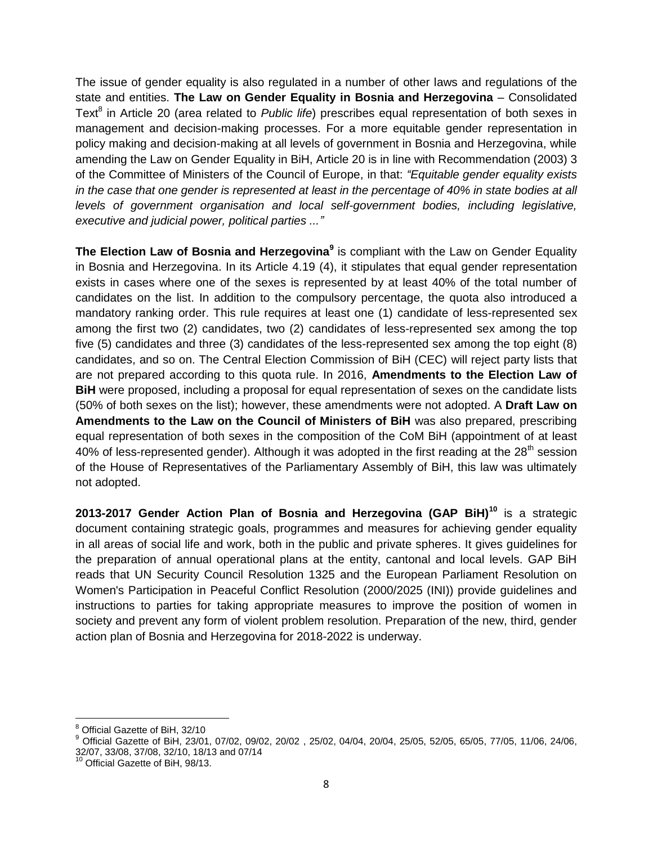The issue of gender equality is also regulated in a number of other laws and regulations of the state and entities. **The Law on Gender Equality in Bosnia and Herzegovina** – Consolidated Text<sup>8</sup> in Article 20 (area related to Public life) prescribes equal representation of both sexes in management and decision-making processes. For a more equitable gender representation in policy making and decision-making at all levels of government in Bosnia and Herzegovina, while amending the Law on Gender Equality in BiH, Article 20 is in line with Recommendation (2003) 3 of the Committee of Ministers of the Council of Europe, in that: *"Equitable gender equality exists in the case that one gender is represented at least in the percentage of 40% in state bodies at all levels of government organisation and local self-government bodies, including legislative, executive and judicial power, political parties ..."*

**The Election Law of Bosnia and Herzegovina<sup>9</sup>** is compliant with the Law on Gender Equality in Bosnia and Herzegovina. In its Article 4.19 (4), it stipulates that equal gender representation exists in cases where one of the sexes is represented by at least 40% of the total number of candidates on the list. In addition to the compulsory percentage, the quota also introduced a mandatory ranking order. This rule requires at least one (1) candidate of less-represented sex among the first two (2) candidates, two (2) candidates of less-represented sex among the top five (5) candidates and three (3) candidates of the less-represented sex among the top eight (8) candidates, and so on. The Central Election Commission of BiH (CEC) will reject party lists that are not prepared according to this quota rule. In 2016, **Amendments to the Election Law of BiH** were proposed, including a proposal for equal representation of sexes on the candidate lists (50% of both sexes on the list); however, these amendments were not adopted. A **Draft Law on Amendments to the Law on the Council of Ministers of BiH** was also prepared, prescribing equal representation of both sexes in the composition of the CoM BiH (appointment of at least 40% of less-represented gender). Although it was adopted in the first reading at the  $28<sup>th</sup>$  session of the House of Representatives of the Parliamentary Assembly of BiH, this law was ultimately not adopted.

**2013-2017 Gender Action Plan of Bosnia and Herzegovina (GAP BiH)<sup>10</sup>** is a strategic document containing strategic goals, programmes and measures for achieving gender equality in all areas of social life and work, both in the public and private spheres. It gives guidelines for the preparation of annual operational plans at the entity, cantonal and local levels. GAP BiH reads that UN Security Council Resolution 1325 and the European Parliament Resolution on Women's Participation in Peaceful Conflict Resolution (2000/2025 (INI)) provide guidelines and instructions to parties for taking appropriate measures to improve the position of women in society and prevent any form of violent problem resolution. Preparation of the new, third, gender action plan of Bosnia and Herzegovina for 2018-2022 is underway.

 $\overline{a}$ 

Official Gazette of BiH, 32/10

<sup>9</sup> Official Gazette of BiH, 23/01, 07/02, 09/02, 20/02 , 25/02, 04/04, 20/04, 25/05, 52/05, 65/05, 77/05, 11/06, 24/06, 32/07, 33/08, 37/08, 32/10, 18/13 and 07/14

<sup>&</sup>lt;sup>10</sup> Official Gazette of BiH, 98/13.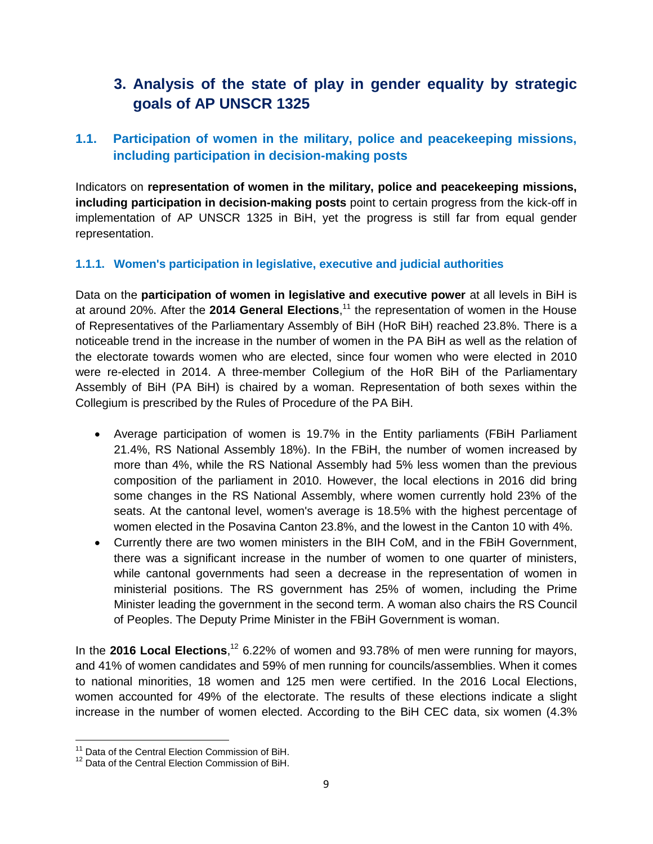# <span id="page-8-0"></span>**3. Analysis of the state of play in gender equality by strategic goals of AP UNSCR 1325**

### <span id="page-8-1"></span>**1.1. Participation of women in the military, police and peacekeeping missions, including participation in decision-making posts**

Indicators on **representation of women in the military, police and peacekeeping missions, including participation in decision-making posts** point to certain progress from the kick-off in implementation of AP UNSCR 1325 in BiH, yet the progress is still far from equal gender representation.

#### <span id="page-8-2"></span>**1.1.1. Women's participation in legislative, executive and judicial authorities**

Data on the **participation of women in legislative and executive power** at all levels in BiH is at around 20%. After the **2014 General Elections**, <sup>11</sup> the representation of women in the House of Representatives of the Parliamentary Assembly of BiH (HoR BiH) reached 23.8%. There is a noticeable trend in the increase in the number of women in the PA BiH as well as the relation of the electorate towards women who are elected, since four women who were elected in 2010 were re-elected in 2014. A three-member Collegium of the HoR BiH of the Parliamentary Assembly of BiH (PA BiH) is chaired by a woman. Representation of both sexes within the Collegium is prescribed by the Rules of Procedure of the PA BiH.

- Average participation of women is 19.7% in the Entity parliaments (FBiH Parliament 21.4%, RS National Assembly 18%). In the FBiH, the number of women increased by more than 4%, while the RS National Assembly had 5% less women than the previous composition of the parliament in 2010. However, the local elections in 2016 did bring some changes in the RS National Assembly, where women currently hold 23% of the seats. At the cantonal level, women's average is 18.5% with the highest percentage of women elected in the Posavina Canton 23.8%, and the lowest in the Canton 10 with 4%.
- Currently there are two women ministers in the BIH CoM, and in the FBiH Government, there was a significant increase in the number of women to one quarter of ministers, while cantonal governments had seen a decrease in the representation of women in ministerial positions. The RS government has 25% of women, including the Prime Minister leading the government in the second term. A woman also chairs the RS Council of Peoples. The Deputy Prime Minister in the FBiH Government is woman.

In the **2016 Local Elections**, <sup>12</sup> 6.22% of women and 93.78% of men were running for mayors, and 41% of women candidates and 59% of men running for councils/assemblies. When it comes to national minorities, 18 women and 125 men were certified. In the 2016 Local Elections, women accounted for 49% of the electorate. The results of these elections indicate a slight increase in the number of women elected. According to the BiH CEC data, six women (4.3%

 $\overline{a}$ 

 $11$  Data of the Central Election Commission of BiH.

<sup>&</sup>lt;sup>12</sup> Data of the Central Election Commission of BiH.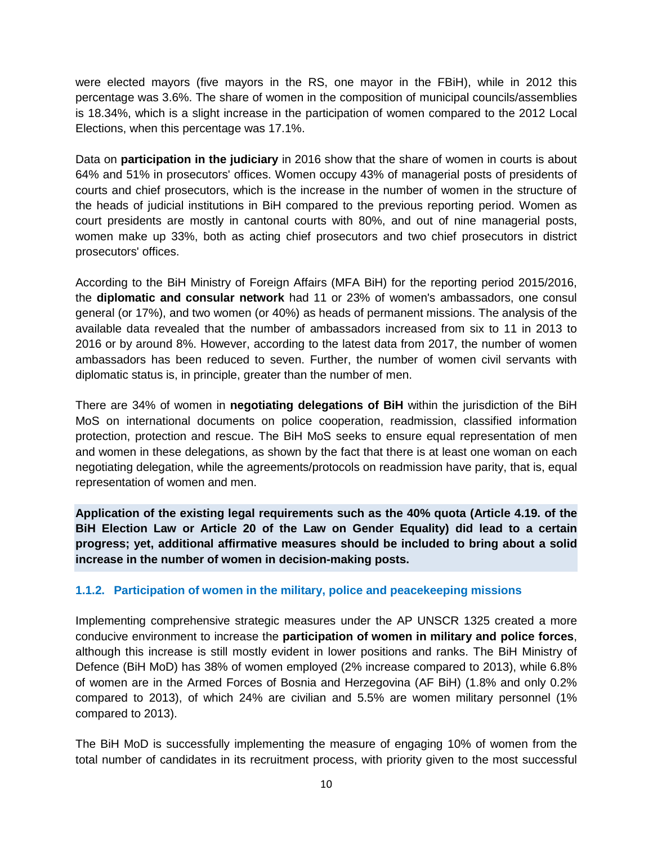were elected mayors (five mayors in the RS, one mayor in the FBiH), while in 2012 this percentage was 3.6%. The share of women in the composition of municipal councils/assemblies is 18.34%, which is a slight increase in the participation of women compared to the 2012 Local Elections, when this percentage was 17.1%.

Data on **participation in the judiciary** in 2016 show that the share of women in courts is about 64% and 51% in prosecutors' offices. Women occupy 43% of managerial posts of presidents of courts and chief prosecutors, which is the increase in the number of women in the structure of the heads of judicial institutions in BiH compared to the previous reporting period. Women as court presidents are mostly in cantonal courts with 80%, and out of nine managerial posts, women make up 33%, both as acting chief prosecutors and two chief prosecutors in district prosecutors' offices.

According to the BiH Ministry of Foreign Affairs (MFA BiH) for the reporting period 2015/2016, the **diplomatic and consular network** had 11 or 23% of women's ambassadors, one consul general (or 17%), and two women (or 40%) as heads of permanent missions. The analysis of the available data revealed that the number of ambassadors increased from six to 11 in 2013 to 2016 or by around 8%. However, according to the latest data from 2017, the number of women ambassadors has been reduced to seven. Further, the number of women civil servants with diplomatic status is, in principle, greater than the number of men.

There are 34% of women in **negotiating delegations of BiH** within the jurisdiction of the BiH MoS on international documents on police cooperation, readmission, classified information protection, protection and rescue. The BiH MoS seeks to ensure equal representation of men and women in these delegations, as shown by the fact that there is at least one woman on each negotiating delegation, while the agreements/protocols on readmission have parity, that is, equal representation of women and men.

**Application of the existing legal requirements such as the 40% quota (Article 4.19. of the BiH Election Law or Article 20 of the Law on Gender Equality) did lead to a certain progress; yet, additional affirmative measures should be included to bring about a solid increase in the number of women in decision-making posts.**

#### <span id="page-9-0"></span>**1.1.2. Participation of women in the military, police and peacekeeping missions**

Implementing comprehensive strategic measures under the AP UNSCR 1325 created a more conducive environment to increase the **participation of women in military and police forces**, although this increase is still mostly evident in lower positions and ranks. The BiH Ministry of Defence (BiH MoD) has 38% of women employed (2% increase compared to 2013), while 6.8% of women are in the Armed Forces of Bosnia and Herzegovina (AF BiH) (1.8% and only 0.2% compared to 2013), of which 24% are civilian and 5.5% are women military personnel (1% compared to 2013).

The BiH MoD is successfully implementing the measure of engaging 10% of women from the total number of candidates in its recruitment process, with priority given to the most successful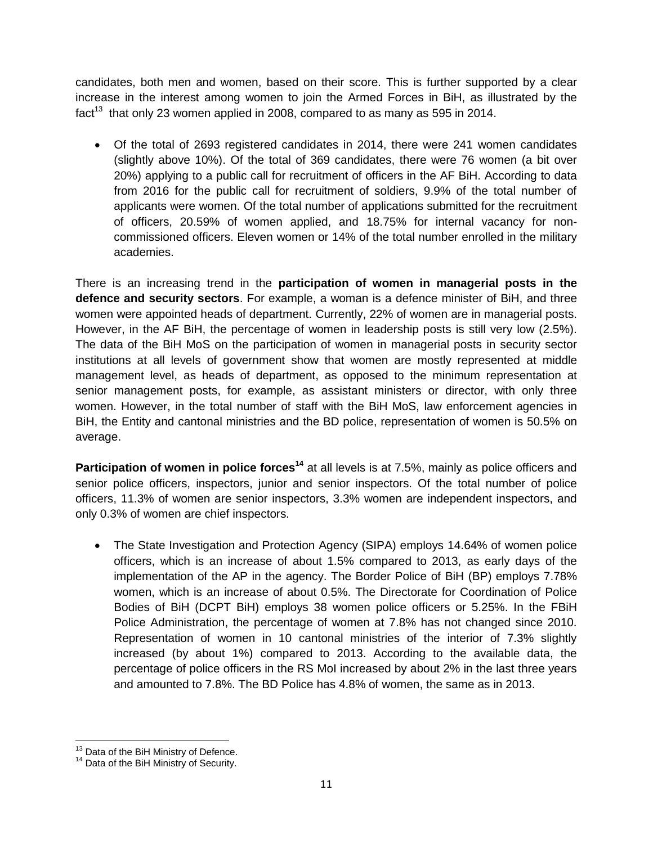candidates, both men and women, based on their score. This is further supported by a clear increase in the interest among women to join the Armed Forces in BiH, as illustrated by the fact<sup>13</sup> that only 23 women applied in 2008, compared to as many as 595 in 2014.

 Of the total of 2693 registered candidates in 2014, there were 241 women candidates (slightly above 10%). Of the total of 369 candidates, there were 76 women (a bit over 20%) applying to a public call for recruitment of officers in the AF BiH. According to data from 2016 for the public call for recruitment of soldiers, 9.9% of the total number of applicants were women. Of the total number of applications submitted for the recruitment of officers, 20.59% of women applied, and 18.75% for internal vacancy for noncommissioned officers. Eleven women or 14% of the total number enrolled in the military academies.

There is an increasing trend in the **participation of women in managerial posts in the defence and security sectors**. For example, a woman is a defence minister of BiH, and three women were appointed heads of department. Currently, 22% of women are in managerial posts. However, in the AF BiH, the percentage of women in leadership posts is still very low (2.5%). The data of the BiH MoS on the participation of women in managerial posts in security sector institutions at all levels of government show that women are mostly represented at middle management level, as heads of department, as opposed to the minimum representation at senior management posts, for example, as assistant ministers or director, with only three women. However, in the total number of staff with the BiH MoS, law enforcement agencies in BiH, the Entity and cantonal ministries and the BD police, representation of women is 50.5% on average.

**Participation of women in police forces<sup>14</sup> at all levels is at 7.5%, mainly as police officers and** senior police officers, inspectors, junior and senior inspectors. Of the total number of police officers, 11.3% of women are senior inspectors, 3.3% women are independent inspectors, and only 0.3% of women are chief inspectors.

 The State Investigation and Protection Agency (SIPA) employs 14.64% of women police officers, which is an increase of about 1.5% compared to 2013, as early days of the implementation of the AP in the agency. The Border Police of BiH (BP) employs 7.78% women, which is an increase of about 0.5%. The Directorate for Coordination of Police Bodies of BiH (DCPT BiH) employs 38 women police officers or 5.25%. In the FBiH Police Administration, the percentage of women at 7.8% has not changed since 2010. Representation of women in 10 cantonal ministries of the interior of 7.3% slightly increased (by about 1%) compared to 2013. According to the available data, the percentage of police officers in the RS MoI increased by about 2% in the last three years and amounted to 7.8%. The BD Police has 4.8% of women, the same as in 2013.

 $\overline{a}$  $13$  Data of the BiH Ministry of Defence.

<sup>&</sup>lt;sup>14</sup> Data of the BiH Ministry of Security.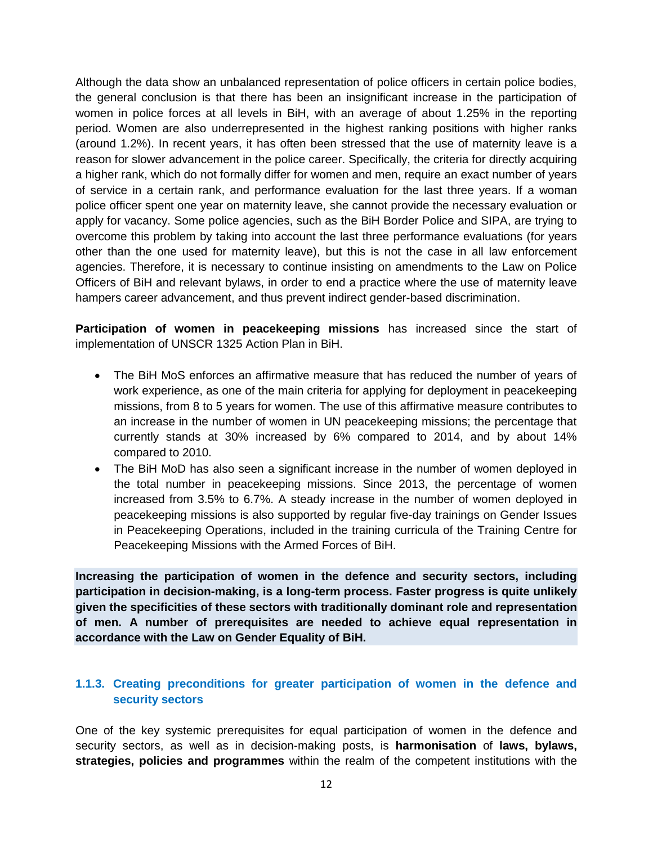Although the data show an unbalanced representation of police officers in certain police bodies, the general conclusion is that there has been an insignificant increase in the participation of women in police forces at all levels in BiH, with an average of about 1.25% in the reporting period. Women are also underrepresented in the highest ranking positions with higher ranks (around 1.2%). In recent years, it has often been stressed that the use of maternity leave is a reason for slower advancement in the police career. Specifically, the criteria for directly acquiring a higher rank, which do not formally differ for women and men, require an exact number of years of service in a certain rank, and performance evaluation for the last three years. If a woman police officer spent one year on maternity leave, she cannot provide the necessary evaluation or apply for vacancy. Some police agencies, such as the BiH Border Police and SIPA, are trying to overcome this problem by taking into account the last three performance evaluations (for years other than the one used for maternity leave), but this is not the case in all law enforcement agencies. Therefore, it is necessary to continue insisting on amendments to the Law on Police Officers of BiH and relevant bylaws, in order to end a practice where the use of maternity leave hampers career advancement, and thus prevent indirect gender-based discrimination.

**Participation of women in peacekeeping missions** has increased since the start of implementation of UNSCR 1325 Action Plan in BiH.

- The BiH MoS enforces an affirmative measure that has reduced the number of years of work experience, as one of the main criteria for applying for deployment in peacekeeping missions, from 8 to 5 years for women. The use of this affirmative measure contributes to an increase in the number of women in UN peacekeeping missions; the percentage that currently stands at 30% increased by 6% compared to 2014, and by about 14% compared to 2010.
- The BiH MoD has also seen a significant increase in the number of women deployed in the total number in peacekeeping missions. Since 2013, the percentage of women increased from 3.5% to 6.7%. A steady increase in the number of women deployed in peacekeeping missions is also supported by regular five-day trainings on Gender Issues in Peacekeeping Operations, included in the training curricula of the Training Centre for Peacekeeping Missions with the Armed Forces of BiH.

**Increasing the participation of women in the defence and security sectors, including participation in decision-making, is a long-term process. Faster progress is quite unlikely given the specificities of these sectors with traditionally dominant role and representation of men. A number of prerequisites are needed to achieve equal representation in accordance with the Law on Gender Equality of BiH.**

#### <span id="page-11-0"></span>**1.1.3. Creating preconditions for greater participation of women in the defence and security sectors**

One of the key systemic prerequisites for equal participation of women in the defence and security sectors, as well as in decision-making posts, is **harmonisation** of **laws, bylaws, strategies, policies and programmes** within the realm of the competent institutions with the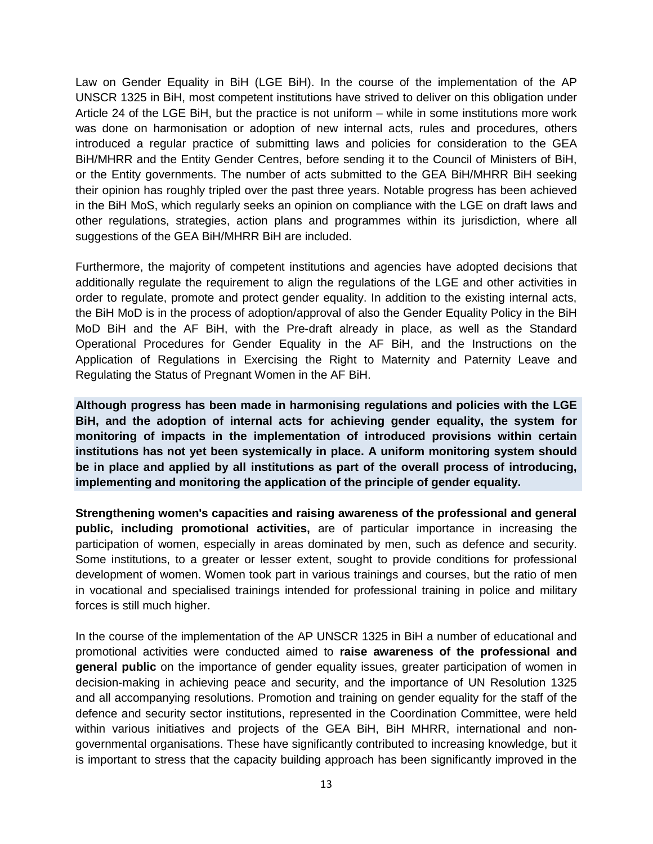Law on Gender Equality in BiH (LGE BiH). In the course of the implementation of the AP UNSCR 1325 in BiH, most competent institutions have strived to deliver on this obligation under Article 24 of the LGE BiH, but the practice is not uniform – while in some institutions more work was done on harmonisation or adoption of new internal acts, rules and procedures, others introduced a regular practice of submitting laws and policies for consideration to the GEA BiH/MHRR and the Entity Gender Centres, before sending it to the Council of Ministers of BiH, or the Entity governments. The number of acts submitted to the GEA BiH/MHRR BiH seeking their opinion has roughly tripled over the past three years. Notable progress has been achieved in the BiH MoS, which regularly seeks an opinion on compliance with the LGE on draft laws and other regulations, strategies, action plans and programmes within its jurisdiction, where all suggestions of the GEA BiH/MHRR BiH are included.

Furthermore, the majority of competent institutions and agencies have adopted decisions that additionally regulate the requirement to align the regulations of the LGE and other activities in order to regulate, promote and protect gender equality. In addition to the existing internal acts, the BiH MoD is in the process of adoption/approval of also the Gender Equality Policy in the BiH MoD BiH and the AF BiH, with the Pre-draft already in place, as well as the Standard Operational Procedures for Gender Equality in the AF BiH, and the Instructions on the Application of Regulations in Exercising the Right to Maternity and Paternity Leave and Regulating the Status of Pregnant Women in the AF BiH.

**Although progress has been made in harmonising regulations and policies with the LGE BiH, and the adoption of internal acts for achieving gender equality, the system for monitoring of impacts in the implementation of introduced provisions within certain institutions has not yet been systemically in place. A uniform monitoring system should be in place and applied by all institutions as part of the overall process of introducing, implementing and monitoring the application of the principle of gender equality.**

**Strengthening women's capacities and raising awareness of the professional and general public, including promotional activities,** are of particular importance in increasing the participation of women, especially in areas dominated by men, such as defence and security. Some institutions, to a greater or lesser extent, sought to provide conditions for professional development of women. Women took part in various trainings and courses, but the ratio of men in vocational and specialised trainings intended for professional training in police and military forces is still much higher.

In the course of the implementation of the AP UNSCR 1325 in BiH a number of educational and promotional activities were conducted aimed to **raise awareness of the professional and general public** on the importance of gender equality issues, greater participation of women in decision-making in achieving peace and security, and the importance of UN Resolution 1325 and all accompanying resolutions. Promotion and training on gender equality for the staff of the defence and security sector institutions, represented in the Coordination Committee, were held within various initiatives and projects of the GEA BiH, BiH MHRR, international and nongovernmental organisations. These have significantly contributed to increasing knowledge, but it is important to stress that the capacity building approach has been significantly improved in the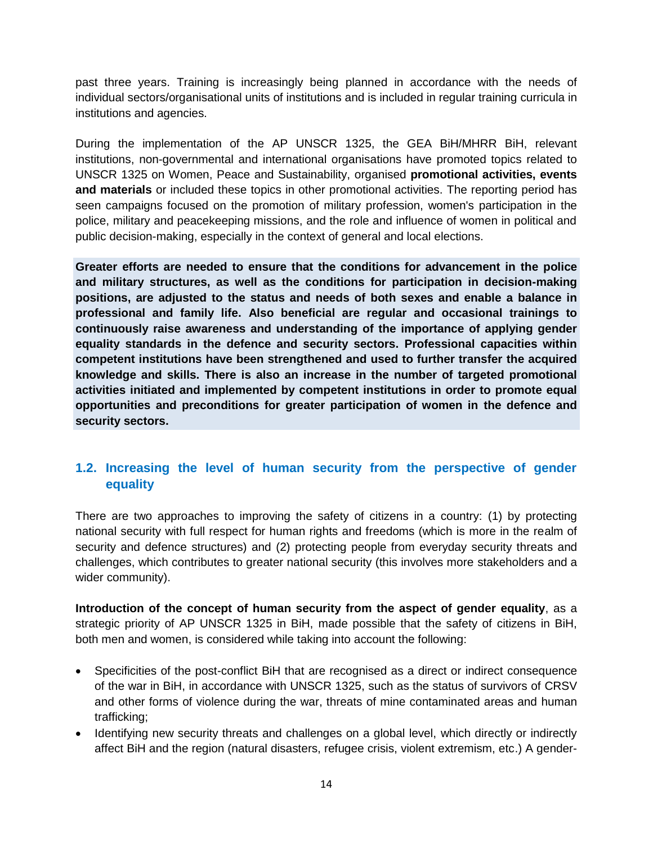past three years. Training is increasingly being planned in accordance with the needs of individual sectors/organisational units of institutions and is included in regular training curricula in institutions and agencies.

During the implementation of the AP UNSCR 1325, the GEA BiH/MHRR BiH, relevant institutions, non-governmental and international organisations have promoted topics related to UNSCR 1325 on Women, Peace and Sustainability, organised **promotional activities, events and materials** or included these topics in other promotional activities. The reporting period has seen campaigns focused on the promotion of military profession, women's participation in the police, military and peacekeeping missions, and the role and influence of women in political and public decision-making, especially in the context of general and local elections.

**Greater efforts are needed to ensure that the conditions for advancement in the police and military structures, as well as the conditions for participation in decision-making positions, are adjusted to the status and needs of both sexes and enable a balance in professional and family life. Also beneficial are regular and occasional trainings to continuously raise awareness and understanding of the importance of applying gender equality standards in the defence and security sectors. Professional capacities within competent institutions have been strengthened and used to further transfer the acquired knowledge and skills. There is also an increase in the number of targeted promotional activities initiated and implemented by competent institutions in order to promote equal opportunities and preconditions for greater participation of women in the defence and security sectors.**

### <span id="page-13-0"></span>**1.2. Increasing the level of human security from the perspective of gender equality**

There are two approaches to improving the safety of citizens in a country: (1) by protecting national security with full respect for human rights and freedoms (which is more in the realm of security and defence structures) and (2) protecting people from everyday security threats and challenges, which contributes to greater national security (this involves more stakeholders and a wider community).

**Introduction of the concept of human security from the aspect of gender equality**, as a strategic priority of AP UNSCR 1325 in BiH, made possible that the safety of citizens in BiH, both men and women, is considered while taking into account the following:

- Specificities of the post-conflict BiH that are recognised as a direct or indirect consequence of the war in BiH, in accordance with UNSCR 1325, such as the status of survivors of CRSV and other forms of violence during the war, threats of mine contaminated areas and human trafficking;
- Identifying new security threats and challenges on a global level, which directly or indirectly affect BiH and the region (natural disasters, refugee crisis, violent extremism, etc.) A gender-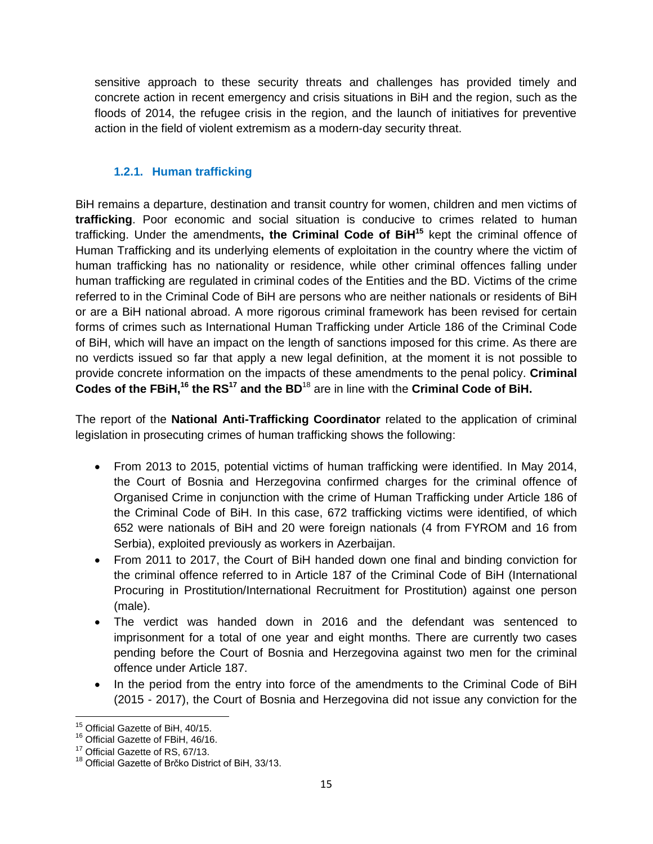sensitive approach to these security threats and challenges has provided timely and concrete action in recent emergency and crisis situations in BiH and the region, such as the floods of 2014, the refugee crisis in the region, and the launch of initiatives for preventive action in the field of violent extremism as a modern-day security threat.

### <span id="page-14-0"></span>**1.2.1. Human trafficking**

BiH remains a departure, destination and transit country for women, children and men victims of **trafficking**. Poor economic and social situation is conducive to crimes related to human trafficking. Under the amendments**, the Criminal Code of BiH<sup>15</sup>** kept the criminal offence of Human Trafficking and its underlying elements of exploitation in the country where the victim of human trafficking has no nationality or residence, while other criminal offences falling under human trafficking are regulated in criminal codes of the Entities and the BD. Victims of the crime referred to in the Criminal Code of BiH are persons who are neither nationals or residents of BiH or are a BiH national abroad. A more rigorous criminal framework has been revised for certain forms of crimes such as International Human Trafficking under Article 186 of the Criminal Code of BiH, which will have an impact on the length of sanctions imposed for this crime. As there are no verdicts issued so far that apply a new legal definition, at the moment it is not possible to provide concrete information on the impacts of these amendments to the penal policy. **Criminal Codes of the FBiH,<sup>16</sup> the RS<sup>17</sup> and the BD**<sup>18</sup> are in line with the **Criminal Code of BiH.**

The report of the **National Anti-Trafficking Coordinator** related to the application of criminal legislation in prosecuting crimes of human trafficking shows the following:

- From 2013 to 2015, potential victims of human trafficking were identified. In May 2014, the Court of Bosnia and Herzegovina confirmed charges for the criminal offence of Organised Crime in conjunction with the crime of Human Trafficking under Article 186 of the Criminal Code of BiH. In this case, 672 trafficking victims were identified, of which 652 were nationals of BiH and 20 were foreign nationals (4 from FYROM and 16 from Serbia), exploited previously as workers in Azerbaijan.
- From 2011 to 2017, the Court of BiH handed down one final and binding conviction for the criminal offence referred to in Article 187 of the Criminal Code of BiH (International Procuring in Prostitution/International Recruitment for Prostitution) against one person (male).
- The verdict was handed down in 2016 and the defendant was sentenced to imprisonment for a total of one year and eight months. There are currently two cases pending before the Court of Bosnia and Herzegovina against two men for the criminal offence under Article 187.
- In the period from the entry into force of the amendments to the Criminal Code of BiH (2015 - 2017), the Court of Bosnia and Herzegovina did not issue any conviction for the

 $\overline{a}$ <sup>15</sup> Official Gazette of BiH, 40/15.

<sup>&</sup>lt;sup>16</sup> Official Gazette of FBiH, 46/16.

<sup>&</sup>lt;sup>17</sup> Official Gazette of RS, 67/13.

<sup>&</sup>lt;sup>18</sup> Official Gazette of Brčko District of BiH, 33/13.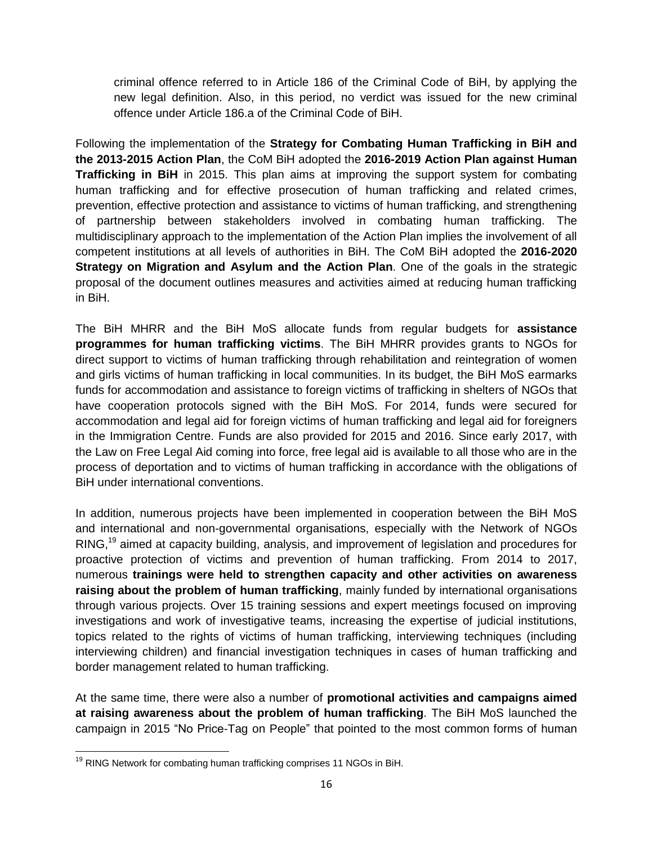criminal offence referred to in Article 186 of the Criminal Code of BiH, by applying the new legal definition. Also, in this period, no verdict was issued for the new criminal offence under Article 186.a of the Criminal Code of BiH.

Following the implementation of the **Strategy for Combating Human Trafficking in BiH and the 2013-2015 Action Plan**, the CoM BiH adopted the **2016-2019 Action Plan against Human Trafficking in BiH** in 2015. This plan aims at improving the support system for combating human trafficking and for effective prosecution of human trafficking and related crimes, prevention, effective protection and assistance to victims of human trafficking, and strengthening of partnership between stakeholders involved in combating human trafficking. The multidisciplinary approach to the implementation of the Action Plan implies the involvement of all competent institutions at all levels of authorities in BiH. The CoM BiH adopted the **2016-2020 Strategy on Migration and Asylum and the Action Plan**. One of the goals in the strategic proposal of the document outlines measures and activities aimed at reducing human trafficking in BiH.

The BiH MHRR and the BiH MoS allocate funds from regular budgets for **assistance programmes for human trafficking victims**. The BiH MHRR provides grants to NGOs for direct support to victims of human trafficking through rehabilitation and reintegration of women and girls victims of human trafficking in local communities. In its budget, the BiH MoS earmarks funds for accommodation and assistance to foreign victims of trafficking in shelters of NGOs that have cooperation protocols signed with the BiH MoS. For 2014, funds were secured for accommodation and legal aid for foreign victims of human trafficking and legal aid for foreigners in the Immigration Centre. Funds are also provided for 2015 and 2016. Since early 2017, with the Law on Free Legal Aid coming into force, free legal aid is available to all those who are in the process of deportation and to victims of human trafficking in accordance with the obligations of BiH under international conventions.

In addition, numerous projects have been implemented in cooperation between the BiH MoS and international and non-governmental organisations, especially with the Network of NGOs RING,<sup>19</sup> aimed at capacity building, analysis, and improvement of legislation and procedures for proactive protection of victims and prevention of human trafficking. From 2014 to 2017, numerous **trainings were held to strengthen capacity and other activities on awareness raising about the problem of human trafficking**, mainly funded by international organisations through various projects. Over 15 training sessions and expert meetings focused on improving investigations and work of investigative teams, increasing the expertise of judicial institutions, topics related to the rights of victims of human trafficking, interviewing techniques (including interviewing children) and financial investigation techniques in cases of human trafficking and border management related to human trafficking.

At the same time, there were also a number of **promotional activities and campaigns aimed at raising awareness about the problem of human trafficking**. The BiH MoS launched the campaign in 2015 "No Price-Tag on People" that pointed to the most common forms of human

 $\overline{a}$  $19$  RING Network for combating human trafficking comprises 11 NGOs in BiH.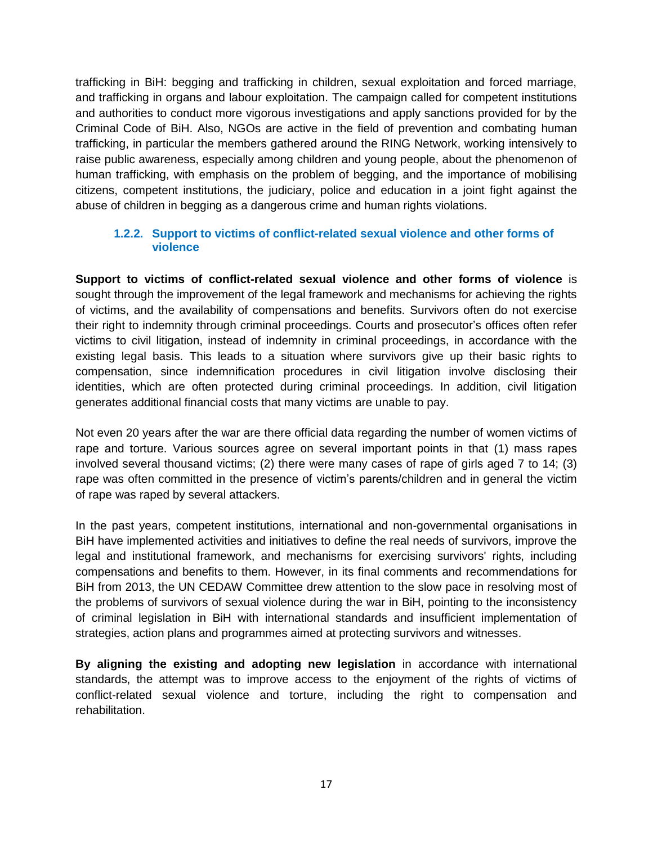trafficking in BiH: begging and trafficking in children, sexual exploitation and forced marriage, and trafficking in organs and labour exploitation. The campaign called for competent institutions and authorities to conduct more vigorous investigations and apply sanctions provided for by the Criminal Code of BiH. Also, NGOs are active in the field of prevention and combating human trafficking, in particular the members gathered around the RING Network, working intensively to raise public awareness, especially among children and young people, about the phenomenon of human trafficking, with emphasis on the problem of begging, and the importance of mobilising citizens, competent institutions, the judiciary, police and education in a joint fight against the abuse of children in begging as a dangerous crime and human rights violations.

#### <span id="page-16-0"></span>**1.2.2. Support to victims of conflict-related sexual violence and other forms of violence**

**Support to victims of conflict-related sexual violence and other forms of violence** is sought through the improvement of the legal framework and mechanisms for achieving the rights of victims, and the availability of compensations and benefits. Survivors often do not exercise their right to indemnity through criminal proceedings. Courts and prosecutor's offices often refer victims to civil litigation, instead of indemnity in criminal proceedings, in accordance with the existing legal basis. This leads to a situation where survivors give up their basic rights to compensation, since indemnification procedures in civil litigation involve disclosing their identities, which are often protected during criminal proceedings. In addition, civil litigation generates additional financial costs that many victims are unable to pay.

Not even 20 years after the war are there official data regarding the number of women victims of rape and torture. Various sources agree on several important points in that (1) mass rapes involved several thousand victims; (2) there were many cases of rape of girls aged 7 to 14; (3) rape was often committed in the presence of victim's parents/children and in general the victim of rape was raped by several attackers.

In the past years, competent institutions, international and non-governmental organisations in BiH have implemented activities and initiatives to define the real needs of survivors, improve the legal and institutional framework, and mechanisms for exercising survivors' rights, including compensations and benefits to them. However, in its final comments and recommendations for BiH from 2013, the UN CEDAW Committee drew attention to the slow pace in resolving most of the problems of survivors of sexual violence during the war in BiH, pointing to the inconsistency of criminal legislation in BiH with international standards and insufficient implementation of strategies, action plans and programmes aimed at protecting survivors and witnesses.

**By aligning the existing and adopting new legislation** in accordance with international standards, the attempt was to improve access to the enjoyment of the rights of victims of conflict-related sexual violence and torture, including the right to compensation and rehabilitation.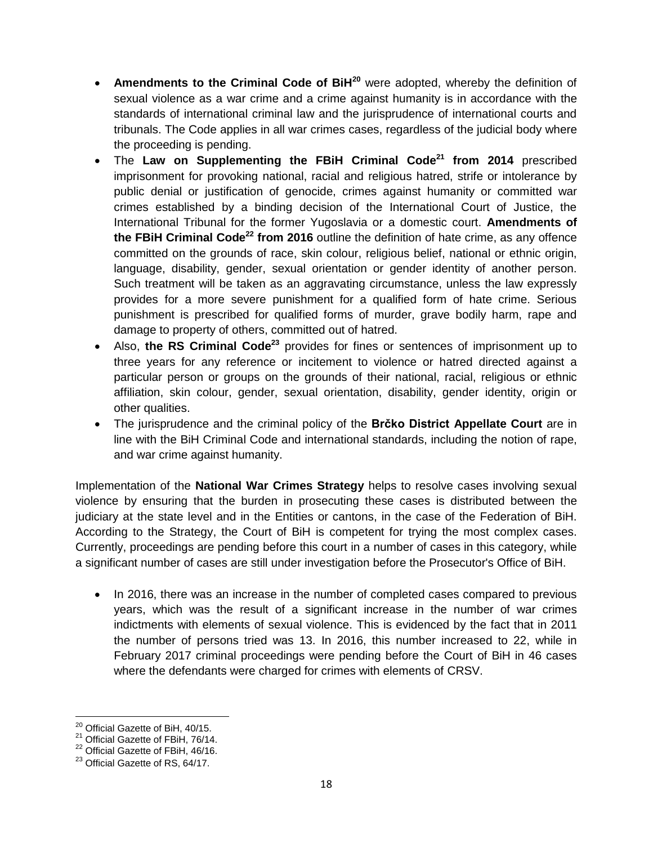- **Amendments to the Criminal Code of BiH<sup>20</sup>** were adopted, whereby the definition of sexual violence as a war crime and a crime against humanity is in accordance with the standards of international criminal law and the jurisprudence of international courts and tribunals. The Code applies in all war crimes cases, regardless of the judicial body where the proceeding is pending.
- The **Law on Supplementing the FBiH Criminal Code<sup>21</sup> from 2014** prescribed imprisonment for provoking national, racial and religious hatred, strife or intolerance by public denial or justification of genocide, crimes against humanity or committed war crimes established by a binding decision of the International Court of Justice, the International Tribunal for the former Yugoslavia or a domestic court. **Amendments of the FBiH Criminal Code<sup>22</sup> from 2016** outline the definition of hate crime, as any offence committed on the grounds of race, skin colour, religious belief, national or ethnic origin, language, disability, gender, sexual orientation or gender identity of another person. Such treatment will be taken as an aggravating circumstance, unless the law expressly provides for a more severe punishment for a qualified form of hate crime. Serious punishment is prescribed for qualified forms of murder, grave bodily harm, rape and damage to property of others, committed out of hatred.
- Also, **the RS Criminal Code<sup>23</sup>** provides for fines or sentences of imprisonment up to three years for any reference or incitement to violence or hatred directed against a particular person or groups on the grounds of their national, racial, religious or ethnic affiliation, skin colour, gender, sexual orientation, disability, gender identity, origin or other qualities.
- The jurisprudence and the criminal policy of the **Brčko District Appellate Court** are in line with the BiH Criminal Code and international standards, including the notion of rape, and war crime against humanity.

Implementation of the **National War Crimes Strategy** helps to resolve cases involving sexual violence by ensuring that the burden in prosecuting these cases is distributed between the judiciary at the state level and in the Entities or cantons, in the case of the Federation of BiH. According to the Strategy, the Court of BiH is competent for trying the most complex cases. Currently, proceedings are pending before this court in a number of cases in this category, while a significant number of cases are still under investigation before the Prosecutor's Office of BiH.

 In 2016, there was an increase in the number of completed cases compared to previous years, which was the result of a significant increase in the number of war crimes indictments with elements of sexual violence. This is evidenced by the fact that in 2011 the number of persons tried was 13. In 2016, this number increased to 22, while in February 2017 criminal proceedings were pending before the Court of BiH in 46 cases where the defendants were charged for crimes with elements of CRSV.

 $\overline{a}$ 

 $^{20}$  Official Gazette of BiH, 40/15.

<sup>&</sup>lt;sup>21</sup> Official Gazette of FBiH, 76/14.

<sup>&</sup>lt;sup>22</sup> Official Gazette of FBiH, 46/16.

<sup>&</sup>lt;sup>23</sup> Official Gazette of RS, 64/17.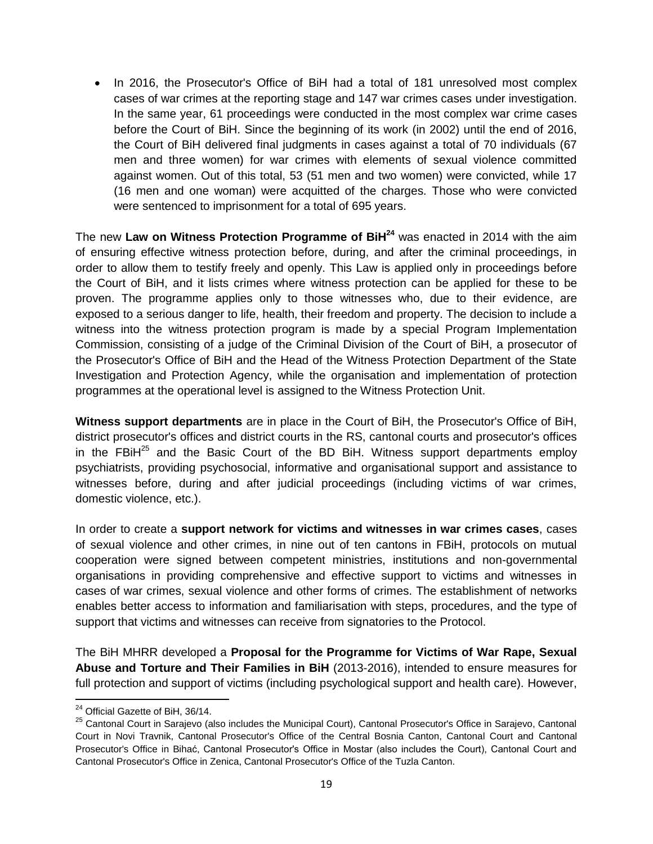• In 2016, the Prosecutor's Office of BiH had a total of 181 unresolved most complex cases of war crimes at the reporting stage and 147 war crimes cases under investigation. In the same year, 61 proceedings were conducted in the most complex war crime cases before the Court of BiH. Since the beginning of its work (in 2002) until the end of 2016, the Court of BiH delivered final judgments in cases against a total of 70 individuals (67 men and three women) for war crimes with elements of sexual violence committed against women. Out of this total, 53 (51 men and two women) were convicted, while 17 (16 men and one woman) were acquitted of the charges. Those who were convicted were sentenced to imprisonment for a total of 695 years.

The new **Law on Witness Protection Programme of BiH<sup>24</sup>** was enacted in 2014 with the aim of ensuring effective witness protection before, during, and after the criminal proceedings, in order to allow them to testify freely and openly. This Law is applied only in proceedings before the Court of BiH, and it lists crimes where witness protection can be applied for these to be proven. The programme applies only to those witnesses who, due to their evidence, are exposed to a serious danger to life, health, their freedom and property. The decision to include a witness into the witness protection program is made by a special Program Implementation Commission, consisting of a judge of the Criminal Division of the Court of BiH, a prosecutor of the Prosecutor's Office of BiH and the Head of the Witness Protection Department of the State Investigation and Protection Agency, while the organisation and implementation of protection programmes at the operational level is assigned to the Witness Protection Unit.

**Witness support departments** are in place in the Court of BiH, the Prosecutor's Office of BiH, district prosecutor's offices and district courts in the RS, cantonal courts and prosecutor's offices in the FBi $H^{25}$  and the Basic Court of the BD BiH. Witness support departments employ psychiatrists, providing psychosocial, informative and organisational support and assistance to witnesses before, during and after judicial proceedings (including victims of war crimes, domestic violence, etc.).

In order to create a **support network for victims and witnesses in war crimes cases**, cases of sexual violence and other crimes, in nine out of ten cantons in FBiH, protocols on mutual cooperation were signed between competent ministries, institutions and non-governmental organisations in providing comprehensive and effective support to victims and witnesses in cases of war crimes, sexual violence and other forms of crimes. The establishment of networks enables better access to information and familiarisation with steps, procedures, and the type of support that victims and witnesses can receive from signatories to the Protocol.

The BiH MHRR developed a **Proposal for the Programme for Victims of War Rape, Sexual Abuse and Torture and Their Families in BiH** (2013-2016), intended to ensure measures for full protection and support of victims (including psychological support and health care). However,

 $\overline{a}$ 

 $24$  Official Gazette of BiH, 36/14.

<sup>&</sup>lt;sup>25</sup> Cantonal Court in Sarajevo (also includes the Municipal Court), Cantonal Prosecutor's Office in Sarajevo, Cantonal Court in Novi Travnik, Cantonal Prosecutor's Office of the Central Bosnia Canton, Cantonal Court and Cantonal Prosecutor's Office in Bihać, Cantonal Prosecutor's Office in Mostar (also includes the Court), Cantonal Court and Cantonal Prosecutor's Office in Zenica, Cantonal Prosecutor's Office of the Tuzla Canton.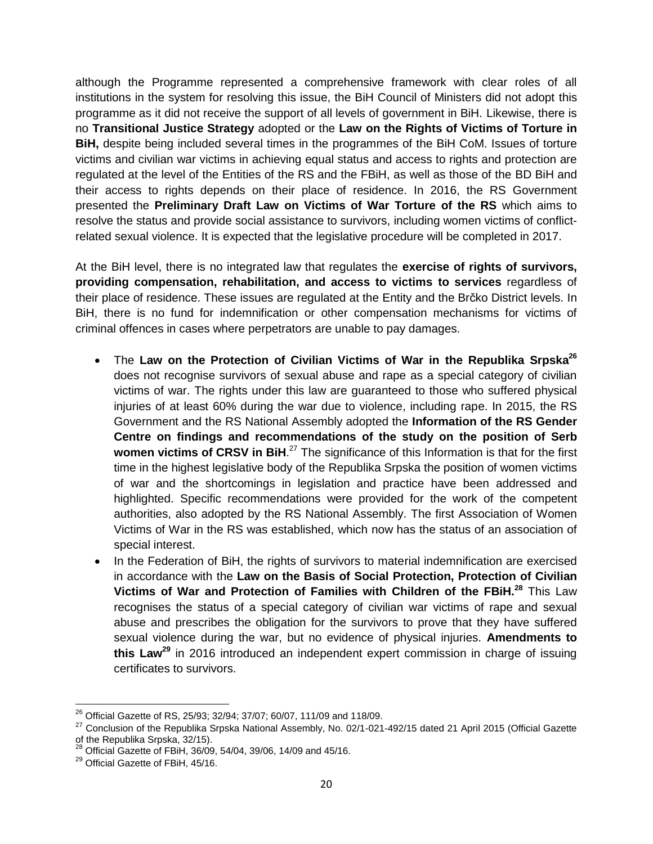although the Programme represented a comprehensive framework with clear roles of all institutions in the system for resolving this issue, the BiH Council of Ministers did not adopt this programme as it did not receive the support of all levels of government in BiH. Likewise, there is no **Transitional Justice Strategy** adopted or the **Law on the Rights of Victims of Torture in BiH,** despite being included several times in the programmes of the BiH CoM. Issues of torture victims and civilian war victims in achieving equal status and access to rights and protection are regulated at the level of the Entities of the RS and the FBiH, as well as those of the BD BiH and their access to rights depends on their place of residence. In 2016, the RS Government presented the **Preliminary Draft Law on Victims of War Torture of the RS** which aims to resolve the status and provide social assistance to survivors, including women victims of conflictrelated sexual violence. It is expected that the legislative procedure will be completed in 2017.

At the BiH level, there is no integrated law that regulates the **exercise of rights of survivors, providing compensation, rehabilitation, and access to victims to services** regardless of their place of residence. These issues are regulated at the Entity and the Brčko District levels. In BiH, there is no fund for indemnification or other compensation mechanisms for victims of criminal offences in cases where perpetrators are unable to pay damages.

- The **Law on the Protection of Civilian Victims of War in the Republika Srpska<sup>26</sup>** does not recognise survivors of sexual abuse and rape as a special category of civilian victims of war. The rights under this law are guaranteed to those who suffered physical injuries of at least 60% during the war due to violence, including rape. In 2015, the RS Government and the RS National Assembly adopted the **Information of the RS Gender Centre on findings and recommendations of the study on the position of Serb women victims of CRSV in BiH**. <sup>27</sup> The significance of this Information is that for the first time in the highest legislative body of the Republika Srpska the position of women victims of war and the shortcomings in legislation and practice have been addressed and highlighted. Specific recommendations were provided for the work of the competent authorities, also adopted by the RS National Assembly. The first Association of Women Victims of War in the RS was established, which now has the status of an association of special interest.
- In the Federation of BiH, the rights of survivors to material indemnification are exercised in accordance with the **Law on the Basis of Social Protection, Protection of Civilian Victims of War and Protection of Families with Children of the FBiH.<sup>28</sup>** This Law recognises the status of a special category of civilian war victims of rape and sexual abuse and prescribes the obligation for the survivors to prove that they have suffered sexual violence during the war, but no evidence of physical injuries. **Amendments to this Law<sup>29</sup>** in 2016 introduced an independent expert commission in charge of issuing certificates to survivors.

 $\overline{a}$  $^{26}$  Official Gazette of RS, 25/93; 32/94; 37/07; 60/07, 111/09 and 118/09.

<sup>&</sup>lt;sup>27</sup> Conclusion of the Republika Srpska National Assembly, No. 02/1-021-492/15 dated 21 April 2015 (Official Gazette of the Republika Srpska, 32/15).

<sup>28</sup> Official Gazette of FBiH, 36/09, 54/04, 39/06, 14/09 and 45/16.

<sup>&</sup>lt;sup>29</sup> Official Gazette of FBiH, 45/16.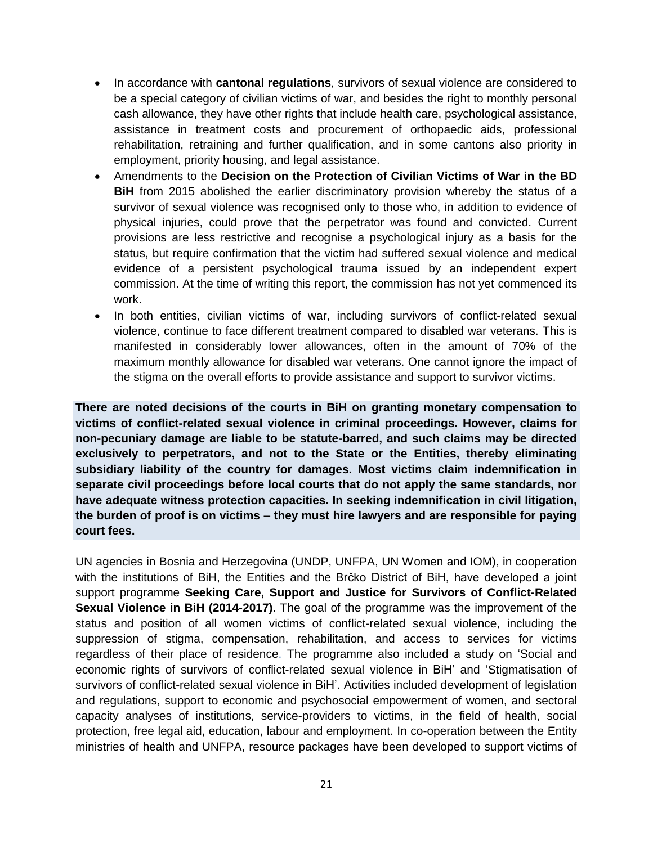- In accordance with **cantonal regulations**, survivors of sexual violence are considered to be a special category of civilian victims of war, and besides the right to monthly personal cash allowance, they have other rights that include health care, psychological assistance, assistance in treatment costs and procurement of orthopaedic aids, professional rehabilitation, retraining and further qualification, and in some cantons also priority in employment, priority housing, and legal assistance.
- Amendments to the **Decision on the Protection of Civilian Victims of War in the BD BiH** from 2015 abolished the earlier discriminatory provision whereby the status of a survivor of sexual violence was recognised only to those who, in addition to evidence of physical injuries, could prove that the perpetrator was found and convicted. Current provisions are less restrictive and recognise a psychological injury as a basis for the status, but require confirmation that the victim had suffered sexual violence and medical evidence of a persistent psychological trauma issued by an independent expert commission. At the time of writing this report, the commission has not yet commenced its work.
- In both entities, civilian victims of war, including survivors of conflict-related sexual violence, continue to face different treatment compared to disabled war veterans. This is manifested in considerably lower allowances, often in the amount of 70% of the maximum monthly allowance for disabled war veterans. One cannot ignore the impact of the stigma on the overall efforts to provide assistance and support to survivor victims.

**There are noted decisions of the courts in BiH on granting monetary compensation to victims of conflict-related sexual violence in criminal proceedings. However, claims for non-pecuniary damage are liable to be statute-barred, and such claims may be directed exclusively to perpetrators, and not to the State or the Entities, thereby eliminating subsidiary liability of the country for damages. Most victims claim indemnification in separate civil proceedings before local courts that do not apply the same standards, nor have adequate witness protection capacities. In seeking indemnification in civil litigation, the burden of proof is on victims – they must hire lawyers and are responsible for paying court fees.**

UN agencies in Bosnia and Herzegovina (UNDP, UNFPA, UN Women and IOM), in cooperation with the institutions of BiH, the Entities and the Brčko District of BiH, have developed a joint support programme **Seeking Care, Support and Justice for Survivors of Conflict-Related Sexual Violence in BiH (2014-2017)**. The goal of the programme was the improvement of the status and position of all women victims of conflict-related sexual violence, including the suppression of stigma, compensation, rehabilitation, and access to services for victims regardless of their place of residence. The programme also included a study on 'Social and economic rights of survivors of conflict-related sexual violence in BiH' and 'Stigmatisation of survivors of conflict-related sexual violence in BiH'. Activities included development of legislation and regulations, support to economic and psychosocial empowerment of women, and sectoral capacity analyses of institutions, service-providers to victims, in the field of health, social protection, free legal aid, education, labour and employment. In co-operation between the Entity ministries of health and UNFPA, resource packages have been developed to support victims of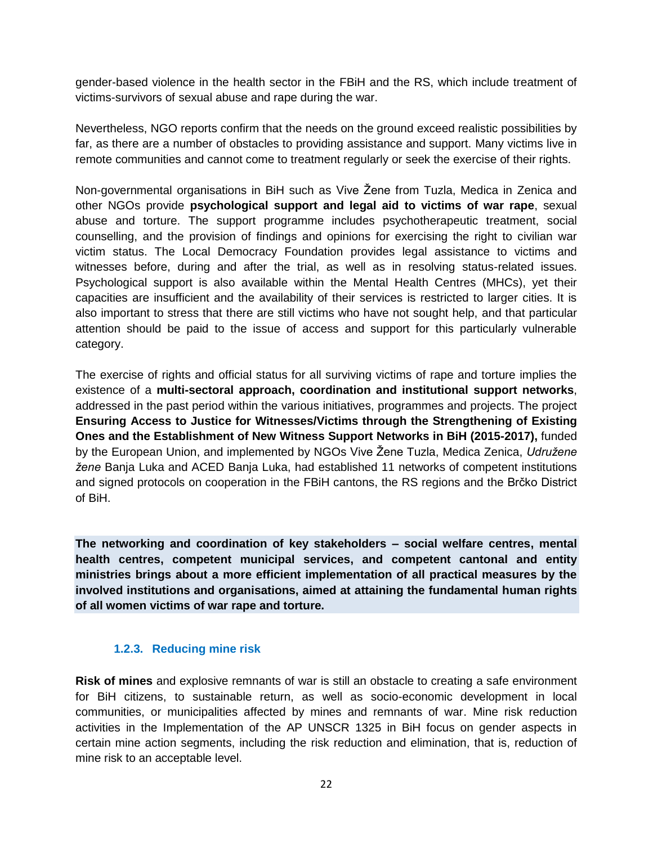gender-based violence in the health sector in the FBiH and the RS, which include treatment of victims-survivors of sexual abuse and rape during the war.

Nevertheless, NGO reports confirm that the needs on the ground exceed realistic possibilities by far, as there are a number of obstacles to providing assistance and support. Many victims live in remote communities and cannot come to treatment regularly or seek the exercise of their rights.

Non-governmental organisations in BiH such as Vive Žene from Tuzla, Medica in Zenica and other NGOs provide **psychological support and legal aid to victims of war rape**, sexual abuse and torture. The support programme includes psychotherapeutic treatment, social counselling, and the provision of findings and opinions for exercising the right to civilian war victim status. The Local Democracy Foundation provides legal assistance to victims and witnesses before, during and after the trial, as well as in resolving status-related issues. Psychological support is also available within the Mental Health Centres (MHCs), yet their capacities are insufficient and the availability of their services is restricted to larger cities. It is also important to stress that there are still victims who have not sought help, and that particular attention should be paid to the issue of access and support for this particularly vulnerable category.

The exercise of rights and official status for all surviving victims of rape and torture implies the existence of a **multi-sectoral approach, coordination and institutional support networks**, addressed in the past period within the various initiatives, programmes and projects. The project **Ensuring Access to Justice for Witnesses/Victims through the Strengthening of Existing Ones and the Establishment of New Witness Support Networks in BiH (2015-2017),** funded by the European Union, and implemented by NGOs Vive Žene Tuzla, Medica Zenica, *Udružene žene* Banja Luka and ACED Banja Luka, had established 11 networks of competent institutions and signed protocols on cooperation in the FBiH cantons, the RS regions and the Brčko District of BiH.

**The networking and coordination of key stakeholders – social welfare centres, mental health centres, competent municipal services, and competent cantonal and entity ministries brings about a more efficient implementation of all practical measures by the involved institutions and organisations, aimed at attaining the fundamental human rights of all women victims of war rape and torture.**

#### <span id="page-21-0"></span>**1.2.3. Reducing mine risk**

**Risk of mines** and explosive remnants of war is still an obstacle to creating a safe environment for BiH citizens, to sustainable return, as well as socio-economic development in local communities, or municipalities affected by mines and remnants of war. Mine risk reduction activities in the Implementation of the AP UNSCR 1325 in BiH focus on gender aspects in certain mine action segments, including the risk reduction and elimination, that is, reduction of mine risk to an acceptable level.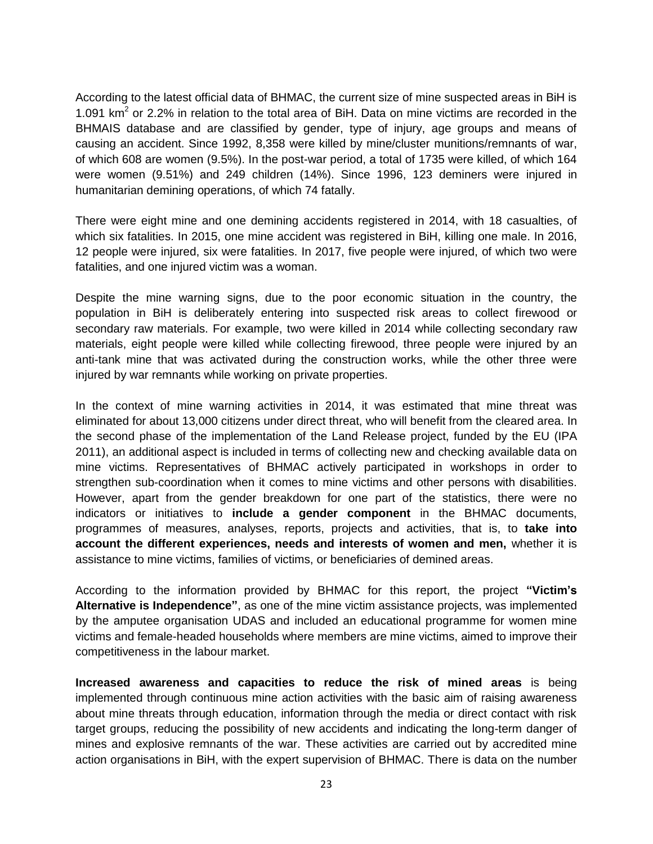According to the latest official data of BHMAC, the current size of mine suspected areas in BiH is 1.091  $km^2$  or 2.2% in relation to the total area of BiH. Data on mine victims are recorded in the BHMAIS database and are classified by gender, type of injury, age groups and means of causing an accident. Since 1992, 8,358 were killed by mine/cluster munitions/remnants of war, of which 608 are women (9.5%). In the post-war period, a total of 1735 were killed, of which 164 were women (9.51%) and 249 children (14%). Since 1996, 123 deminers were injured in humanitarian demining operations, of which 74 fatally.

There were eight mine and one demining accidents registered in 2014, with 18 casualties, of which six fatalities. In 2015, one mine accident was registered in BiH, killing one male. In 2016, 12 people were injured, six were fatalities. In 2017, five people were injured, of which two were fatalities, and one injured victim was a woman.

Despite the mine warning signs, due to the poor economic situation in the country, the population in BiH is deliberately entering into suspected risk areas to collect firewood or secondary raw materials. For example, two were killed in 2014 while collecting secondary raw materials, eight people were killed while collecting firewood, three people were injured by an anti-tank mine that was activated during the construction works, while the other three were injured by war remnants while working on private properties.

In the context of mine warning activities in 2014, it was estimated that mine threat was eliminated for about 13,000 citizens under direct threat, who will benefit from the cleared area. In the second phase of the implementation of the Land Release project, funded by the EU (IPA 2011), an additional aspect is included in terms of collecting new and checking available data on mine victims. Representatives of BHMAC actively participated in workshops in order to strengthen sub-coordination when it comes to mine victims and other persons with disabilities. However, apart from the gender breakdown for one part of the statistics, there were no indicators or initiatives to **include a gender component** in the BHMAC documents, programmes of measures, analyses, reports, projects and activities, that is, to **take into account the different experiences, needs and interests of women and men,** whether it is assistance to mine victims, families of victims, or beneficiaries of demined areas.

According to the information provided by BHMAC for this report, the project **"Victim's Alternative is Independence"**, as one of the mine victim assistance projects, was implemented by the amputee organisation UDAS and included an educational programme for women mine victims and female-headed households where members are mine victims, aimed to improve their competitiveness in the labour market.

**Increased awareness and capacities to reduce the risk of mined areas** is being implemented through continuous mine action activities with the basic aim of raising awareness about mine threats through education, information through the media or direct contact with risk target groups, reducing the possibility of new accidents and indicating the long-term danger of mines and explosive remnants of the war. These activities are carried out by accredited mine action organisations in BiH, with the expert supervision of BHMAC. There is data on the number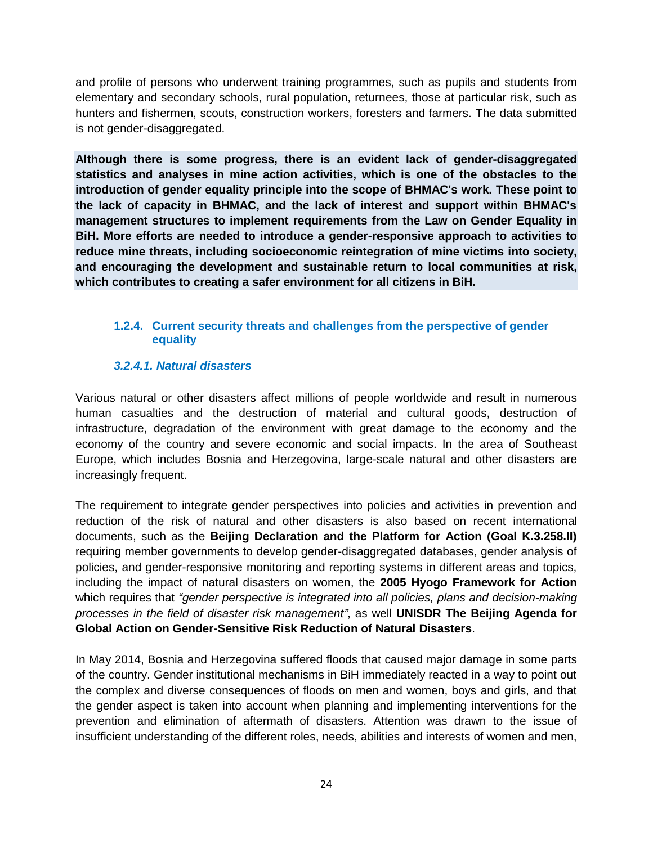and profile of persons who underwent training programmes, such as pupils and students from elementary and secondary schools, rural population, returnees, those at particular risk, such as hunters and fishermen, scouts, construction workers, foresters and farmers. The data submitted is not gender-disaggregated.

**Although there is some progress, there is an evident lack of gender-disaggregated statistics and analyses in mine action activities, which is one of the obstacles to the introduction of gender equality principle into the scope of BHMAC's work. These point to the lack of capacity in BHMAC, and the lack of interest and support within BHMAC's management structures to implement requirements from the Law on Gender Equality in BiH. More efforts are needed to introduce a gender-responsive approach to activities to reduce mine threats, including socioeconomic reintegration of mine victims into society, and encouraging the development and sustainable return to local communities at risk, which contributes to creating a safer environment for all citizens in BiH.**

#### <span id="page-23-0"></span>**1.2.4. Current security threats and challenges from the perspective of gender equality**

#### <span id="page-23-1"></span>*3.2.4.1. Natural disasters*

Various natural or other disasters affect millions of people worldwide and result in numerous human casualties and the destruction of material and cultural goods, destruction of infrastructure, degradation of the environment with great damage to the economy and the economy of the country and severe economic and social impacts. In the area of Southeast Europe, which includes Bosnia and Herzegovina, large-scale natural and other disasters are increasingly frequent.

The requirement to integrate gender perspectives into policies and activities in prevention and reduction of the risk of natural and other disasters is also based on recent international documents, such as the **Beijing Declaration and the Platform for Action (Goal K.3.258.II)** requiring member governments to develop gender-disaggregated databases, gender analysis of policies, and gender-responsive monitoring and reporting systems in different areas and topics, including the impact of natural disasters on women, the **2005 Hyogo Framework for Action**  which requires that *"gender perspective is integrated into all policies, plans and decision-making processes in the field of disaster risk management"*, as well **UNISDR The Beijing Agenda for Global Action on Gender-Sensitive Risk Reduction of Natural Disasters**.

In May 2014, Bosnia and Herzegovina suffered floods that caused major damage in some parts of the country. Gender institutional mechanisms in BiH immediately reacted in a way to point out the complex and diverse consequences of floods on men and women, boys and girls, and that the gender aspect is taken into account when planning and implementing interventions for the prevention and elimination of aftermath of disasters. Attention was drawn to the issue of insufficient understanding of the different roles, needs, abilities and interests of women and men,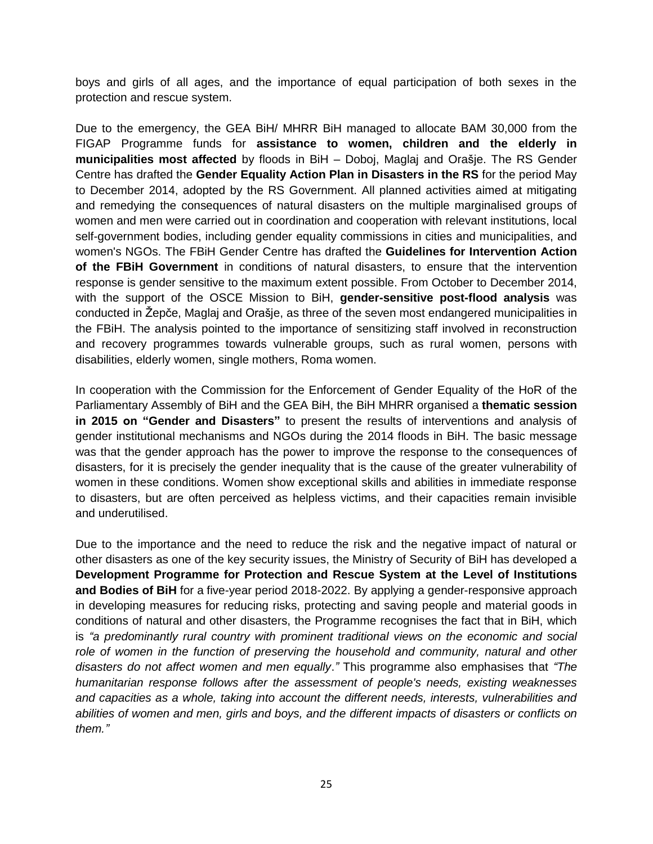boys and girls of all ages, and the importance of equal participation of both sexes in the protection and rescue system.

Due to the emergency, the GEA BiH/ MHRR BiH managed to allocate BAM 30,000 from the FIGAP Programme funds for **assistance to women, children and the elderly in municipalities most affected** by floods in BiH – Doboj, Maglaj and Orašje. The RS Gender Centre has drafted the **Gender Equality Action Plan in Disasters in the RS** for the period May to December 2014, adopted by the RS Government. All planned activities aimed at mitigating and remedying the consequences of natural disasters on the multiple marginalised groups of women and men were carried out in coordination and cooperation with relevant institutions, local self-government bodies, including gender equality commissions in cities and municipalities, and women's NGOs. The FBiH Gender Centre has drafted the **Guidelines for Intervention Action of the FBiH Government** in conditions of natural disasters, to ensure that the intervention response is gender sensitive to the maximum extent possible. From October to December 2014, with the support of the OSCE Mission to BiH, **gender-sensitive post-flood analysis** was conducted in Žepče, Maglaj and Orašje, as three of the seven most endangered municipalities in the FBiH. The analysis pointed to the importance of sensitizing staff involved in reconstruction and recovery programmes towards vulnerable groups, such as rural women, persons with disabilities, elderly women, single mothers, Roma women.

In cooperation with the Commission for the Enforcement of Gender Equality of the HoR of the Parliamentary Assembly of BiH and the GEA BiH, the BiH MHRR organised a **thematic session in 2015 on "Gender and Disasters"** to present the results of interventions and analysis of gender institutional mechanisms and NGOs during the 2014 floods in BiH. The basic message was that the gender approach has the power to improve the response to the consequences of disasters, for it is precisely the gender inequality that is the cause of the greater vulnerability of women in these conditions. Women show exceptional skills and abilities in immediate response to disasters, but are often perceived as helpless victims, and their capacities remain invisible and underutilised.

Due to the importance and the need to reduce the risk and the negative impact of natural or other disasters as one of the key security issues, the Ministry of Security of BiH has developed a **Development Programme for Protection and Rescue System at the Level of Institutions and Bodies of BiH** for a five-year period 2018-2022. By applying a gender-responsive approach in developing measures for reducing risks, protecting and saving people and material goods in conditions of natural and other disasters, the Programme recognises the fact that in BiH, which is *"a predominantly rural country with prominent traditional views on the economic and social role of women in the function of preserving the household and community, natural and other disasters do not affect women and men equally*.*"* This programme also emphasises that *"The humanitarian response follows after the assessment of people's needs, existing weaknesses and capacities as a whole, taking into account the different needs, interests, vulnerabilities and abilities of women and men, girls and boys, and the different impacts of disasters or conflicts on them."*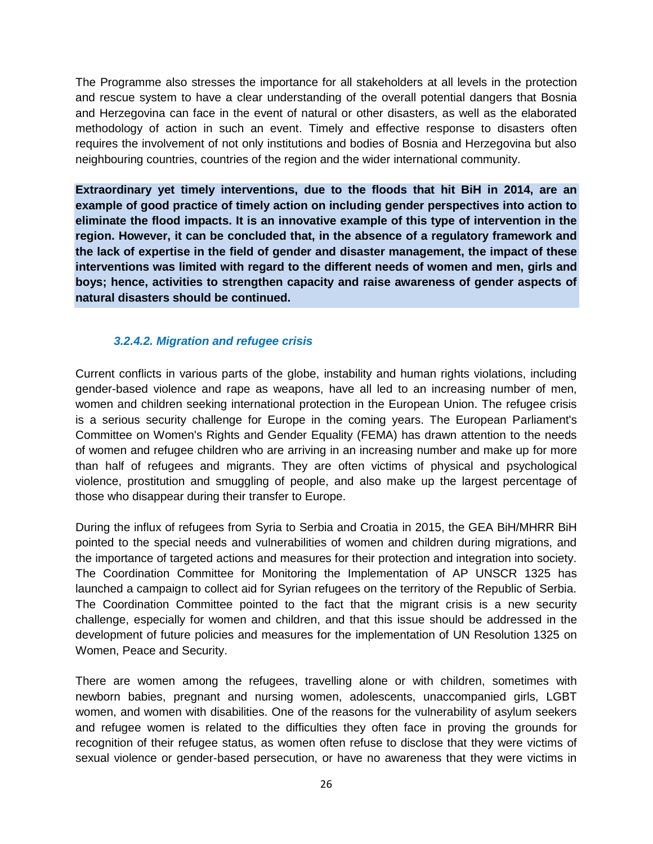The Programme also stresses the importance for all stakeholders at all levels in the protection and rescue system to have a clear understanding of the overall potential dangers that Bosnia and Herzegovina can face in the event of natural or other disasters, as well as the elaborated methodology of action in such an event. Timely and effective response to disasters often requires the involvement of not only institutions and bodies of Bosnia and Herzegovina but also neighbouring countries, countries of the region and the wider international community.

**Extraordinary yet timely interventions, due to the floods that hit BiH in 2014, are an example of good practice of timely action on including gender perspectives into action to eliminate the flood impacts. It is an innovative example of this type of intervention in the region. However, it can be concluded that, in the absence of a regulatory framework and the lack of expertise in the field of gender and disaster management, the impact of these interventions was limited with regard to the different needs of women and men, girls and boys; hence, activities to strengthen capacity and raise awareness of gender aspects of natural disasters should be continued.**

#### <span id="page-25-0"></span>*3.2.4.2. Migration and refugee crisis*

Current conflicts in various parts of the globe, instability and human rights violations, including gender-based violence and rape as weapons, have all led to an increasing number of men, women and children seeking international protection in the European Union. The refugee crisis is a serious security challenge for Europe in the coming years. The European Parliament's Committee on Women's Rights and Gender Equality (FEMA) has drawn attention to the needs of women and refugee children who are arriving in an increasing number and make up for more than half of refugees and migrants. They are often victims of physical and psychological violence, prostitution and smuggling of people, and also make up the largest percentage of those who disappear during their transfer to Europe.

During the influx of refugees from Syria to Serbia and Croatia in 2015, the GEA BiH/MHRR BiH pointed to the special needs and vulnerabilities of women and children during migrations, and the importance of targeted actions and measures for their protection and integration into society. The Coordination Committee for Monitoring the Implementation of AP UNSCR 1325 has launched a campaign to collect aid for Syrian refugees on the territory of the Republic of Serbia. The Coordination Committee pointed to the fact that the migrant crisis is a new security challenge, especially for women and children, and that this issue should be addressed in the development of future policies and measures for the implementation of UN Resolution 1325 on Women, Peace and Security.

There are women among the refugees, travelling alone or with children, sometimes with newborn babies, pregnant and nursing women, adolescents, unaccompanied girls, LGBT women, and women with disabilities. One of the reasons for the vulnerability of asylum seekers and refugee women is related to the difficulties they often face in proving the grounds for recognition of their refugee status, as women often refuse to disclose that they were victims of sexual violence or gender-based persecution, or have no awareness that they were victims in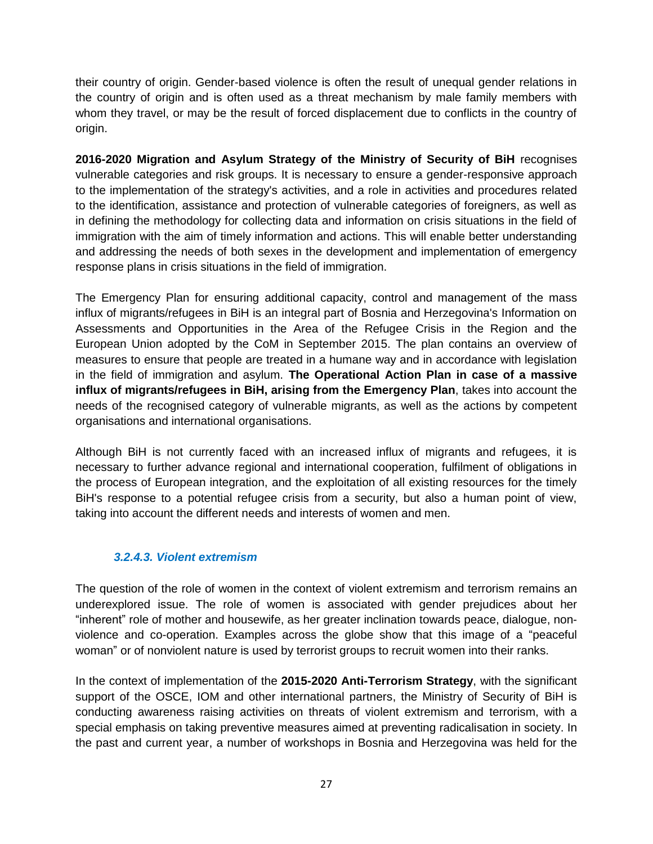their country of origin. Gender-based violence is often the result of unequal gender relations in the country of origin and is often used as a threat mechanism by male family members with whom they travel, or may be the result of forced displacement due to conflicts in the country of origin.

**2016-2020 Migration and Asylum Strategy of the Ministry of Security of BiH** recognises vulnerable categories and risk groups. It is necessary to ensure a gender-responsive approach to the implementation of the strategy's activities, and a role in activities and procedures related to the identification, assistance and protection of vulnerable categories of foreigners, as well as in defining the methodology for collecting data and information on crisis situations in the field of immigration with the aim of timely information and actions. This will enable better understanding and addressing the needs of both sexes in the development and implementation of emergency response plans in crisis situations in the field of immigration.

The Emergency Plan for ensuring additional capacity, control and management of the mass influx of migrants/refugees in BiH is an integral part of Bosnia and Herzegovina's Information on Assessments and Opportunities in the Area of the Refugee Crisis in the Region and the European Union adopted by the CoM in September 2015. The plan contains an overview of measures to ensure that people are treated in a humane way and in accordance with legislation in the field of immigration and asylum. **The Operational Action Plan in case of a massive influx of migrants/refugees in BiH, arising from the Emergency Plan**, takes into account the needs of the recognised category of vulnerable migrants, as well as the actions by competent organisations and international organisations.

Although BiH is not currently faced with an increased influx of migrants and refugees, it is necessary to further advance regional and international cooperation, fulfilment of obligations in the process of European integration, and the exploitation of all existing resources for the timely BiH's response to a potential refugee crisis from a security, but also a human point of view, taking into account the different needs and interests of women and men.

#### <span id="page-26-0"></span>*3.2.4.3. Violent extremism*

The question of the role of women in the context of violent extremism and terrorism remains an underexplored issue. The role of women is associated with gender prejudices about her "inherent" role of mother and housewife, as her greater inclination towards peace, dialogue, nonviolence and co-operation. Examples across the globe show that this image of a "peaceful woman" or of nonviolent nature is used by terrorist groups to recruit women into their ranks.

In the context of implementation of the **2015-2020 Anti-Terrorism Strategy**, with the significant support of the OSCE, IOM and other international partners, the Ministry of Security of BiH is conducting awareness raising activities on threats of violent extremism and terrorism, with a special emphasis on taking preventive measures aimed at preventing radicalisation in society. In the past and current year, a number of workshops in Bosnia and Herzegovina was held for the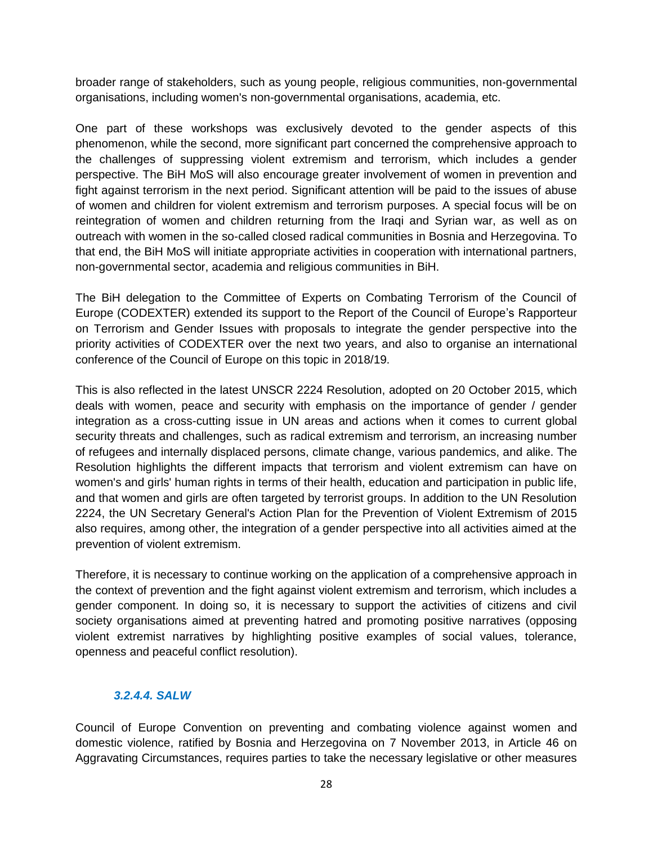broader range of stakeholders, such as young people, religious communities, non-governmental organisations, including women's non-governmental organisations, academia, etc.

One part of these workshops was exclusively devoted to the gender aspects of this phenomenon, while the second, more significant part concerned the comprehensive approach to the challenges of suppressing violent extremism and terrorism, which includes a gender perspective. The BiH MoS will also encourage greater involvement of women in prevention and fight against terrorism in the next period. Significant attention will be paid to the issues of abuse of women and children for violent extremism and terrorism purposes. A special focus will be on reintegration of women and children returning from the Iraqi and Syrian war, as well as on outreach with women in the so-called closed radical communities in Bosnia and Herzegovina. To that end, the BiH MoS will initiate appropriate activities in cooperation with international partners, non-governmental sector, academia and religious communities in BiH.

The BiH delegation to the Committee of Experts on Combating Terrorism of the Council of Europe (CODEXTER) extended its support to the Report of the Council of Europe's Rapporteur on Terrorism and Gender Issues with proposals to integrate the gender perspective into the priority activities of CODEXTER over the next two years, and also to organise an international conference of the Council of Europe on this topic in 2018/19.

This is also reflected in the latest UNSCR 2224 Resolution, adopted on 20 October 2015, which deals with women, peace and security with emphasis on the importance of gender / gender integration as a cross-cutting issue in UN areas and actions when it comes to current global security threats and challenges, such as radical extremism and terrorism, an increasing number of refugees and internally displaced persons, climate change, various pandemics, and alike. The Resolution highlights the different impacts that terrorism and violent extremism can have on women's and girls' human rights in terms of their health, education and participation in public life, and that women and girls are often targeted by terrorist groups. In addition to the UN Resolution 2224, the UN Secretary General's Action Plan for the Prevention of Violent Extremism of 2015 also requires, among other, the integration of a gender perspective into all activities aimed at the prevention of violent extremism.

Therefore, it is necessary to continue working on the application of a comprehensive approach in the context of prevention and the fight against violent extremism and terrorism, which includes a gender component. In doing so, it is necessary to support the activities of citizens and civil society organisations aimed at preventing hatred and promoting positive narratives (opposing violent extremist narratives by highlighting positive examples of social values, tolerance, openness and peaceful conflict resolution).

#### <span id="page-27-0"></span>*3.2.4.4. SALW*

Council of Europe Convention on preventing and combating violence against women and domestic violence, ratified by Bosnia and Herzegovina on 7 November 2013, in Article 46 on Aggravating Circumstances, requires parties to take the necessary legislative or other measures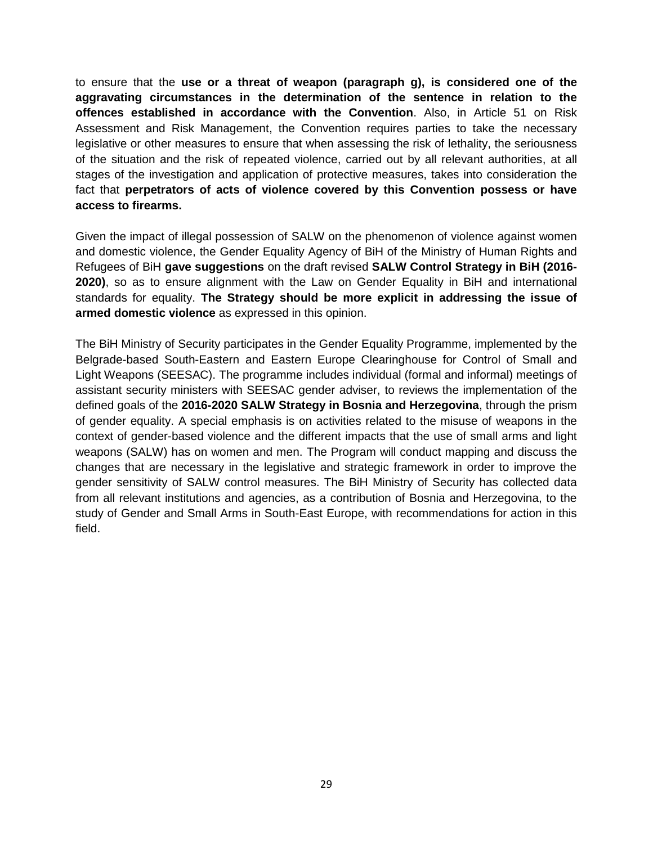to ensure that the **use or a threat of weapon (paragraph g), is considered one of the aggravating circumstances in the determination of the sentence in relation to the offences established in accordance with the Convention**. Also, in Article 51 on Risk Assessment and Risk Management, the Convention requires parties to take the necessary legislative or other measures to ensure that when assessing the risk of lethality, the seriousness of the situation and the risk of repeated violence, carried out by all relevant authorities, at all stages of the investigation and application of protective measures, takes into consideration the fact that **perpetrators of acts of violence covered by this Convention possess or have access to firearms.**

Given the impact of illegal possession of SALW on the phenomenon of violence against women and domestic violence, the Gender Equality Agency of BiH of the Ministry of Human Rights and Refugees of BiH **gave suggestions** on the draft revised **SALW Control Strategy in BiH (2016- 2020)**, so as to ensure alignment with the Law on Gender Equality in BiH and international standards for equality. **The Strategy should be more explicit in addressing the issue of armed domestic violence** as expressed in this opinion.

The BiH Ministry of Security participates in the Gender Equality Programme, implemented by the Belgrade-based South-Eastern and Eastern Europe Clearinghouse for Control of Small and Light Weapons (SEESAC). The programme includes individual (formal and informal) meetings of assistant security ministers with SEESAC gender adviser, to reviews the implementation of the defined goals of the **2016-2020 SALW Strategy in Bosnia and Herzegovina**, through the prism of gender equality. A special emphasis is on activities related to the misuse of weapons in the context of gender-based violence and the different impacts that the use of small arms and light weapons (SALW) has on women and men. The Program will conduct mapping and discuss the changes that are necessary in the legislative and strategic framework in order to improve the gender sensitivity of SALW control measures. The BiH Ministry of Security has collected data from all relevant institutions and agencies, as a contribution of Bosnia and Herzegovina, to the study of Gender and Small Arms in South-East Europe, with recommendations for action in this field.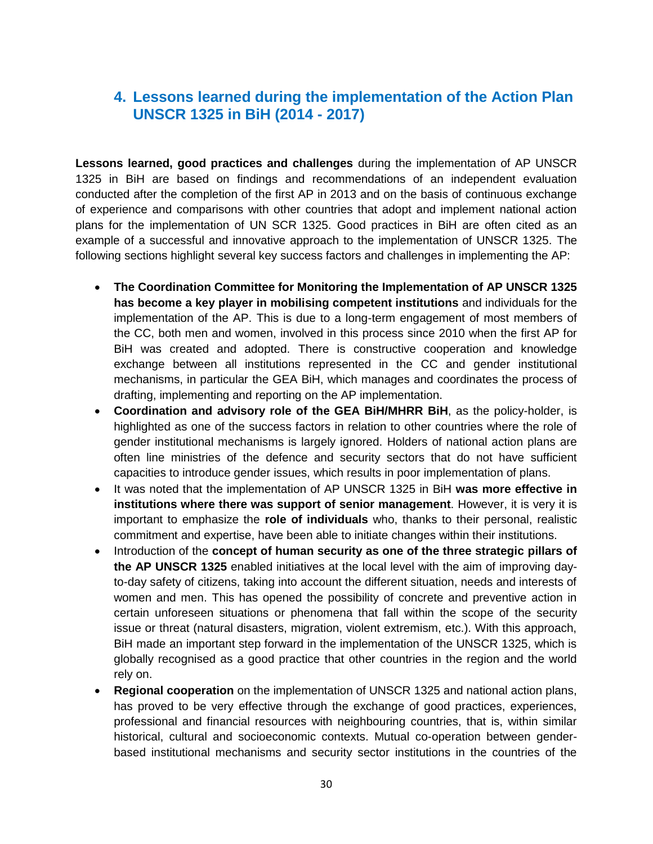# <span id="page-29-0"></span>**4. Lessons learned during the implementation of the Action Plan UNSCR 1325 in BiH (2014 - 2017)**

**Lessons learned, good practices and challenges** during the implementation of AP UNSCR 1325 in BiH are based on findings and recommendations of an independent evaluation conducted after the completion of the first AP in 2013 and on the basis of continuous exchange of experience and comparisons with other countries that adopt and implement national action plans for the implementation of UN SCR 1325. Good practices in BiH are often cited as an example of a successful and innovative approach to the implementation of UNSCR 1325. The following sections highlight several key success factors and challenges in implementing the AP:

- **The Coordination Committee for Monitoring the Implementation of AP UNSCR 1325 has become a key player in mobilising competent institutions** and individuals for the implementation of the AP. This is due to a long-term engagement of most members of the CC, both men and women, involved in this process since 2010 when the first AP for BiH was created and adopted. There is constructive cooperation and knowledge exchange between all institutions represented in the CC and gender institutional mechanisms, in particular the GEA BiH, which manages and coordinates the process of drafting, implementing and reporting on the AP implementation.
- **Coordination and advisory role of the GEA BiH/MHRR BiH**, as the policy-holder, is highlighted as one of the success factors in relation to other countries where the role of gender institutional mechanisms is largely ignored. Holders of national action plans are often line ministries of the defence and security sectors that do not have sufficient capacities to introduce gender issues, which results in poor implementation of plans.
- It was noted that the implementation of AP UNSCR 1325 in BiH **was more effective in institutions where there was support of senior management**. However, it is very it is important to emphasize the **role of individuals** who, thanks to their personal, realistic commitment and expertise, have been able to initiate changes within their institutions.
- Introduction of the **concept of human security as one of the three strategic pillars of the AP UNSCR 1325** enabled initiatives at the local level with the aim of improving dayto-day safety of citizens, taking into account the different situation, needs and interests of women and men. This has opened the possibility of concrete and preventive action in certain unforeseen situations or phenomena that fall within the scope of the security issue or threat (natural disasters, migration, violent extremism, etc.). With this approach, BiH made an important step forward in the implementation of the UNSCR 1325, which is globally recognised as a good practice that other countries in the region and the world rely on.
- **Regional cooperation** on the implementation of UNSCR 1325 and national action plans, has proved to be very effective through the exchange of good practices, experiences, professional and financial resources with neighbouring countries, that is, within similar historical, cultural and socioeconomic contexts. Mutual co-operation between genderbased institutional mechanisms and security sector institutions in the countries of the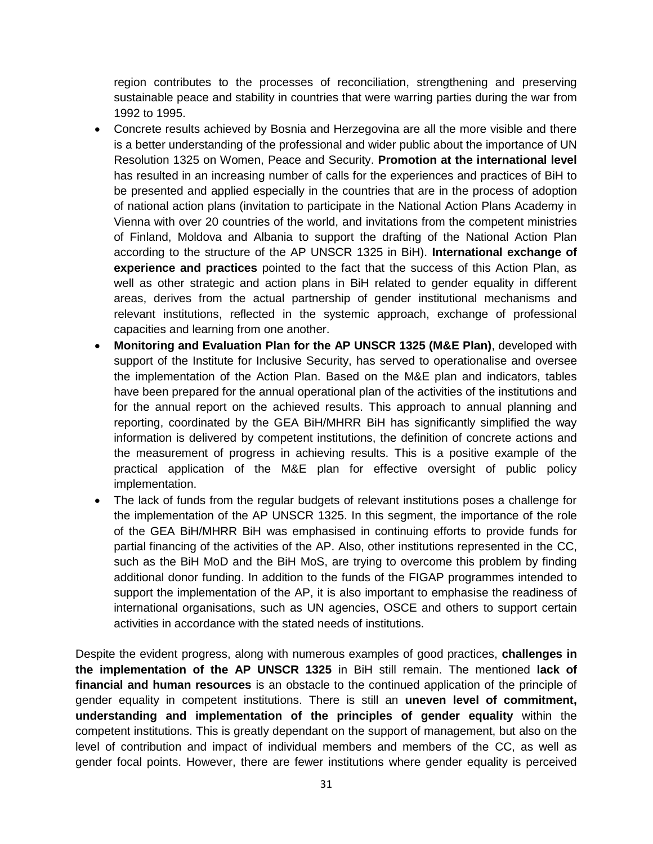region contributes to the processes of reconciliation, strengthening and preserving sustainable peace and stability in countries that were warring parties during the war from 1992 to 1995.

- Concrete results achieved by Bosnia and Herzegovina are all the more visible and there is a better understanding of the professional and wider public about the importance of UN Resolution 1325 on Women, Peace and Security. **Promotion at the international level**  has resulted in an increasing number of calls for the experiences and practices of BiH to be presented and applied especially in the countries that are in the process of adoption of national action plans (invitation to participate in the National Action Plans Academy in Vienna with over 20 countries of the world, and invitations from the competent ministries of Finland, Moldova and Albania to support the drafting of the National Action Plan according to the structure of the AP UNSCR 1325 in BiH). **International exchange of experience and practices** pointed to the fact that the success of this Action Plan, as well as other strategic and action plans in BiH related to gender equality in different areas, derives from the actual partnership of gender institutional mechanisms and relevant institutions, reflected in the systemic approach, exchange of professional capacities and learning from one another.
- **Monitoring and Evaluation Plan for the AP UNSCR 1325 (M&E Plan)**, developed with support of the Institute for Inclusive Security, has served to operationalise and oversee the implementation of the Action Plan. Based on the M&E plan and indicators, tables have been prepared for the annual operational plan of the activities of the institutions and for the annual report on the achieved results. This approach to annual planning and reporting, coordinated by the GEA BiH/MHRR BiH has significantly simplified the way information is delivered by competent institutions, the definition of concrete actions and the measurement of progress in achieving results. This is a positive example of the practical application of the M&E plan for effective oversight of public policy implementation.
- The lack of funds from the regular budgets of relevant institutions poses a challenge for the implementation of the AP UNSCR 1325. In this segment, the importance of the role of the GEA BiH/MHRR BiH was emphasised in continuing efforts to provide funds for partial financing of the activities of the AP. Also, other institutions represented in the CC, such as the BiH MoD and the BiH MoS, are trying to overcome this problem by finding additional donor funding. In addition to the funds of the FIGAP programmes intended to support the implementation of the AP, it is also important to emphasise the readiness of international organisations, such as UN agencies, OSCE and others to support certain activities in accordance with the stated needs of institutions.

Despite the evident progress, along with numerous examples of good practices, **challenges in the implementation of the AP UNSCR 1325** in BiH still remain. The mentioned **lack of financial and human resources** is an obstacle to the continued application of the principle of gender equality in competent institutions. There is still an **uneven level of commitment, understanding and implementation of the principles of gender equality** within the competent institutions. This is greatly dependant on the support of management, but also on the level of contribution and impact of individual members and members of the CC, as well as gender focal points. However, there are fewer institutions where gender equality is perceived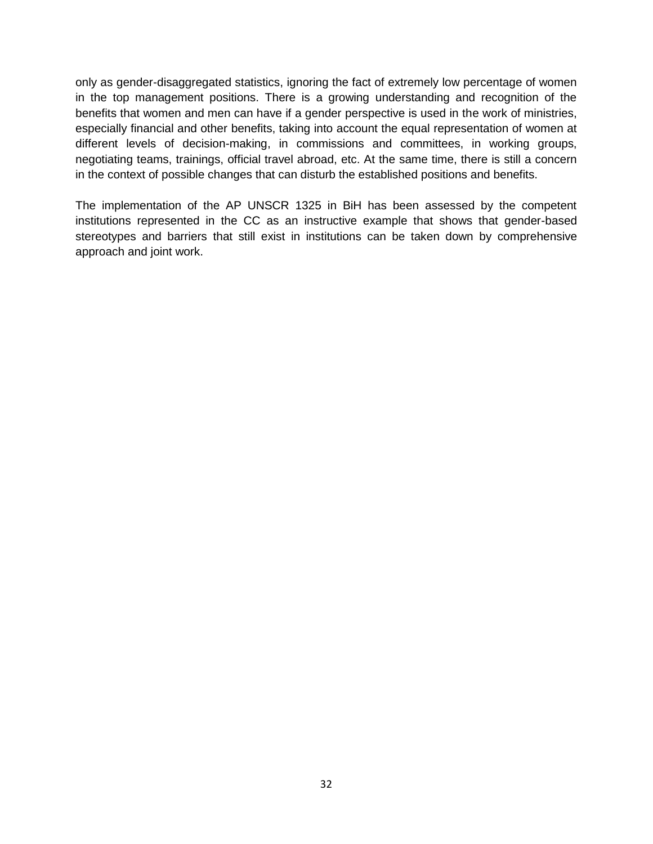only as gender-disaggregated statistics, ignoring the fact of extremely low percentage of women in the top management positions. There is a growing understanding and recognition of the benefits that women and men can have if a gender perspective is used in the work of ministries, especially financial and other benefits, taking into account the equal representation of women at different levels of decision-making, in commissions and committees, in working groups, negotiating teams, trainings, official travel abroad, etc. At the same time, there is still a concern in the context of possible changes that can disturb the established positions and benefits.

The implementation of the AP UNSCR 1325 in BiH has been assessed by the competent institutions represented in the CC as an instructive example that shows that gender-based stereotypes and barriers that still exist in institutions can be taken down by comprehensive approach and joint work.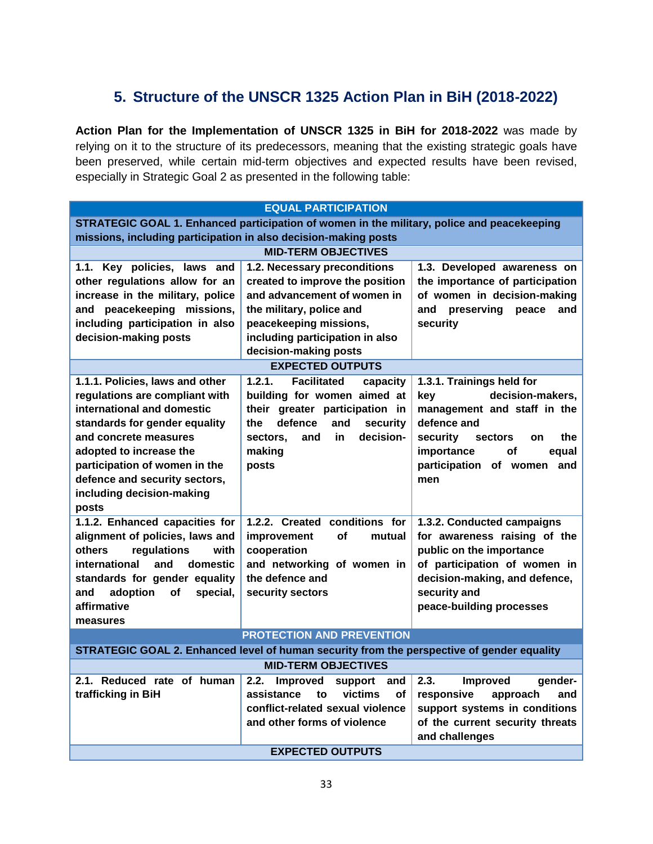# <span id="page-32-0"></span>**5. Structure of the UNSCR 1325 Action Plan in BiH (2018-2022)**

**Action Plan for the Implementation of UNSCR 1325 in BiH for 2018-2022** was made by relying on it to the structure of its predecessors, meaning that the existing strategic goals have been preserved, while certain mid-term objectives and expected results have been revised, especially in Strategic Goal 2 as presented in the following table:

|                                                                                                                                                                                                                                                                                              | <b>EQUAL PARTICIPATION</b>                                                                                                                                                                                       |                                                                                                                                                                                                                    |  |  |
|----------------------------------------------------------------------------------------------------------------------------------------------------------------------------------------------------------------------------------------------------------------------------------------------|------------------------------------------------------------------------------------------------------------------------------------------------------------------------------------------------------------------|--------------------------------------------------------------------------------------------------------------------------------------------------------------------------------------------------------------------|--|--|
| STRATEGIC GOAL 1. Enhanced participation of women in the military, police and peacekeeping<br>missions, including participation in also decision-making posts                                                                                                                                |                                                                                                                                                                                                                  |                                                                                                                                                                                                                    |  |  |
|                                                                                                                                                                                                                                                                                              | <b>MID-TERM OBJECTIVES</b>                                                                                                                                                                                       |                                                                                                                                                                                                                    |  |  |
| 1.1. Key policies, laws and<br>other regulations allow for an<br>increase in the military, police<br>and peacekeeping missions,<br>including participation in also<br>decision-making posts                                                                                                  | 1.2. Necessary preconditions<br>created to improve the position<br>and advancement of women in<br>the military, police and<br>peacekeeping missions,<br>including participation in also<br>decision-making posts | 1.3. Developed awareness on<br>the importance of participation<br>of women in decision-making<br>and<br>preserving<br>peace<br>and<br>security                                                                     |  |  |
|                                                                                                                                                                                                                                                                                              | <b>EXPECTED OUTPUTS</b>                                                                                                                                                                                          |                                                                                                                                                                                                                    |  |  |
| 1.1.1. Policies, laws and other<br>regulations are compliant with<br>international and domestic<br>standards for gender equality<br>and concrete measures<br>adopted to increase the<br>participation of women in the<br>defence and security sectors,<br>including decision-making<br>posts | 1.2.1.<br><b>Facilitated</b><br>capacity<br>building for women aimed at<br>their greater participation in<br>defence<br>and<br>security<br>the<br>decision-<br>sectors.<br>and<br>in.<br>making<br>posts         | 1.3.1. Trainings held for<br>decision-makers,<br>key<br>management and staff in the<br>defence and<br>security<br>the<br>sectors<br><b>on</b><br>importance<br>οf<br>equal<br>participation of women<br>and<br>men |  |  |
| 1.1.2. Enhanced capacities for<br>alignment of policies, laws and<br>others<br>regulations<br>with<br>international<br>domestic<br>and<br>standards for gender equality<br>adoption<br>special,<br>and<br>οf<br>affirmative<br>measures                                                      | 1.2.2. Created conditions for<br>improvement<br>οf<br>mutual<br>cooperation<br>and networking of women in<br>the defence and<br>security sectors                                                                 | 1.3.2. Conducted campaigns<br>for awareness raising of the<br>public on the importance<br>of participation of women in<br>decision-making, and defence,<br>security and<br>peace-building processes                |  |  |
|                                                                                                                                                                                                                                                                                              | <b>PROTECTION AND PREVENTION</b>                                                                                                                                                                                 |                                                                                                                                                                                                                    |  |  |
|                                                                                                                                                                                                                                                                                              | STRATEGIC GOAL 2. Enhanced level of human security from the perspective of gender equality                                                                                                                       |                                                                                                                                                                                                                    |  |  |
|                                                                                                                                                                                                                                                                                              | <b>MID-TERM OBJECTIVES</b>                                                                                                                                                                                       |                                                                                                                                                                                                                    |  |  |
| 2.1. Reduced rate of human<br>trafficking in BiH                                                                                                                                                                                                                                             | 2.2. Improved<br>support<br>and<br>victims<br>assistance<br>to<br><b>of</b><br>conflict-related sexual violence<br>and other forms of violence                                                                   | 2.3.<br><b>Improved</b><br>gender-<br>responsive<br>and<br>approach<br>support systems in conditions<br>of the current security threats<br>and challenges                                                          |  |  |
|                                                                                                                                                                                                                                                                                              | <b>EXPECTED OUTPUTS</b>                                                                                                                                                                                          |                                                                                                                                                                                                                    |  |  |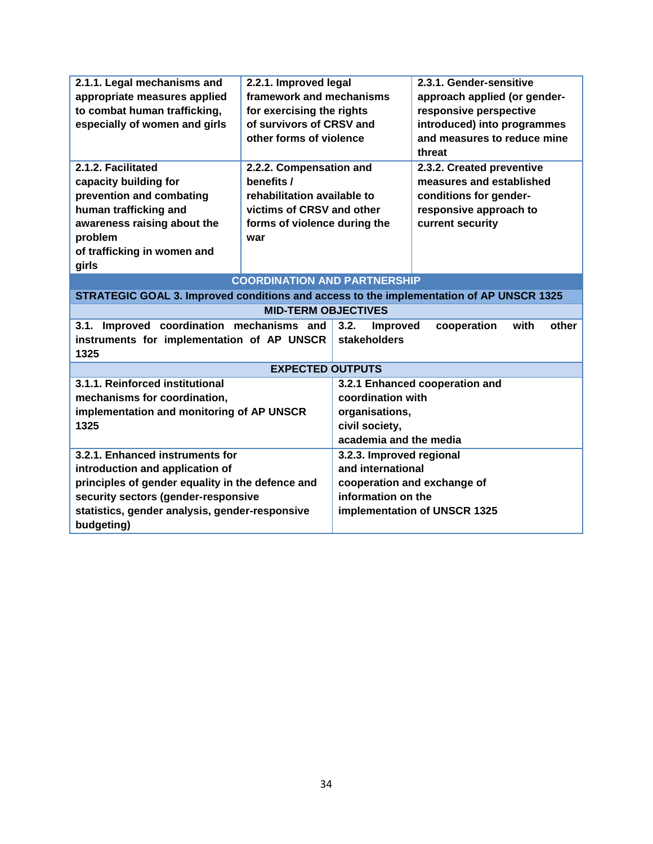| 2.1.1. Legal mechanisms and                                                             | 2.2.1. Improved legal               |                          | 2.3.1. Gender-sensitive        |
|-----------------------------------------------------------------------------------------|-------------------------------------|--------------------------|--------------------------------|
| appropriate measures applied                                                            | framework and mechanisms            |                          | approach applied (or gender-   |
| to combat human trafficking,                                                            | for exercising the rights           |                          | responsive perspective         |
| especially of women and girls                                                           | of survivors of CRSV and            |                          | introduced) into programmes    |
|                                                                                         | other forms of violence             |                          | and measures to reduce mine    |
|                                                                                         |                                     |                          | threat                         |
| 2.1.2. Facilitated                                                                      | 2.2.2. Compensation and             |                          | 2.3.2. Created preventive      |
| capacity building for                                                                   | benefits /                          |                          | measures and established       |
| prevention and combating                                                                | rehabilitation available to         |                          | conditions for gender-         |
| human trafficking and                                                                   | victims of CRSV and other           |                          | responsive approach to         |
| awareness raising about the                                                             | forms of violence during the        |                          | current security               |
| problem                                                                                 | war                                 |                          |                                |
| of trafficking in women and                                                             |                                     |                          |                                |
| girls                                                                                   |                                     |                          |                                |
|                                                                                         | <b>COORDINATION AND PARTNERSHIP</b> |                          |                                |
| STRATEGIC GOAL 3. Improved conditions and access to the implementation of AP UNSCR 1325 |                                     |                          |                                |
|                                                                                         | <b>MID-TERM OBJECTIVES</b>          |                          |                                |
| Improved coordination mechanisms and<br>3.1.                                            |                                     | 3.2.<br><b>Improved</b>  | cooperation<br>with<br>other   |
| instruments for implementation of AP UNSCR                                              |                                     | stakeholders             |                                |
| 1325                                                                                    |                                     |                          |                                |
|                                                                                         | <b>EXPECTED OUTPUTS</b>             |                          |                                |
| 3.1.1. Reinforced institutional                                                         |                                     |                          | 3.2.1 Enhanced cooperation and |
| mechanisms for coordination,                                                            |                                     | coordination with        |                                |
| implementation and monitoring of AP UNSCR                                               |                                     | organisations,           |                                |
| 1325                                                                                    |                                     | civil society,           |                                |
|                                                                                         |                                     | academia and the media   |                                |
| 3.2.1. Enhanced instruments for                                                         |                                     | 3.2.3. Improved regional |                                |
| introduction and application of                                                         |                                     | and international        |                                |
| principles of gender equality in the defence and                                        |                                     |                          | cooperation and exchange of    |
| security sectors (gender-responsive                                                     |                                     | information on the       |                                |
| statistics, gender analysis, gender-responsive                                          |                                     |                          | implementation of UNSCR 1325   |
| budgeting)                                                                              |                                     |                          |                                |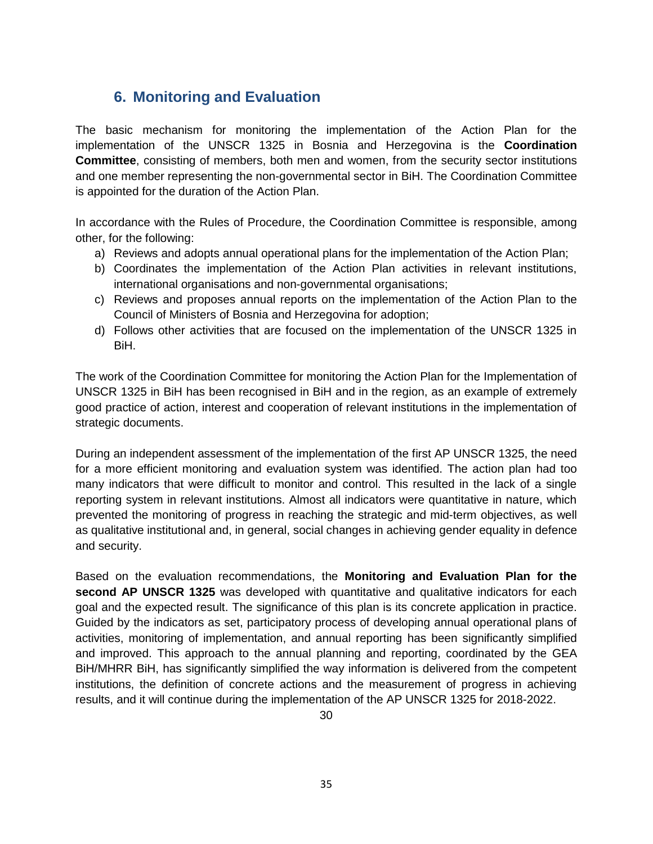# <span id="page-34-0"></span>**6. Monitoring and Evaluation**

The basic mechanism for monitoring the implementation of the Action Plan for the implementation of the UNSCR 1325 in Bosnia and Herzegovina is the **Coordination Committee**, consisting of members, both men and women, from the security sector institutions and one member representing the non-governmental sector in BiH. The Coordination Committee is appointed for the duration of the Action Plan.

In accordance with the Rules of Procedure, the Coordination Committee is responsible, among other, for the following:

- a) Reviews and adopts annual operational plans for the implementation of the Action Plan;
- b) Coordinates the implementation of the Action Plan activities in relevant institutions, international organisations and non-governmental organisations;
- c) Reviews and proposes annual reports on the implementation of the Action Plan to the Council of Ministers of Bosnia and Herzegovina for adoption;
- d) Follows other activities that are focused on the implementation of the UNSCR 1325 in BiH.

The work of the Coordination Committee for monitoring the Action Plan for the Implementation of UNSCR 1325 in BiH has been recognised in BiH and in the region, as an example of extremely good practice of action, interest and cooperation of relevant institutions in the implementation of strategic documents.

During an independent assessment of the implementation of the first AP UNSCR 1325, the need for a more efficient monitoring and evaluation system was identified. The action plan had too many indicators that were difficult to monitor and control. This resulted in the lack of a single reporting system in relevant institutions. Almost all indicators were quantitative in nature, which prevented the monitoring of progress in reaching the strategic and mid-term objectives, as well as qualitative institutional and, in general, social changes in achieving gender equality in defence and security.

Based on the evaluation recommendations, the **Monitoring and Evaluation Plan for the second AP UNSCR 1325** was developed with quantitative and qualitative indicators for each goal and the expected result. The significance of this plan is its concrete application in practice. Guided by the indicators as set, participatory process of developing annual operational plans of activities, monitoring of implementation, and annual reporting has been significantly simplified and improved. This approach to the annual planning and reporting, coordinated by the GEA BiH/MHRR BiH, has significantly simplified the way information is delivered from the competent institutions, the definition of concrete actions and the measurement of progress in achieving results, and it will continue during the implementation of the AP UNSCR 1325 for 2018-2022.

30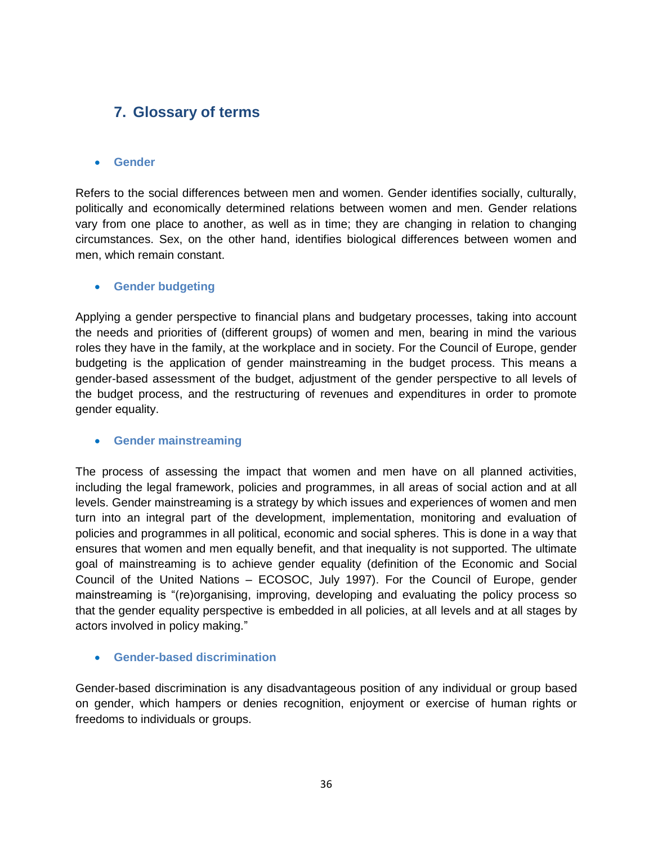# <span id="page-35-0"></span>**7. Glossary of terms**

#### **Gender**

Refers to the social differences between men and women. Gender identifies socially, culturally, politically and economically determined relations between women and men. Gender relations vary from one place to another, as well as in time; they are changing in relation to changing circumstances. Sex, on the other hand, identifies biological differences between women and men, which remain constant.

#### **•** Gender budgeting

Applying a gender perspective to financial plans and budgetary processes, taking into account the needs and priorities of (different groups) of women and men, bearing in mind the various roles they have in the family, at the workplace and in society. For the Council of Europe, gender budgeting is the application of gender mainstreaming in the budget process. This means a gender-based assessment of the budget, adjustment of the gender perspective to all levels of the budget process, and the restructuring of revenues and expenditures in order to promote gender equality.

#### **Gender mainstreaming**

The process of assessing the impact that women and men have on all planned activities, including the legal framework, policies and programmes, in all areas of social action and at all levels. Gender mainstreaming is a strategy by which issues and experiences of women and men turn into an integral part of the development, implementation, monitoring and evaluation of policies and programmes in all political, economic and social spheres. This is done in a way that ensures that women and men equally benefit, and that inequality is not supported. The ultimate goal of mainstreaming is to achieve gender equality (definition of the Economic and Social Council of the United Nations – ECOSOC, July 1997). For the Council of Europe, gender mainstreaming is "(re)organising, improving, developing and evaluating the policy process so that the gender equality perspective is embedded in all policies, at all levels and at all stages by actors involved in policy making."

#### **Gender-based discrimination**

Gender-based discrimination is any disadvantageous position of any individual or group based on gender, which hampers or denies recognition, enjoyment or exercise of human rights or freedoms to individuals or groups.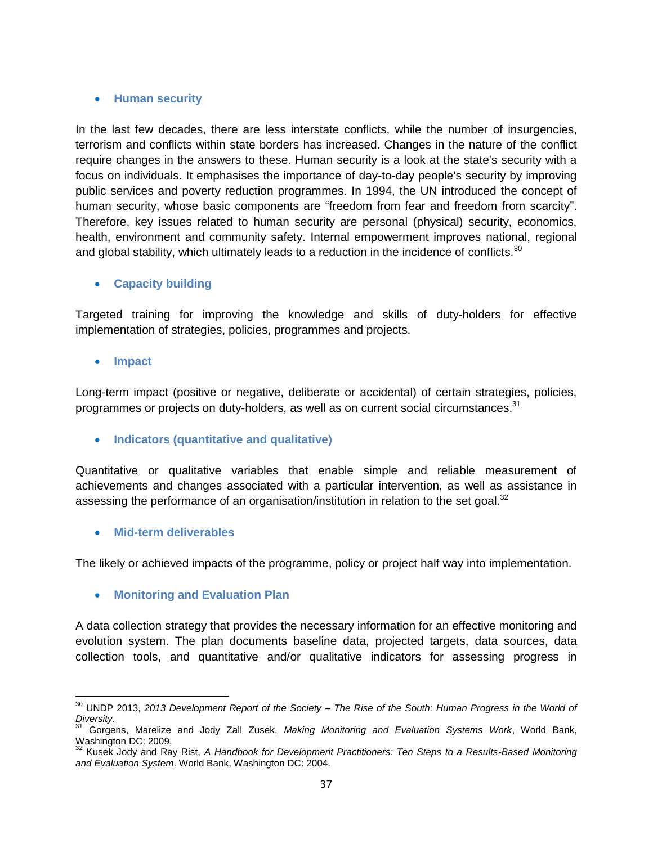#### **Human security**

In the last few decades, there are less interstate conflicts, while the number of insurgencies, terrorism and conflicts within state borders has increased. Changes in the nature of the conflict require changes in the answers to these. Human security is a look at the state's security with a focus on individuals. It emphasises the importance of day-to-day people's security by improving public services and poverty reduction programmes. In 1994, the UN introduced the concept of human security, whose basic components are "freedom from fear and freedom from scarcity". Therefore, key issues related to human security are personal (physical) security, economics, health, environment and community safety. Internal empowerment improves national, regional and global stability, which ultimately leads to a reduction in the incidence of conflicts.<sup>30</sup>

#### **Capacity building**

Targeted training for improving the knowledge and skills of duty-holders for effective implementation of strategies, policies, programmes and projects.

**Impact**

 $\overline{a}$ 

Long-term impact (positive or negative, deliberate or accidental) of certain strategies, policies, programmes or projects on duty-holders, as well as on current social circumstances.<sup>31</sup>

#### **Indicators (quantitative and qualitative)**

Quantitative or qualitative variables that enable simple and reliable measurement of achievements and changes associated with a particular intervention, as well as assistance in assessing the performance of an organisation/institution in relation to the set goal. $32$ 

**Mid-term deliverables**

The likely or achieved impacts of the programme, policy or project half way into implementation.

#### **Monitoring and Evaluation Plan**

A data collection strategy that provides the necessary information for an effective monitoring and evolution system. The plan documents baseline data, projected targets, data sources, data collection tools, and quantitative and/or qualitative indicators for assessing progress in

<sup>30</sup> UNDP 2013, *2013 Development Report of the Society – The Rise of the South: Human Progress in the World of Diversity*.

<sup>31</sup> Gorgens, Marelize and Jody Zall Zusek, *Making Monitoring and Evaluation Systems Work*, World Bank, Washington DC: 2009.

<sup>32</sup> Kusek Jody and Ray Rist, *A Handbook for Development Practitioners: Ten Steps to a Results-Based Monitoring and Evaluation System*. World Bank, Washington DC: 2004.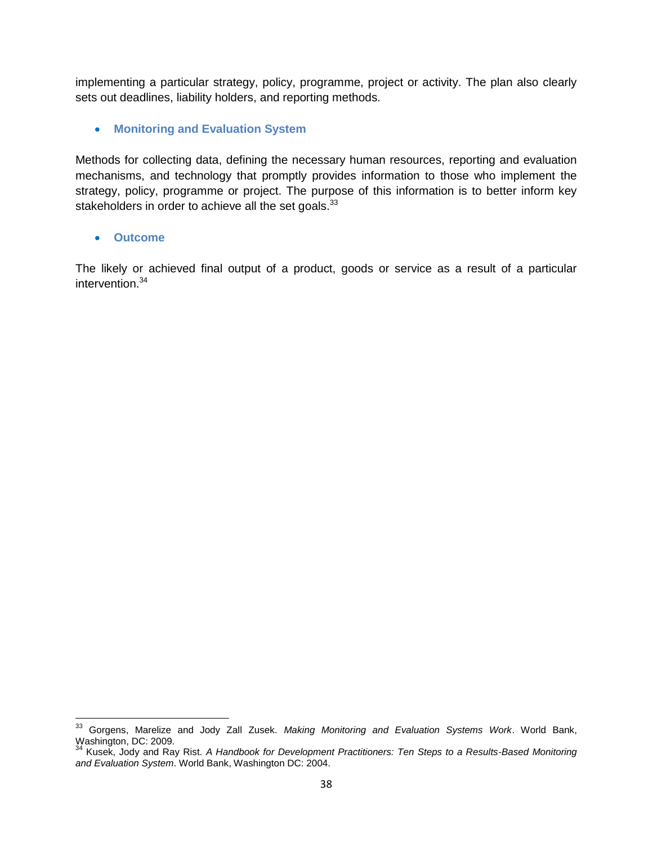implementing a particular strategy, policy, programme, project or activity. The plan also clearly sets out deadlines, liability holders, and reporting methods.

**Monitoring and Evaluation System**

Methods for collecting data, defining the necessary human resources, reporting and evaluation mechanisms, and technology that promptly provides information to those who implement the strategy, policy, programme or project. The purpose of this information is to better inform key stakeholders in order to achieve all the set goals.<sup>33</sup>

**Outcome**

 $\overline{a}$ 

The likely or achieved final output of a product, goods or service as a result of a particular intervention.<sup>34</sup>

<sup>33</sup> Gorgens, Marelize and Jody Zall Zusek. *Making Monitoring and Evaluation Systems Work*. World Bank, Washington, Iviarelize Washington, DC: 2009.

<sup>34</sup> Kusek, Jody and Ray Rist. *A Handbook for Development Practitioners: Ten Steps to a Results-Based Monitoring and Evaluation System*. World Bank, Washington DC: 2004.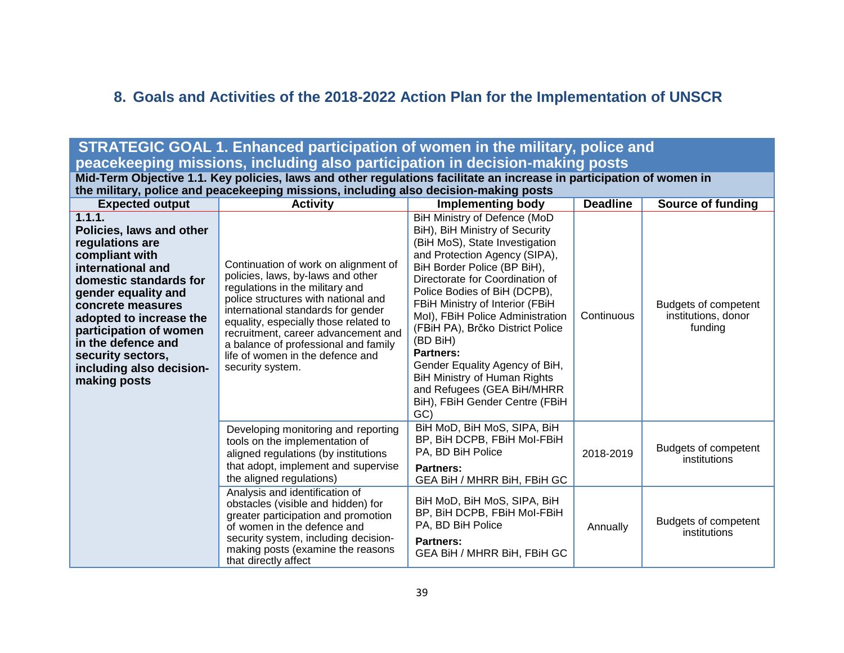# **8. Goals and Activities of the 2018-2022 Action Plan for the Implementation of UNSCR**

# **STRATEGIC GOAL 1. Enhanced participation of women in the military, police and peacekeeping missions, including also participation in decision-making posts**

**Mid-Term Objective 1.1. Key policies, laws and other regulations facilitate an increase in participation of women in the military, police and peacekeeping missions, including also decision-making posts**

<span id="page-38-0"></span>

| .<br><b>Expected output</b>                                                                                                                                                                                                                                                                                    | <b>Activity</b>                                                                                                                                                                                                                                                                                                                                                           | <b>Implementing body</b>                                                                                                                                                                                                                                                                                                                                                                                                                                                                                                | <b>Deadline</b> | Source of funding                                      |
|----------------------------------------------------------------------------------------------------------------------------------------------------------------------------------------------------------------------------------------------------------------------------------------------------------------|---------------------------------------------------------------------------------------------------------------------------------------------------------------------------------------------------------------------------------------------------------------------------------------------------------------------------------------------------------------------------|-------------------------------------------------------------------------------------------------------------------------------------------------------------------------------------------------------------------------------------------------------------------------------------------------------------------------------------------------------------------------------------------------------------------------------------------------------------------------------------------------------------------------|-----------------|--------------------------------------------------------|
| 1.1.1.<br>Policies, laws and other<br>regulations are<br>compliant with<br>international and<br>domestic standards for<br>gender equality and<br>concrete measures<br>adopted to increase the<br>participation of women<br>in the defence and<br>security sectors,<br>including also decision-<br>making posts | Continuation of work on alignment of<br>policies, laws, by-laws and other<br>regulations in the military and<br>police structures with national and<br>international standards for gender<br>equality, especially those related to<br>recruitment, career advancement and<br>a balance of professional and family<br>life of women in the defence and<br>security system. | BiH Ministry of Defence (MoD<br>BiH), BiH Ministry of Security<br>(BiH MoS), State Investigation<br>and Protection Agency (SIPA),<br>BiH Border Police (BP BiH),<br>Directorate for Coordination of<br>Police Bodies of BiH (DCPB),<br>FBiH Ministry of Interior (FBiH<br>Mol), FBiH Police Administration<br>(FBiH PA), Brčko District Police<br>(BD BiH)<br><b>Partners:</b><br>Gender Equality Agency of BiH,<br>BiH Ministry of Human Rights<br>and Refugees (GEA BiH/MHRR<br>BiH), FBiH Gender Centre (FBiH<br>GC) | Continuous      | Budgets of competent<br>institutions, donor<br>funding |
|                                                                                                                                                                                                                                                                                                                | Developing monitoring and reporting<br>tools on the implementation of<br>aligned regulations (by institutions<br>that adopt, implement and supervise<br>the aligned regulations)                                                                                                                                                                                          | BiH MoD, BiH MoS, SIPA, BiH<br>BP, BiH DCPB, FBiH Mol-FBiH<br>PA, BD BiH Police<br><b>Partners:</b><br>GEA BiH / MHRR BiH, FBiH GC                                                                                                                                                                                                                                                                                                                                                                                      | 2018-2019       | Budgets of competent<br>institutions                   |
|                                                                                                                                                                                                                                                                                                                | Analysis and identification of<br>obstacles (visible and hidden) for<br>greater participation and promotion<br>of women in the defence and<br>security system, including decision-<br>making posts (examine the reasons<br>that directly affect                                                                                                                           | BiH MoD, BiH MoS, SIPA, BiH<br>BP, BiH DCPB, FBiH Mol-FBiH<br>PA, BD BiH Police<br><b>Partners:</b><br>GEA BiH / MHRR BiH, FBiH GC                                                                                                                                                                                                                                                                                                                                                                                      | Annually        | Budgets of competent<br>institutions                   |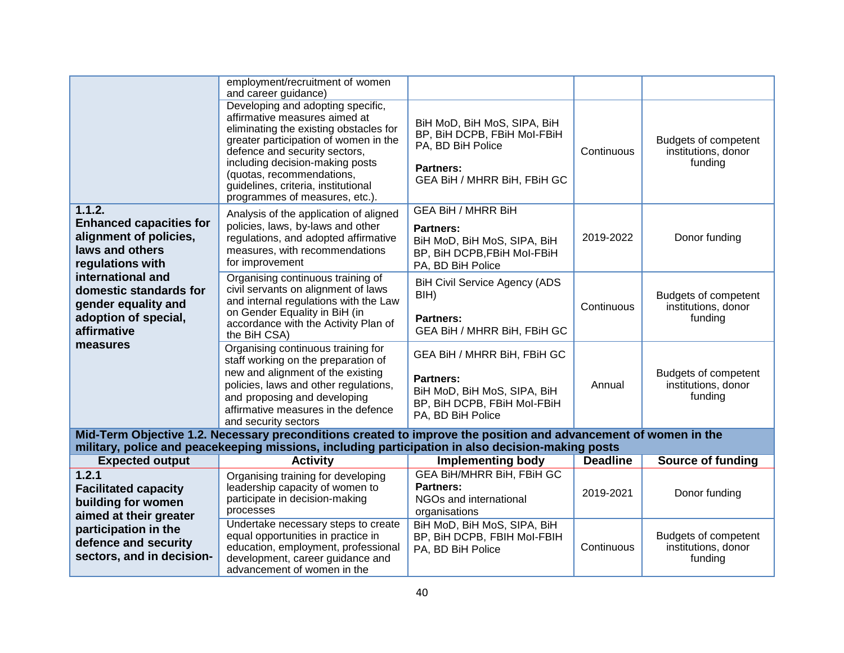|                                                                                                           | employment/recruitment of women<br>and career guidance)                                                                                                                                                                                                                                                                         |                                                                                                                                    |                 |                                                        |
|-----------------------------------------------------------------------------------------------------------|---------------------------------------------------------------------------------------------------------------------------------------------------------------------------------------------------------------------------------------------------------------------------------------------------------------------------------|------------------------------------------------------------------------------------------------------------------------------------|-----------------|--------------------------------------------------------|
|                                                                                                           | Developing and adopting specific,<br>affirmative measures aimed at<br>eliminating the existing obstacles for<br>greater participation of women in the<br>defence and security sectors,<br>including decision-making posts<br>(quotas, recommendations,<br>guidelines, criteria, institutional<br>programmes of measures, etc.). | BiH MoD, BiH MoS, SIPA, BiH<br>BP, BiH DCPB, FBiH Mol-FBiH<br>PA, BD BiH Police<br><b>Partners:</b><br>GEA BiH / MHRR BiH, FBiH GC | Continuous      | Budgets of competent<br>institutions, donor<br>funding |
| 1.1.2.<br><b>Enhanced capacities for</b><br>alignment of policies,<br>laws and others<br>regulations with | Analysis of the application of aligned<br>policies, laws, by-laws and other<br>regulations, and adopted affirmative<br>measures, with recommendations<br>for improvement                                                                                                                                                        | <b>GEA BiH / MHRR BiH</b><br>Partners:<br>BiH MoD, BiH MoS, SIPA, BiH<br>BP, BiH DCPB, FBiH Mol-FBiH<br>PA, BD BiH Police          | 2019-2022       | Donor funding                                          |
| international and<br>domestic standards for<br>gender equality and<br>adoption of special,<br>affirmative | Organising continuous training of<br>civil servants on alignment of laws<br>and internal regulations with the Law<br>on Gender Equality in BiH (in<br>accordance with the Activity Plan of<br>the BiH CSA)                                                                                                                      | <b>BiH Civil Service Agency (ADS</b><br>BIH)<br><b>Partners:</b><br>GEA BiH / MHRR BiH, FBiH GC                                    | Continuous      | Budgets of competent<br>institutions, donor<br>funding |
| measures                                                                                                  | Organising continuous training for<br>staff working on the preparation of<br>new and alignment of the existing<br>policies, laws and other regulations,<br>and proposing and developing<br>affirmative measures in the defence<br>and security sectors                                                                          | GEA BiH / MHRR BiH, FBiH GC<br><b>Partners:</b><br>BiH MoD, BiH MoS, SIPA, BiH<br>BP, BiH DCPB, FBiH Mol-FBiH<br>PA, BD BiH Police | Annual          | Budgets of competent<br>institutions, donor<br>funding |
|                                                                                                           | Mid-Term Objective 1.2. Necessary preconditions created to improve the position and advancement of women in the<br>military, police and peacekeeping missions, including participation in also decision-making posts                                                                                                            |                                                                                                                                    |                 |                                                        |
| <b>Expected output</b>                                                                                    | <b>Activity</b>                                                                                                                                                                                                                                                                                                                 | <b>Implementing body</b>                                                                                                           | <b>Deadline</b> | Source of funding                                      |
| 1.2.1<br><b>Facilitated capacity</b><br>building for women<br>aimed at their greater                      | Organising training for developing<br>leadership capacity of women to<br>participate in decision-making<br>processes                                                                                                                                                                                                            | <b>GEA BIH/MHRR BIH, FBIH GC</b><br><b>Partners:</b><br>NGOs and international<br>organisations                                    | 2019-2021       | Donor funding                                          |
| participation in the<br>defence and security<br>sectors, and in decision-                                 | Undertake necessary steps to create<br>equal opportunities in practice in<br>education, employment, professional<br>development, career guidance and<br>advancement of women in the                                                                                                                                             | BiH MoD, BiH MoS, SIPA, BiH<br>BP, BiH DCPB, FBIH Mol-FBIH<br>PA, BD BiH Police                                                    | Continuous      | Budgets of competent<br>institutions, donor<br>funding |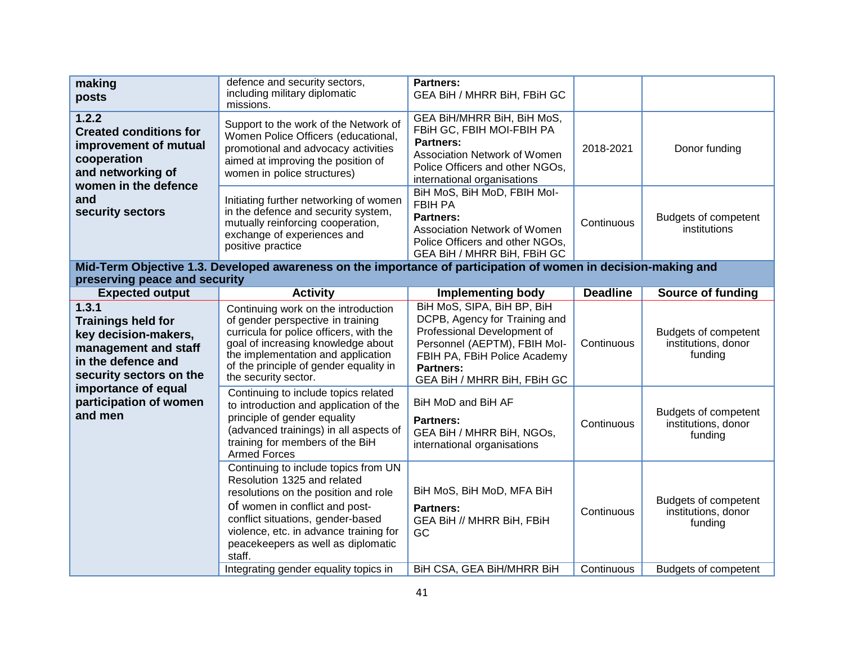| making<br>posts                                                                                                                     | defence and security sectors,<br>including military diplomatic<br>missions.                                                                                                                                                                                        | <b>Partners:</b><br>GEA BiH / MHRR BiH, FBiH GC                                                                                                                                                               |                 |                                                               |
|-------------------------------------------------------------------------------------------------------------------------------------|--------------------------------------------------------------------------------------------------------------------------------------------------------------------------------------------------------------------------------------------------------------------|---------------------------------------------------------------------------------------------------------------------------------------------------------------------------------------------------------------|-----------------|---------------------------------------------------------------|
| 1.2.2<br><b>Created conditions for</b><br>improvement of mutual<br>cooperation<br>and networking of<br>women in the defence         | Support to the work of the Network of<br>Women Police Officers (educational,<br>promotional and advocacy activities<br>aimed at improving the position of<br>women in police structures)                                                                           | GEA BIH/MHRR BIH, BIH MoS,<br>FBiH GC, FBIH MOI-FBIH PA<br><b>Partners:</b><br>Association Network of Women<br>Police Officers and other NGOs,<br>international organisations                                 | 2018-2021       | Donor funding                                                 |
| and<br>security sectors                                                                                                             | Initiating further networking of women<br>in the defence and security system,<br>mutually reinforcing cooperation,<br>exchange of experiences and<br>positive practice                                                                                             | BiH MoS, BiH MoD, FBIH Mol-<br><b>FBIH PA</b><br><b>Partners:</b><br>Association Network of Women<br>Police Officers and other NGOs,<br>GEA BiH / MHRR BiH, FBiH GC                                           | Continuous      | Budgets of competent<br>institutions                          |
| preserving peace and security                                                                                                       | Mid-Term Objective 1.3. Developed awareness on the importance of participation of women in decision-making and                                                                                                                                                     |                                                                                                                                                                                                               |                 |                                                               |
| <b>Expected output</b>                                                                                                              | <b>Activity</b>                                                                                                                                                                                                                                                    | <b>Implementing body</b>                                                                                                                                                                                      | <b>Deadline</b> | Source of funding                                             |
| 1.3.1<br><b>Trainings held for</b><br>key decision-makers,<br>management and staff<br>in the defence and<br>security sectors on the | Continuing work on the introduction<br>of gender perspective in training<br>curricula for police officers, with the<br>goal of increasing knowledge about<br>the implementation and application<br>of the principle of gender equality in<br>the security sector.  | BiH MoS, SIPA, BiH BP, BiH<br>DCPB, Agency for Training and<br>Professional Development of<br>Personnel (AEPTM), FBIH Mol-<br>FBIH PA, FBiH Police Academy<br><b>Partners:</b><br>GEA BiH / MHRR BiH, FBiH GC | Continuous      | <b>Budgets of competent</b><br>institutions, donor<br>funding |
| importance of equal<br>participation of women<br>and men                                                                            | Continuing to include topics related<br>to introduction and application of the<br>principle of gender equality<br>(advanced trainings) in all aspects of<br>training for members of the BiH<br><b>Armed Forces</b>                                                 | BiH MoD and BiH AF<br><b>Partners:</b><br>GEA BiH / MHRR BiH, NGOs,<br>international organisations                                                                                                            | Continuous      | <b>Budgets of competent</b><br>institutions, donor<br>funding |
|                                                                                                                                     | Continuing to include topics from UN<br>Resolution 1325 and related<br>resolutions on the position and role<br>of women in conflict and post-<br>conflict situations, gender-based<br>violence, etc. in advance training for<br>peacekeepers as well as diplomatic | BiH MoS, BiH MoD, MFA BiH<br><b>Partners:</b><br>GEA BiH // MHRR BiH, FBiH<br><b>GC</b>                                                                                                                       | Continuous      | Budgets of competent<br>institutions, donor<br>funding        |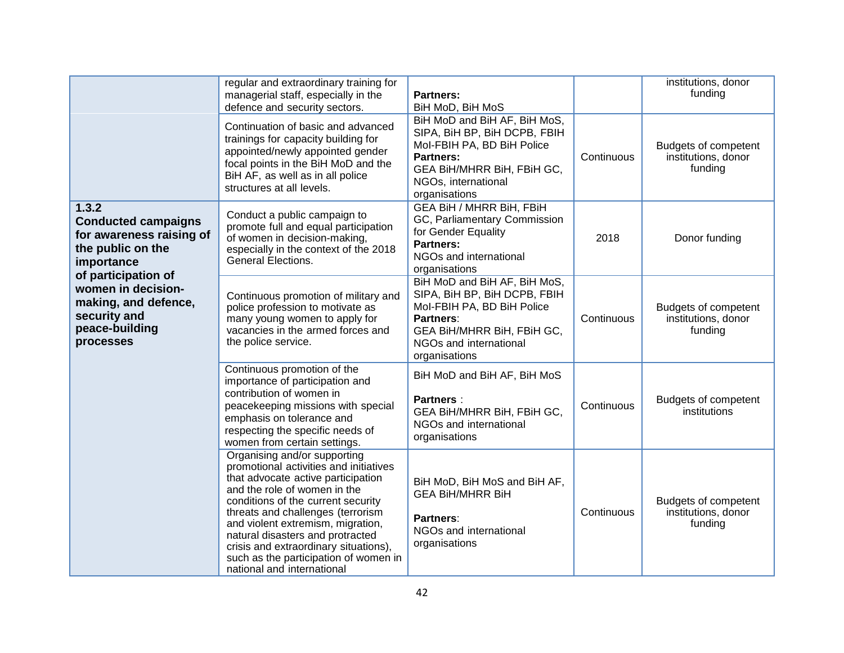|                                                                                                                           | regular and extraordinary training for<br>managerial staff, especially in the<br>defence and security sectors.                                                                                                                                                                                                                                                                                                   | <b>Partners:</b><br>BiH MoD, BiH MoS                                                                                                                                                 |            | institutions, donor<br>funding                                |
|---------------------------------------------------------------------------------------------------------------------------|------------------------------------------------------------------------------------------------------------------------------------------------------------------------------------------------------------------------------------------------------------------------------------------------------------------------------------------------------------------------------------------------------------------|--------------------------------------------------------------------------------------------------------------------------------------------------------------------------------------|------------|---------------------------------------------------------------|
|                                                                                                                           | Continuation of basic and advanced<br>trainings for capacity building for<br>appointed/newly appointed gender<br>focal points in the BiH MoD and the<br>BiH AF, as well as in all police<br>structures at all levels.                                                                                                                                                                                            | BiH MoD and BiH AF, BiH MoS,<br>SIPA, BiH BP, BiH DCPB, FBIH<br>Mol-FBIH PA, BD BiH Police<br><b>Partners:</b><br>GEA BiH/MHRR BiH, FBiH GC,<br>NGOs, international<br>organisations | Continuous | <b>Budgets of competent</b><br>institutions, donor<br>funding |
| 1.3.2<br><b>Conducted campaigns</b><br>for awareness raising of<br>the public on the<br>importance<br>of participation of | Conduct a public campaign to<br>promote full and equal participation<br>of women in decision-making,<br>especially in the context of the 2018<br>General Elections.                                                                                                                                                                                                                                              | <b>GEA BiH / MHRR BiH, FBiH</b><br>GC, Parliamentary Commission<br>for Gender Equality<br><b>Partners:</b><br>NGOs and international<br>organisations                                | 2018       | Donor funding                                                 |
| women in decision-<br>making, and defence,<br>security and<br>peace-building<br>processes                                 | Continuous promotion of military and<br>police profession to motivate as<br>many young women to apply for<br>vacancies in the armed forces and<br>the police service.                                                                                                                                                                                                                                            | BiH MoD and BiH AF, BiH MoS,<br>SIPA, BiH BP, BiH DCPB, FBIH<br>Mol-FBIH PA, BD BiH Police<br>Partners:<br>GEA BIH/MHRR BIH, FBIH GC,<br>NGOs and international<br>organisations     | Continuous | <b>Budgets of competent</b><br>institutions, donor<br>funding |
|                                                                                                                           | Continuous promotion of the<br>importance of participation and<br>contribution of women in<br>peacekeeping missions with special<br>emphasis on tolerance and<br>respecting the specific needs of<br>women from certain settings.                                                                                                                                                                                | BiH MoD and BiH AF, BiH MoS<br><b>Partners:</b><br>GEA BIH/MHRR BIH, FBIH GC,<br>NGOs and international<br>organisations                                                             | Continuous | Budgets of competent<br>institutions                          |
|                                                                                                                           | Organising and/or supporting<br>promotional activities and initiatives<br>that advocate active participation<br>and the role of women in the<br>conditions of the current security<br>threats and challenges (terrorism<br>and violent extremism, migration,<br>natural disasters and protracted<br>crisis and extraordinary situations),<br>such as the participation of women in<br>national and international | BiH MoD, BiH MoS and BiH AF,<br><b>GEA BIH/MHRR BIH</b><br>Partners:<br>NGOs and international<br>organisations                                                                      | Continuous | <b>Budgets of competent</b><br>institutions, donor<br>funding |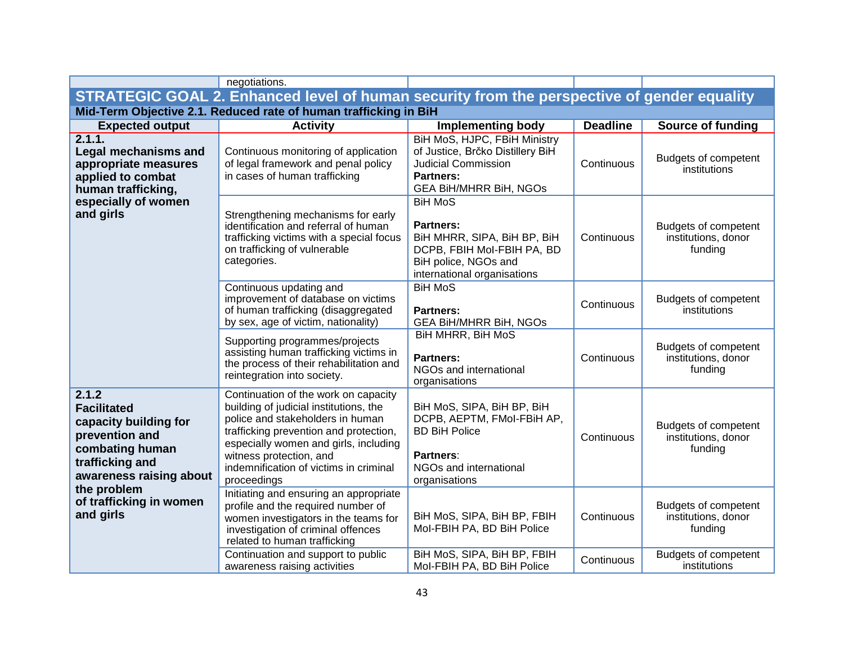|                                                                                                                                         | negotiations.                                                                                                                                                                                                                                                                             |                                                                                                                                                     |                 |                                                               |
|-----------------------------------------------------------------------------------------------------------------------------------------|-------------------------------------------------------------------------------------------------------------------------------------------------------------------------------------------------------------------------------------------------------------------------------------------|-----------------------------------------------------------------------------------------------------------------------------------------------------|-----------------|---------------------------------------------------------------|
|                                                                                                                                         | STRATEGIC GOAL 2. Enhanced level of human security from the perspective of gender equality                                                                                                                                                                                                |                                                                                                                                                     |                 |                                                               |
|                                                                                                                                         | Mid-Term Objective 2.1. Reduced rate of human trafficking in BiH                                                                                                                                                                                                                          |                                                                                                                                                     |                 |                                                               |
| <b>Expected output</b>                                                                                                                  | <b>Activity</b>                                                                                                                                                                                                                                                                           | <b>Implementing body</b>                                                                                                                            | <b>Deadline</b> | <b>Source of funding</b>                                      |
| 2.1.1.<br><b>Legal mechanisms and</b><br>appropriate measures<br>applied to combat<br>human trafficking,                                | Continuous monitoring of application<br>of legal framework and penal policy<br>in cases of human trafficking                                                                                                                                                                              | BiH MoS, HJPC, FBiH Ministry<br>of Justice, Brčko Distillery BiH<br><b>Judicial Commission</b><br><b>Partners:</b><br><b>GEA BIH/MHRR BIH, NGOS</b> | Continuous      | Budgets of competent<br>institutions                          |
| especially of women<br>and girls                                                                                                        | Strengthening mechanisms for early<br>identification and referral of human<br>trafficking victims with a special focus<br>on trafficking of vulnerable<br>categories.                                                                                                                     | <b>BiH MoS</b><br>Partners:<br>BiH MHRR, SIPA, BiH BP, BiH<br>DCPB, FBIH MoI-FBIH PA, BD<br>BiH police, NGOs and<br>international organisations     | Continuous      | Budgets of competent<br>institutions, donor<br>funding        |
|                                                                                                                                         | Continuous updating and<br>improvement of database on victims<br>of human trafficking (disaggregated<br>by sex, age of victim, nationality)                                                                                                                                               | <b>BiH MoS</b><br><b>Partners:</b><br><b>GEA BIH/MHRR BIH, NGOS</b>                                                                                 | Continuous      | Budgets of competent<br>institutions                          |
|                                                                                                                                         | Supporting programmes/projects<br>assisting human trafficking victims in<br>the process of their rehabilitation and<br>reintegration into society.                                                                                                                                        | <b>BiH MHRR, BiH MoS</b><br><b>Partners:</b><br>NGOs and international<br>organisations                                                             | Continuous      | Budgets of competent<br>institutions, donor<br>funding        |
| 2.1.2<br><b>Facilitated</b><br>capacity building for<br>prevention and<br>combating human<br>trafficking and<br>awareness raising about | Continuation of the work on capacity<br>building of judicial institutions, the<br>police and stakeholders in human<br>trafficking prevention and protection,<br>especially women and girls, including<br>witness protection, and<br>indemnification of victims in criminal<br>proceedings | BiH MoS, SIPA, BiH BP, BiH<br>DCPB, AEPTM, FMol-FBiH AP,<br><b>BD BiH Police</b><br>Partners:<br>NGOs and international<br>organisations            | Continuous      | <b>Budgets of competent</b><br>institutions, donor<br>funding |
| the problem<br>of trafficking in women<br>and girls                                                                                     | Initiating and ensuring an appropriate<br>profile and the required number of<br>women investigators in the teams for<br>investigation of criminal offences<br>related to human trafficking                                                                                                | BiH MoS, SIPA, BiH BP, FBIH<br>Mol-FBIH PA, BD BiH Police                                                                                           | Continuous      | Budgets of competent<br>institutions, donor<br>funding        |
|                                                                                                                                         | Continuation and support to public<br>awareness raising activities                                                                                                                                                                                                                        | BiH MoS, SIPA, BiH BP, FBIH<br>Mol-FBIH PA, BD BiH Police                                                                                           | Continuous      | <b>Budgets of competent</b><br>institutions                   |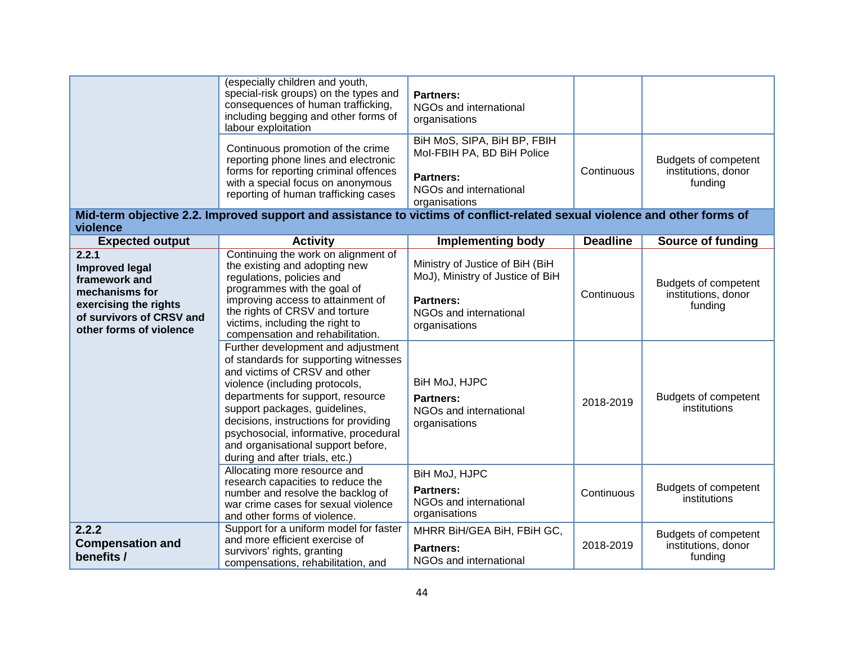|                                                                                                                                                   | (especially children and youth,<br>special-risk groups) on the types and<br>consequences of human trafficking,<br>including begging and other forms of<br>labour exploitation                                                                                                                                                            | <b>Partners:</b><br>NGOs and international<br>organisations                                                                        |                 |                                                        |
|---------------------------------------------------------------------------------------------------------------------------------------------------|------------------------------------------------------------------------------------------------------------------------------------------------------------------------------------------------------------------------------------------------------------------------------------------------------------------------------------------|------------------------------------------------------------------------------------------------------------------------------------|-----------------|--------------------------------------------------------|
|                                                                                                                                                   | Continuous promotion of the crime<br>reporting phone lines and electronic<br>forms for reporting criminal offences<br>with a special focus on anonymous<br>reporting of human trafficking cases                                                                                                                                          | BiH MoS, SIPA, BiH BP, FBIH<br>Mol-FBIH PA, BD BiH Police<br><b>Partners:</b><br>NGOs and international<br>organisations           | Continuous      | Budgets of competent<br>institutions, donor<br>funding |
| violence                                                                                                                                          | Mid-term objective 2.2. Improved support and assistance to victims of conflict-related sexual violence and other forms of                                                                                                                                                                                                                |                                                                                                                                    |                 |                                                        |
| <b>Expected output</b>                                                                                                                            | <b>Activity</b>                                                                                                                                                                                                                                                                                                                          | <b>Implementing body</b>                                                                                                           | <b>Deadline</b> | Source of funding                                      |
| 2.2.1<br><b>Improved legal</b><br>framework and<br>mechanisms for<br>exercising the rights<br>of survivors of CRSV and<br>other forms of violence | Continuing the work on alignment of<br>the existing and adopting new<br>regulations, policies and<br>programmes with the goal of<br>improving access to attainment of<br>the rights of CRSV and torture<br>victims, including the right to<br>compensation and rehabilitation.<br>Further development and adjustment                     | Ministry of Justice of BiH (BiH<br>MoJ), Ministry of Justice of BiH<br><b>Partners:</b><br>NGOs and international<br>organisations | Continuous      | Budgets of competent<br>institutions, donor<br>funding |
|                                                                                                                                                   | of standards for supporting witnesses<br>and victims of CRSV and other<br>violence (including protocols,<br>departments for support, resource<br>support packages, guidelines,<br>decisions, instructions for providing<br>psychosocial, informative, procedural<br>and organisational support before,<br>during and after trials, etc.) | BiH MoJ, HJPC<br><b>Partners:</b><br>NGOs and international<br>organisations                                                       | 2018-2019       | Budgets of competent<br>institutions                   |
|                                                                                                                                                   | Allocating more resource and<br>research capacities to reduce the<br>number and resolve the backlog of<br>war crime cases for sexual violence<br>and other forms of violence.                                                                                                                                                            | BiH MoJ, HJPC<br>Partners:<br>NGOs and international<br>organisations                                                              | Continuous      | Budgets of competent<br>institutions                   |
| 2.2.2<br><b>Compensation and</b><br>benefits /                                                                                                    | Support for a uniform model for faster<br>and more efficient exercise of<br>survivors' rights, granting<br>compensations, rehabilitation, and                                                                                                                                                                                            | MHRR BiH/GEA BiH, FBiH GC,<br><b>Partners:</b><br>NGOs and international                                                           | 2018-2019       | Budgets of competent<br>institutions, donor<br>funding |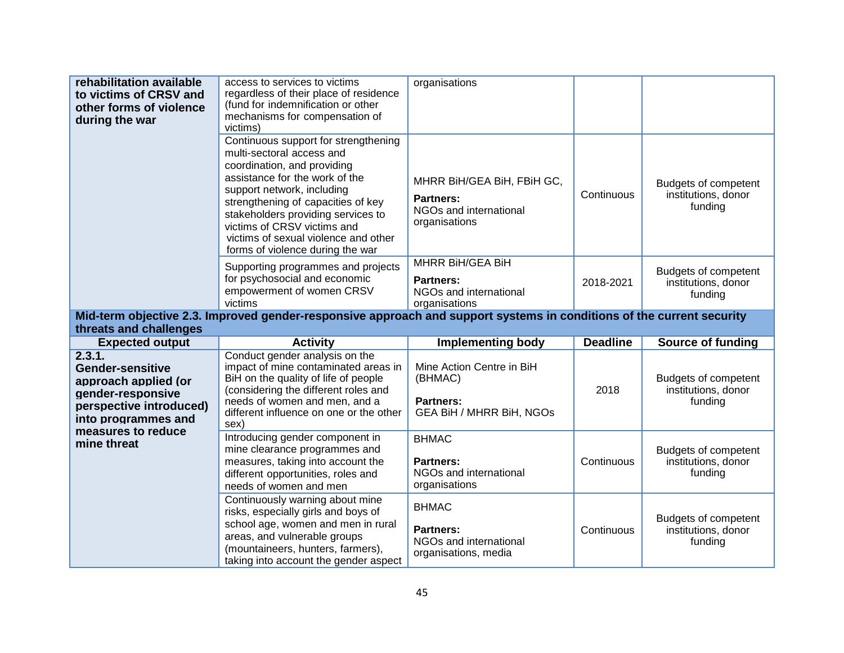| rehabilitation available<br>to victims of CRSV and<br>other forms of violence<br>during the war                                                            | access to services to victims<br>regardless of their place of residence<br>(fund for indemnification or other<br>mechanisms for compensation of<br>victims)                                                                                                                                                                                             | organisations                                                                                                    |                 |                                                        |
|------------------------------------------------------------------------------------------------------------------------------------------------------------|---------------------------------------------------------------------------------------------------------------------------------------------------------------------------------------------------------------------------------------------------------------------------------------------------------------------------------------------------------|------------------------------------------------------------------------------------------------------------------|-----------------|--------------------------------------------------------|
|                                                                                                                                                            | Continuous support for strengthening<br>multi-sectoral access and<br>coordination, and providing<br>assistance for the work of the<br>support network, including<br>strengthening of capacities of key<br>stakeholders providing services to<br>victims of CRSV victims and<br>victims of sexual violence and other<br>forms of violence during the war | MHRR BiH/GEA BiH, FBiH GC,<br><b>Partners:</b><br>NGOs and international<br>organisations                        | Continuous      | Budgets of competent<br>institutions, donor<br>funding |
|                                                                                                                                                            | Supporting programmes and projects<br>for psychosocial and economic<br>empowerment of women CRSV<br>victims                                                                                                                                                                                                                                             | MHRR BiH/GEA BiH<br><b>Partners:</b><br>NGOs and international<br>organisations                                  | 2018-2021       | Budgets of competent<br>institutions, donor<br>funding |
|                                                                                                                                                            | Mid-term objective 2.3. Improved gender-responsive approach and support systems in conditions of the current security                                                                                                                                                                                                                                   |                                                                                                                  |                 |                                                        |
|                                                                                                                                                            |                                                                                                                                                                                                                                                                                                                                                         |                                                                                                                  |                 |                                                        |
| threats and challenges                                                                                                                                     |                                                                                                                                                                                                                                                                                                                                                         |                                                                                                                  | <b>Deadline</b> | <b>Source of funding</b>                               |
| <b>Expected output</b><br>2.3.1.<br><b>Gender-sensitive</b><br>approach applied (or<br>gender-responsive<br>perspective introduced)<br>into programmes and | <b>Activity</b><br>Conduct gender analysis on the<br>impact of mine contaminated areas in<br>BiH on the quality of life of people<br>(considering the different roles and<br>needs of women and men, and a<br>different influence on one or the other<br>sex)                                                                                           | <b>Implementing body</b><br>Mine Action Centre in BiH<br>(BHMAC)<br><b>Partners:</b><br>GEA BiH / MHRR BiH, NGOs | 2018            | Budgets of competent<br>institutions, donor<br>funding |
| measures to reduce<br>mine threat                                                                                                                          | Introducing gender component in<br>mine clearance programmes and<br>measures, taking into account the<br>different opportunities, roles and<br>needs of women and men                                                                                                                                                                                   | <b>BHMAC</b><br>Partners:<br>NGOs and international<br>organisations                                             | Continuous      | Budgets of competent<br>institutions, donor<br>funding |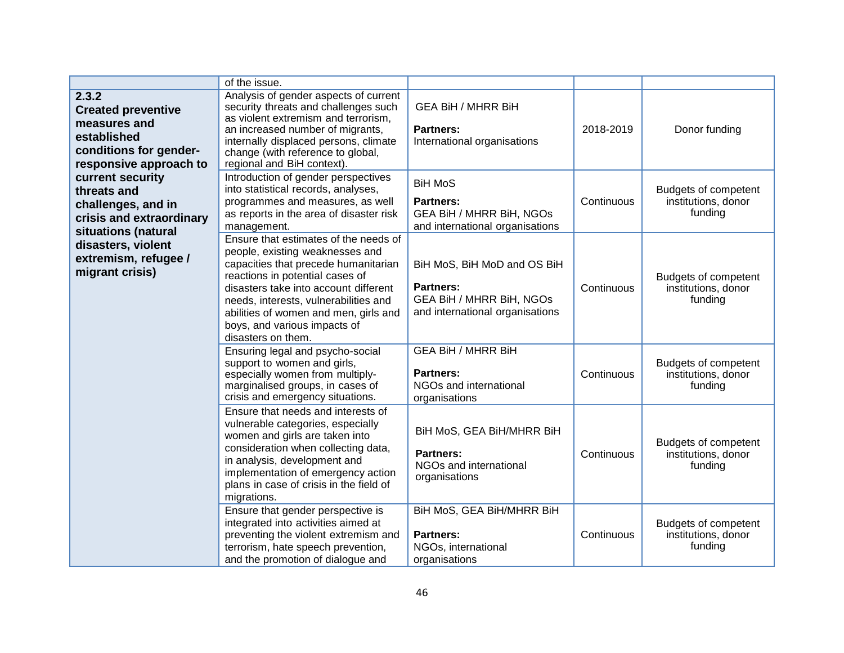|                                                                                                                                                                                                                                                                                                    | of the issue.                                                                                                                                                                                                                                                                                                                        |                                                                                                                       |            |                                                        |
|----------------------------------------------------------------------------------------------------------------------------------------------------------------------------------------------------------------------------------------------------------------------------------------------------|--------------------------------------------------------------------------------------------------------------------------------------------------------------------------------------------------------------------------------------------------------------------------------------------------------------------------------------|-----------------------------------------------------------------------------------------------------------------------|------------|--------------------------------------------------------|
| 2.3.2<br><b>Created preventive</b><br>measures and<br>established<br>conditions for gender-<br>responsive approach to<br>current security<br>threats and<br>challenges, and in<br>crisis and extraordinary<br>situations (natural<br>disasters, violent<br>extremism, refugee /<br>migrant crisis) | Analysis of gender aspects of current<br>security threats and challenges such<br>as violent extremism and terrorism,<br>an increased number of migrants,<br>internally displaced persons, climate<br>change (with reference to global,<br>regional and BiH context).                                                                 | <b>GEA BiH / MHRR BiH</b><br><b>Partners:</b><br>International organisations                                          | 2018-2019  | Donor funding                                          |
|                                                                                                                                                                                                                                                                                                    | Introduction of gender perspectives<br>into statistical records, analyses,<br>programmes and measures, as well<br>as reports in the area of disaster risk<br>management.                                                                                                                                                             | <b>BiH MoS</b><br><b>Partners:</b><br><b>GEA BiH / MHRR BiH, NGOs</b><br>and international organisations              | Continuous | Budgets of competent<br>institutions, donor<br>funding |
|                                                                                                                                                                                                                                                                                                    | Ensure that estimates of the needs of<br>people, existing weaknesses and<br>capacities that precede humanitarian<br>reactions in potential cases of<br>disasters take into account different<br>needs, interests, vulnerabilities and<br>abilities of women and men, girls and<br>boys, and various impacts of<br>disasters on them. | BiH MoS, BiH MoD and OS BiH<br><b>Partners:</b><br><b>GEA BiH / MHRR BiH, NGOs</b><br>and international organisations | Continuous | Budgets of competent<br>institutions, donor<br>funding |
|                                                                                                                                                                                                                                                                                                    | Ensuring legal and psycho-social<br>support to women and girls,<br>especially women from multiply-<br>marginalised groups, in cases of<br>crisis and emergency situations.                                                                                                                                                           | <b>GEA BiH / MHRR BiH</b><br><b>Partners:</b><br>NGOs and international<br>organisations                              | Continuous | Budgets of competent<br>institutions, donor<br>funding |
|                                                                                                                                                                                                                                                                                                    | Ensure that needs and interests of<br>vulnerable categories, especially<br>women and girls are taken into<br>consideration when collecting data,<br>in analysis, development and<br>implementation of emergency action<br>plans in case of crisis in the field of<br>migrations.                                                     | BiH MoS, GEA BiH/MHRR BiH<br><b>Partners:</b><br>NGOs and international<br>organisations                              | Continuous | Budgets of competent<br>institutions, donor<br>funding |
|                                                                                                                                                                                                                                                                                                    | Ensure that gender perspective is<br>integrated into activities aimed at<br>preventing the violent extremism and<br>terrorism, hate speech prevention,<br>and the promotion of dialogue and                                                                                                                                          | BiH MoS, GEA BiH/MHRR BiH<br><b>Partners:</b><br>NGOs, international<br>organisations                                 | Continuous | Budgets of competent<br>institutions, donor<br>funding |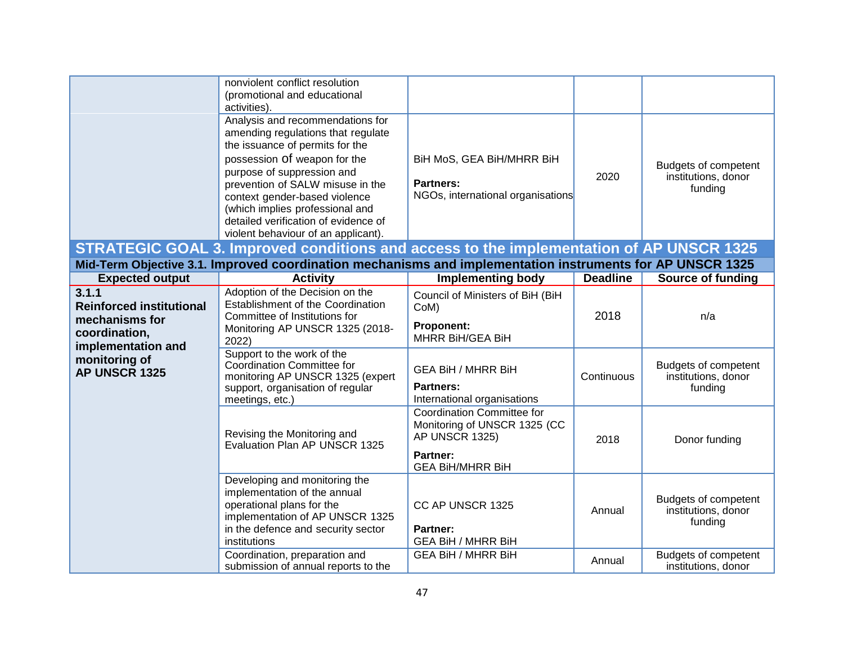|                                                                                                                                                                                                      | nonviolent conflict resolution<br>(promotional and educational<br>activities).                                                                                                                                                                                                                                                                                 |                                                                                                                     |                 |                                                        |
|------------------------------------------------------------------------------------------------------------------------------------------------------------------------------------------------------|----------------------------------------------------------------------------------------------------------------------------------------------------------------------------------------------------------------------------------------------------------------------------------------------------------------------------------------------------------------|---------------------------------------------------------------------------------------------------------------------|-----------------|--------------------------------------------------------|
|                                                                                                                                                                                                      | Analysis and recommendations for<br>amending regulations that regulate<br>the issuance of permits for the<br>possession Of weapon for the<br>purpose of suppression and<br>prevention of SALW misuse in the<br>context gender-based violence<br>(which implies professional and<br>detailed verification of evidence of<br>violent behaviour of an applicant). | BiH MoS, GEA BiH/MHRR BiH<br><b>Partners:</b><br>NGOs, international organisations                                  | 2020            | Budgets of competent<br>institutions, donor<br>funding |
| STRATEGIC GOAL 3. Improved conditions and access to the implementation of AP UNSCR 1325<br>Mid-Term Objective 3.1. Improved coordination mechanisms and implementation instruments for AP UNSCR 1325 |                                                                                                                                                                                                                                                                                                                                                                |                                                                                                                     |                 |                                                        |
| <b>Expected output</b>                                                                                                                                                                               | <b>Activity</b>                                                                                                                                                                                                                                                                                                                                                | <b>Implementing body</b>                                                                                            | <b>Deadline</b> | <b>Source of funding</b>                               |
| 3.1.1<br><b>Reinforced institutional</b><br>mechanisms for<br>coordination,                                                                                                                          | Adoption of the Decision on the<br>Establishment of the Coordination<br>Committee of Institutions for<br>Monitoring AP UNSCR 1325 (2018-<br>2022)                                                                                                                                                                                                              | Council of Ministers of BiH (BiH<br>CoM)<br><b>Proponent:</b><br>MHRR BiH/GEA BiH                                   | 2018            | n/a                                                    |
| implementation and<br>monitoring of<br>AP UNSCR 1325                                                                                                                                                 | Support to the work of the<br>Coordination Committee for<br>monitoring AP UNSCR 1325 (expert<br>support, organisation of regular<br>meetings, etc.)                                                                                                                                                                                                            | <b>GEA BiH / MHRR BiH</b><br><b>Partners:</b><br>International organisations                                        | Continuous      | Budgets of competent<br>institutions, donor<br>funding |
|                                                                                                                                                                                                      | Revising the Monitoring and<br>Evaluation Plan AP UNSCR 1325                                                                                                                                                                                                                                                                                                   | Coordination Committee for<br>Monitoring of UNSCR 1325 (CC<br>AP UNSCR 1325)<br>Partner:<br><b>GEA BIH/MHRR BIH</b> | 2018            | Donor funding                                          |
|                                                                                                                                                                                                      | Developing and monitoring the<br>implementation of the annual<br>operational plans for the<br>implementation of AP UNSCR 1325<br>in the defence and security sector<br>institutions                                                                                                                                                                            | CC AP UNSCR 1325<br>Partner:<br><b>GEA BiH / MHRR BiH</b>                                                           | Annual          | Budgets of competent<br>institutions, donor<br>funding |
|                                                                                                                                                                                                      | Coordination, preparation and<br>submission of annual reports to the                                                                                                                                                                                                                                                                                           | <b>GEA BiH / MHRR BiH</b>                                                                                           | Annual          | Budgets of competent<br>institutions, donor            |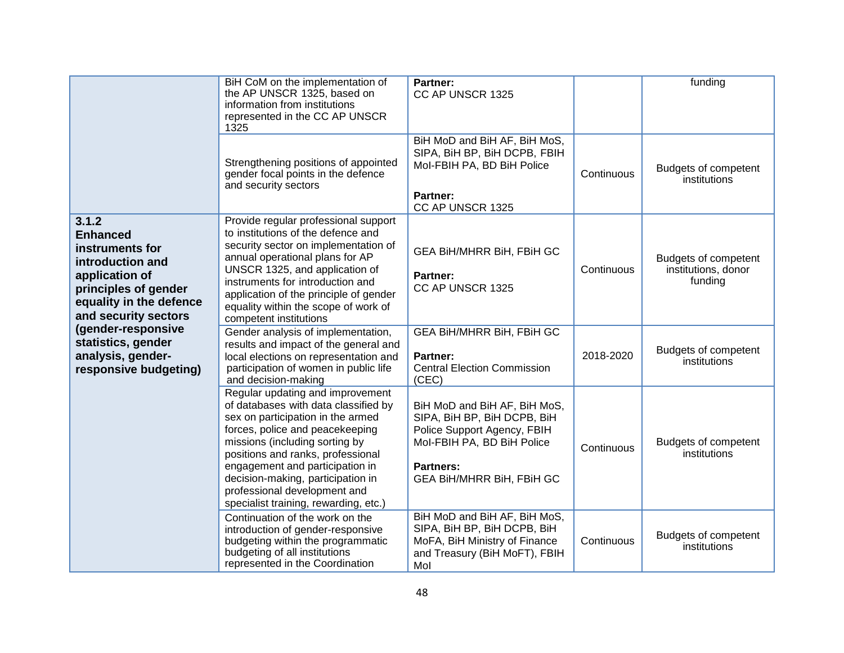|                                                                                                                                                              | BiH CoM on the implementation of<br>the AP UNSCR 1325, based on<br>information from institutions<br>represented in the CC AP UNSCR<br>1325                                                                                                                                                                                                                               | Partner:<br>CC AP UNSCR 1325                                                                                                                                              |            | funding                                                |
|--------------------------------------------------------------------------------------------------------------------------------------------------------------|--------------------------------------------------------------------------------------------------------------------------------------------------------------------------------------------------------------------------------------------------------------------------------------------------------------------------------------------------------------------------|---------------------------------------------------------------------------------------------------------------------------------------------------------------------------|------------|--------------------------------------------------------|
|                                                                                                                                                              | Strengthening positions of appointed<br>gender focal points in the defence<br>and security sectors                                                                                                                                                                                                                                                                       | BiH MoD and BiH AF, BiH MoS,<br>SIPA, BiH BP, BiH DCPB, FBIH<br>Mol-FBIH PA, BD BiH Police<br>Partner:<br>CC AP UNSCR 1325                                                | Continuous | Budgets of competent<br>institutions                   |
| 3.1.2<br><b>Enhanced</b><br>instruments for<br>introduction and<br>application of<br>principles of gender<br>equality in the defence<br>and security sectors | Provide regular professional support<br>to institutions of the defence and<br>security sector on implementation of<br>annual operational plans for AP<br>UNSCR 1325, and application of<br>instruments for introduction and<br>application of the principle of gender<br>equality within the scope of work of<br>competent institutions                                  | GEA BIH/MHRR BIH, FBIH GC<br>Partner:<br>CC AP UNSCR 1325                                                                                                                 | Continuous | Budgets of competent<br>institutions, donor<br>funding |
| (gender-responsive<br>statistics, gender<br>analysis, gender-<br>responsive budgeting)                                                                       | Gender analysis of implementation,<br>results and impact of the general and<br>local elections on representation and<br>participation of women in public life<br>and decision-making                                                                                                                                                                                     | GEA BIH/MHRR BIH, FBIH GC<br>Partner:<br><b>Central Election Commission</b><br>(CEC)                                                                                      | 2018-2020  | Budgets of competent<br>institutions                   |
|                                                                                                                                                              | Regular updating and improvement<br>of databases with data classified by<br>sex on participation in the armed<br>forces, police and peacekeeping<br>missions (including sorting by<br>positions and ranks, professional<br>engagement and participation in<br>decision-making, participation in<br>professional development and<br>specialist training, rewarding, etc.) | BiH MoD and BiH AF, BiH MoS,<br>SIPA, BiH BP, BiH DCPB, BiH<br>Police Support Agency, FBIH<br>Mol-FBIH PA, BD BiH Police<br><b>Partners:</b><br>GEA BIH/MHRR BIH, FBIH GC | Continuous | Budgets of competent<br>institutions                   |
|                                                                                                                                                              | Continuation of the work on the<br>introduction of gender-responsive<br>budgeting within the programmatic<br>budgeting of all institutions<br>represented in the Coordination                                                                                                                                                                                            | BiH MoD and BiH AF, BiH MoS,<br>SIPA, BiH BP, BiH DCPB, BiH<br>MoFA, BiH Ministry of Finance<br>and Treasury (BiH MoFT), FBIH<br>Mol                                      | Continuous | Budgets of competent<br>institutions                   |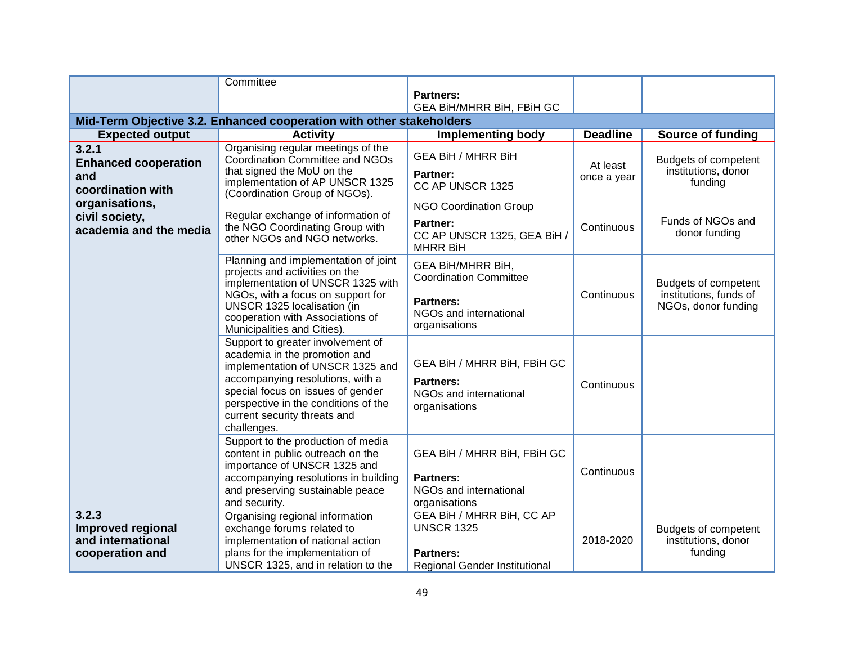|                                                                                                                                | Committee                                                                                                                                                                                                                                                              |                                                                                                                   |                         |                                                                       |
|--------------------------------------------------------------------------------------------------------------------------------|------------------------------------------------------------------------------------------------------------------------------------------------------------------------------------------------------------------------------------------------------------------------|-------------------------------------------------------------------------------------------------------------------|-------------------------|-----------------------------------------------------------------------|
|                                                                                                                                |                                                                                                                                                                                                                                                                        | <b>Partners:</b>                                                                                                  |                         |                                                                       |
|                                                                                                                                |                                                                                                                                                                                                                                                                        | GEA BIH/MHRR BIH, FBIH GC                                                                                         |                         |                                                                       |
|                                                                                                                                | Mid-Term Objective 3.2. Enhanced cooperation with other stakeholders                                                                                                                                                                                                   |                                                                                                                   |                         |                                                                       |
| <b>Expected output</b>                                                                                                         | <b>Activity</b>                                                                                                                                                                                                                                                        | <b>Implementing body</b>                                                                                          | <b>Deadline</b>         | <b>Source of funding</b>                                              |
| 3.2.1<br><b>Enhanced cooperation</b><br>and<br>coordination with<br>organisations,<br>civil society,<br>academia and the media | Organising regular meetings of the<br>Coordination Committee and NGOs<br>that signed the MoU on the<br>implementation of AP UNSCR 1325<br>(Coordination Group of NGOs).                                                                                                | <b>GEA BiH / MHRR BiH</b><br>Partner:<br>CC AP UNSCR 1325                                                         | At least<br>once a year | Budgets of competent<br>institutions, donor<br>funding                |
|                                                                                                                                | Regular exchange of information of<br>the NGO Coordinating Group with<br>other NGOs and NGO networks.                                                                                                                                                                  | <b>NGO Coordination Group</b><br>Partner:<br>CC AP UNSCR 1325, GEA BiH /<br><b>MHRR BiH</b>                       | Continuous              | Funds of NGOs and<br>donor funding                                    |
|                                                                                                                                | Planning and implementation of joint<br>projects and activities on the<br>implementation of UNSCR 1325 with<br>NGOs, with a focus on support for<br>UNSCR 1325 localisation (in<br>cooperation with Associations of<br>Municipalities and Cities).                     | GEA BiH/MHRR BiH,<br><b>Coordination Committee</b><br><b>Partners:</b><br>NGOs and international<br>organisations | Continuous              | Budgets of competent<br>institutions, funds of<br>NGOs, donor funding |
|                                                                                                                                | Support to greater involvement of<br>academia in the promotion and<br>implementation of UNSCR 1325 and<br>accompanying resolutions, with a<br>special focus on issues of gender<br>perspective in the conditions of the<br>current security threats and<br>challenges. | GEA BiH / MHRR BiH, FBiH GC<br><b>Partners:</b><br>NGOs and international<br>organisations                        | Continuous              |                                                                       |
|                                                                                                                                | Support to the production of media<br>content in public outreach on the<br>importance of UNSCR 1325 and<br>accompanying resolutions in building<br>and preserving sustainable peace<br>and security.                                                                   | GEA BiH / MHRR BiH, FBiH GC<br><b>Partners:</b><br>NGOs and international<br>organisations                        | Continuous              |                                                                       |
| 3.2.3<br>Improved regional<br>and international<br>cooperation and                                                             | Organising regional information<br>exchange forums related to<br>implementation of national action<br>plans for the implementation of<br>UNSCR 1325, and in relation to the                                                                                            | GEA BiH / MHRR BiH, CC AP<br><b>UNSCR 1325</b><br><b>Partners:</b><br>Regional Gender Institutional               | 2018-2020               | Budgets of competent<br>institutions, donor<br>funding                |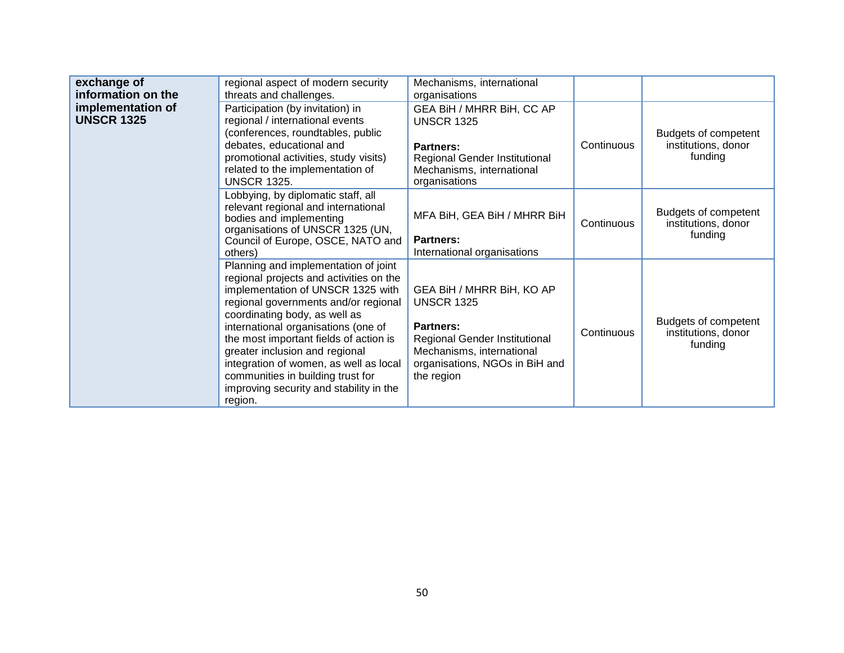| exchange of<br>information on the      | regional aspect of modern security<br>threats and challenges.                                                                                                                                                                                                                                                                                                                                                                                         | Mechanisms, international<br>organisations                                                                                                                                |            |                                                        |
|----------------------------------------|-------------------------------------------------------------------------------------------------------------------------------------------------------------------------------------------------------------------------------------------------------------------------------------------------------------------------------------------------------------------------------------------------------------------------------------------------------|---------------------------------------------------------------------------------------------------------------------------------------------------------------------------|------------|--------------------------------------------------------|
| implementation of<br><b>UNSCR 1325</b> | Participation (by invitation) in<br>regional / international events<br>(conferences, roundtables, public<br>debates, educational and<br>promotional activities, study visits)<br>related to the implementation of<br><b>UNSCR 1325.</b>                                                                                                                                                                                                               | GEA BiH / MHRR BiH, CC AP<br><b>UNSCR 1325</b><br>Partners:<br>Regional Gender Institutional<br>Mechanisms, international<br>organisations                                | Continuous | Budgets of competent<br>institutions, donor<br>funding |
|                                        | Lobbying, by diplomatic staff, all<br>relevant regional and international<br>bodies and implementing<br>organisations of UNSCR 1325 (UN,<br>Council of Europe, OSCE, NATO and<br>others)                                                                                                                                                                                                                                                              | MFA BiH, GEA BiH / MHRR BiH<br><b>Partners:</b><br>International organisations                                                                                            | Continuous | Budgets of competent<br>institutions, donor<br>funding |
|                                        | Planning and implementation of joint<br>regional projects and activities on the<br>implementation of UNSCR 1325 with<br>regional governments and/or regional<br>coordinating body, as well as<br>international organisations (one of<br>the most important fields of action is<br>greater inclusion and regional<br>integration of women, as well as local<br>communities in building trust for<br>improving security and stability in the<br>region. | GEA BiH / MHRR BiH, KO AP<br><b>UNSCR 1325</b><br>Partners:<br>Regional Gender Institutional<br>Mechanisms, international<br>organisations, NGOs in BiH and<br>the region | Continuous | Budgets of competent<br>institutions, donor<br>funding |